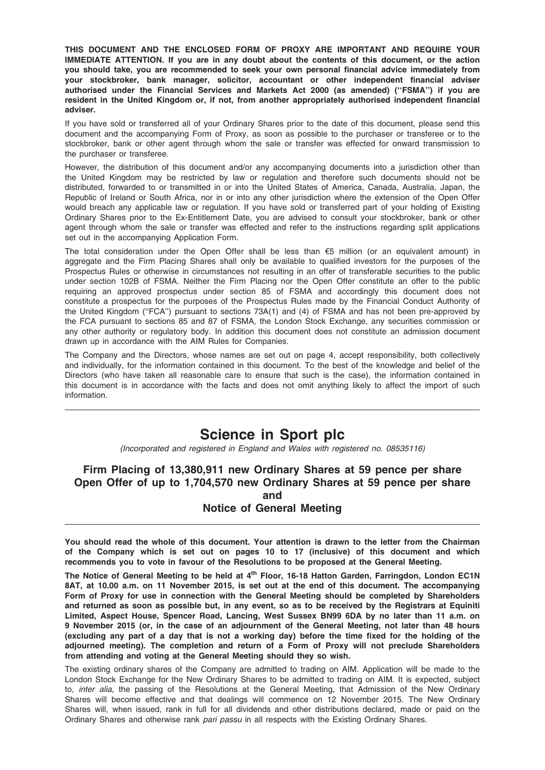THIS DOCUMENT AND THE ENCLOSED FORM OF PROXY ARE IMPORTANT AND REQUIRE YOUR IMMEDIATE ATTENTION. If you are in any doubt about the contents of this document, or the action you should take, you are recommended to seek your own personal financial advice immediately from your stockbroker, bank manager, solicitor, accountant or other independent financial adviser authorised under the Financial Services and Markets Act 2000 (as amended) (''FSMA'') if you are resident in the United Kingdom or, if not, from another appropriately authorised independent financial adviser.

If you have sold or transferred all of your Ordinary Shares prior to the date of this document, please send this document and the accompanying Form of Proxy, as soon as possible to the purchaser or transferee or to the stockbroker, bank or other agent through whom the sale or transfer was effected for onward transmission to the purchaser or transferee.

However, the distribution of this document and/or any accompanying documents into a jurisdiction other than the United Kingdom may be restricted by law or regulation and therefore such documents should not be distributed, forwarded to or transmitted in or into the United States of America, Canada, Australia, Japan, the Republic of Ireland or South Africa, nor in or into any other jurisdiction where the extension of the Open Offer would breach any applicable law or regulation. If you have sold or transferred part of your holding of Existing Ordinary Shares prior to the Ex-Entitlement Date, you are advised to consult your stockbroker, bank or other agent through whom the sale or transfer was effected and refer to the instructions regarding split applications set out in the accompanying Application Form.

The total consideration under the Open Offer shall be less than  $\epsilon$ 5 million (or an equivalent amount) in aggregate and the Firm Placing Shares shall only be available to qualified investors for the purposes of the Prospectus Rules or otherwise in circumstances not resulting in an offer of transferable securities to the public under section 102B of FSMA. Neither the Firm Placing nor the Open Offer constitute an offer to the public requiring an approved prospectus under section 85 of FSMA and accordingly this document does not constitute a prospectus for the purposes of the Prospectus Rules made by the Financial Conduct Authority of the United Kingdom ("FCA") pursuant to sections 73A(1) and (4) of FSMA and has not been pre-approved by the FCA pursuant to sections 85 and 87 of FSMA, the London Stock Exchange, any securities commission or any other authority or regulatory body. In addition this document does not constitute an admission document drawn up in accordance with the AIM Rules for Companies.

The Company and the Directors, whose names are set out on page 4, accept responsibility, both collectively and individually, for the information contained in this document. To the best of the knowledge and belief of the Directors (who have taken all reasonable care to ensure that such is the case), the information contained in this document is in accordance with the facts and does not omit anything likely to affect the import of such information.

# Science in Sport plc

(Incorporated and registered in England and Wales with registered no. 08535116)

# Firm Placing of 13,380,911 new Ordinary Shares at 59 pence per share Open Offer of up to 1,704,570 new Ordinary Shares at 59 pence per share and Notice of General Meeting

You should read the whole of this document. Your attention is drawn to the letter from the Chairman of the Company which is set out on pages 10 to 17 (inclusive) of this document and which recommends you to vote in favour of the Resolutions to be proposed at the General Meeting.

The Notice of General Meeting to be held at 4<sup>th</sup> Floor, 16-18 Hatton Garden, Farringdon, London EC1N 8AT, at 10.00 a.m. on 11 November 2015, is set out at the end of this document. The accompanying Form of Proxy for use in connection with the General Meeting should be completed by Shareholders and returned as soon as possible but, in any event, so as to be received by the Registrars at Equiniti Limited, Aspect House, Spencer Road, Lancing, West Sussex BN99 6DA by no later than 11 a.m. on 9 November 2015 (or, in the case of an adjournment of the General Meeting, not later than 48 hours (excluding any part of a day that is not a working day) before the time fixed for the holding of the adjourned meeting). The completion and return of a Form of Proxy will not preclude Shareholders from attending and voting at the General Meeting should they so wish.

The existing ordinary shares of the Company are admitted to trading on AIM. Application will be made to the London Stock Exchange for the New Ordinary Shares to be admitted to trading on AIM. It is expected, subject to, inter alia, the passing of the Resolutions at the General Meeting, that Admission of the New Ordinary Shares will become effective and that dealings will commence on 12 November 2015. The New Ordinary Shares will, when issued, rank in full for all dividends and other distributions declared, made or paid on the Ordinary Shares and otherwise rank pari passu in all respects with the Existing Ordinary Shares.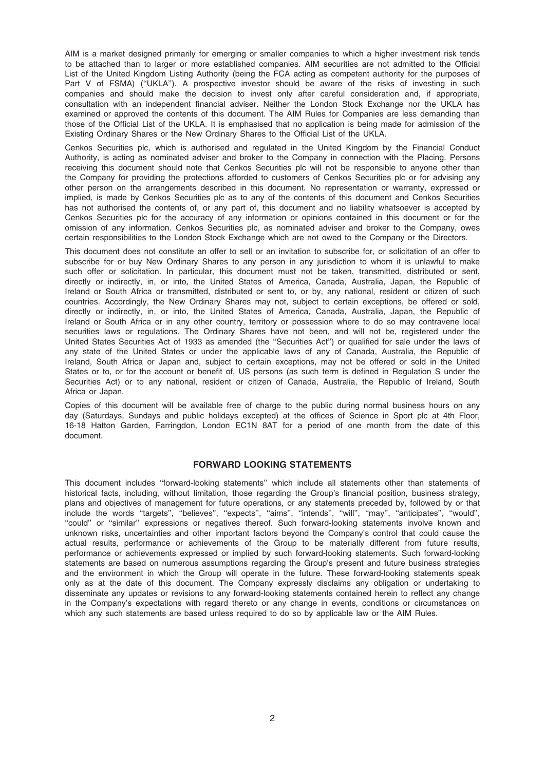AIM is a market designed primarily for emerging or smaller companies to which a higher investment risk tends to be attached than to larger or more established companies. AIM securities are not admitted to the Official List of the United Kingdom Listing Authority (being the FCA acting as competent authority for the purposes of Part V of FSMA) ("UKLA"). A prospective investor should be aware of the risks of investing in such companies and should make the decision to invest only after careful consideration and, if appropriate, consultation with an independent financial adviser. Neither the London Stock Exchange nor the UKLA has examined or approved the contents of this document. The AIM Rules for Companies are less demanding than those of the Official List of the UKLA. It is emphasised that no application is being made for admission of the Existing Ordinary Shares or the New Ordinary Shares to the Official List of the UKLA.

Cenkos Securities plc, which is authorised and regulated in the United Kingdom by the Financial Conduct Authority, is acting as nominated adviser and broker to the Company in connection with the Placing. Persons receiving this document should note that Cenkos Securities plc will not be responsible to anyone other than the Company for providing the protections afforded to customers of Cenkos Securities plc or for advising any other person on the arrangements described in this document. No representation or warranty, expressed or implied, is made by Cenkos Securities plc as to any of the contents of this document and Cenkos Securities has not authorised the contents of, or any part of, this document and no liability whatsoever is accepted by Cenkos Securities plc for the accuracy of any information or opinions contained in this document or for the omission of any information. Cenkos Securities plc, as nominated adviser and broker to the Company, owes certain responsibilities to the London Stock Exchange which are not owed to the Company or the Directors.

This document does not constitute an offer to sell or an invitation to subscribe for, or solicitation of an offer to subscribe for or buy New Ordinary Shares to any person in any jurisdiction to whom it is unlawful to make such offer or solicitation. In particular, this document must not be taken, transmitted, distributed or sent, directly or indirectly, in, or into, the United States of America, Canada, Australia, Japan, the Republic of Ireland or South Africa or transmitted, distributed or sent to, or by, any national, resident or citizen of such countries. Accordingly, the New Ordinary Shares may not, subject to certain exceptions, be offered or sold, directly or indirectly, in, or into, the United States of America, Canada, Australia, Japan, the Republic of Ireland or South Africa or in any other country, territory or possession where to do so may contravene local securities laws or regulations. The Ordinary Shares have not been, and will not be, registered under the United States Securities Act of 1933 as amended (the ''Securities Act'') or qualified for sale under the laws of any state of the United States or under the applicable laws of any of Canada, Australia, the Republic of Ireland, South Africa or Japan and, subject to certain exceptions, may not be offered or sold in the United States or to, or for the account or benefit of, US persons (as such term is defined in Regulation S under the Securities Act) or to any national, resident or citizen of Canada, Australia, the Republic of Ireland, South Africa or Japan.

Copies of this document will be available free of charge to the public during normal business hours on any day (Saturdays, Sundays and public holidays excepted) at the offices of Science in Sport plc at 4th Floor, 16-18 Hatton Garden, Farringdon, London EC1N 8AT for a period of one month from the date of this document.

## FORWARD LOOKING STATEMENTS

This document includes ''forward-looking statements'' which include all statements other than statements of historical facts, including, without limitation, those regarding the Group's financial position, business strategy, plans and objectives of management for future operations, or any statements preceded by, followed by or that include the words ''targets'', ''believes'', ''expects'', ''aims'', ''intends'', ''will'', ''may'', ''anticipates'', ''would'', "could" or "similar" expressions or negatives thereof. Such forward-looking statements involve known and unknown risks, uncertainties and other important factors beyond the Company's control that could cause the actual results, performance or achievements of the Group to be materially different from future results, performance or achievements expressed or implied by such forward-looking statements. Such forward-looking statements are based on numerous assumptions regarding the Group's present and future business strategies and the environment in which the Group will operate in the future. These forward-looking statements speak only as at the date of this document. The Company expressly disclaims any obligation or undertaking to disseminate any updates or revisions to any forward-looking statements contained herein to reflect any change in the Company's expectations with regard thereto or any change in events, conditions or circumstances on which any such statements are based unless required to do so by applicable law or the AIM Rules.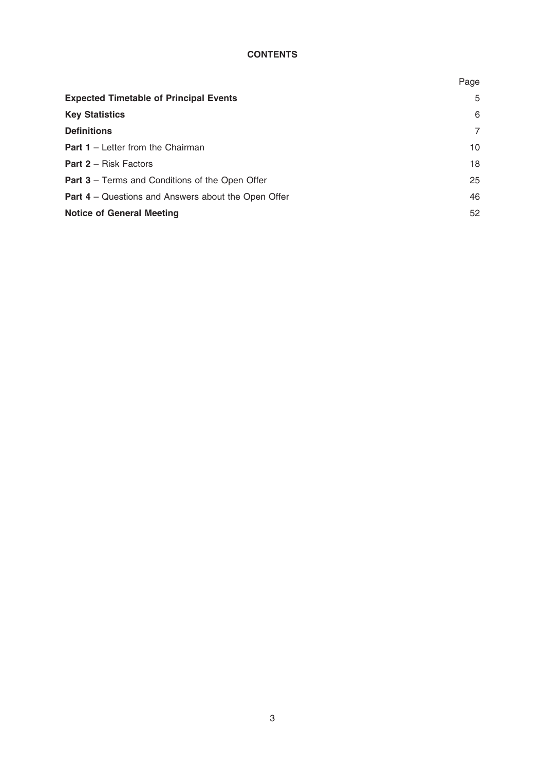# **CONTENTS**

|                                                            | Page            |
|------------------------------------------------------------|-----------------|
| <b>Expected Timetable of Principal Events</b>              | 5               |
| <b>Key Statistics</b>                                      | 6               |
| <b>Definitions</b>                                         | 7               |
| <b>Part 1</b> – Letter from the Chairman                   | 10 <sup>1</sup> |
| <b>Part 2 - Risk Factors</b>                               | 18              |
| <b>Part 3</b> – Terms and Conditions of the Open Offer     | 25              |
| <b>Part 4</b> – Questions and Answers about the Open Offer | 46              |
| <b>Notice of General Meeting</b>                           | 52              |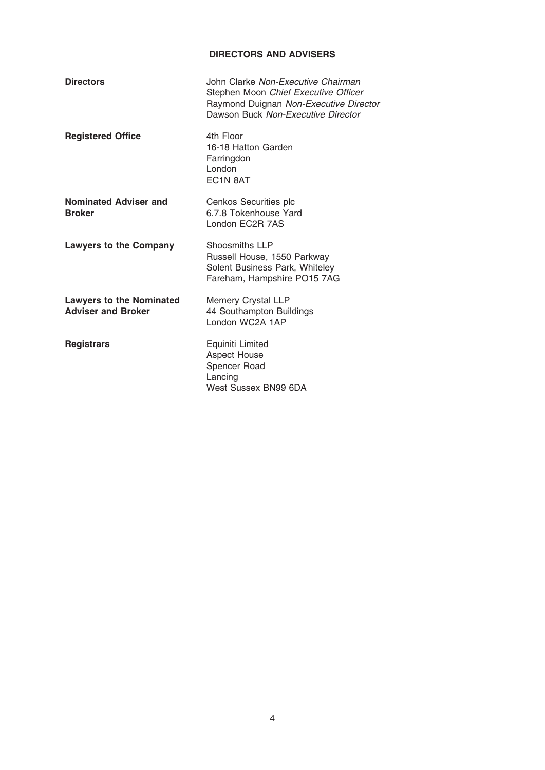# DIRECTORS AND ADVISERS

| <b>Directors</b>                                             | John Clarke Non-Executive Chairman<br>Stephen Moon Chief Executive Officer<br>Raymond Duignan Non-Executive Director<br>Dawson Buck Non-Executive Director |
|--------------------------------------------------------------|------------------------------------------------------------------------------------------------------------------------------------------------------------|
| <b>Registered Office</b>                                     | 4th Floor<br>16-18 Hatton Garden<br>Farringdon<br>London<br>EC <sub>1</sub> N 8AT                                                                          |
| Nominated Adviser and<br><b>Broker</b>                       | Cenkos Securities plc<br>6.7.8 Tokenhouse Yard<br>London EC2R 7AS                                                                                          |
| <b>Lawyers to the Company</b>                                | Shoosmiths LLP<br>Russell House, 1550 Parkway<br>Solent Business Park, Whiteley<br>Fareham, Hampshire PO15 7AG                                             |
| <b>Lawyers to the Nominated</b><br><b>Adviser and Broker</b> | <b>Memery Crystal LLP</b><br>44 Southampton Buildings<br>London WC2A 1AP                                                                                   |
| <b>Registrars</b>                                            | Equiniti Limited<br><b>Aspect House</b><br>Spencer Road<br>Lancing<br>West Sussex BN99 6DA                                                                 |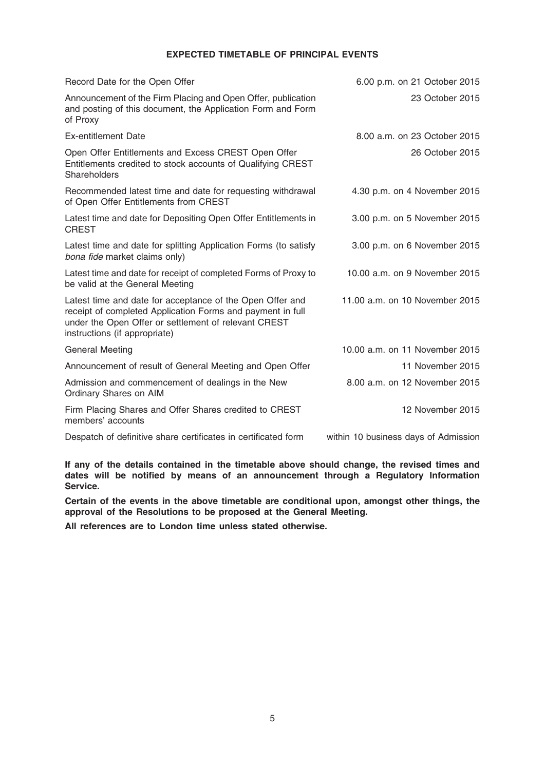## EXPECTED TIMETABLE OF PRINCIPAL EVENTS

| Record Date for the Open Offer                                                                                                                                                                                   | 6.00 p.m. on 21 October 2015   |
|------------------------------------------------------------------------------------------------------------------------------------------------------------------------------------------------------------------|--------------------------------|
| Announcement of the Firm Placing and Open Offer, publication<br>and posting of this document, the Application Form and Form<br>of Proxy                                                                          | 23 October 2015                |
| <b>Ex-entitlement Date</b>                                                                                                                                                                                       | 8.00 a.m. on 23 October 2015   |
| Open Offer Entitlements and Excess CREST Open Offer<br>Entitlements credited to stock accounts of Qualifying CREST<br>Shareholders                                                                               | 26 October 2015                |
| Recommended latest time and date for requesting withdrawal<br>of Open Offer Entitlements from CREST                                                                                                              | 4.30 p.m. on 4 November 2015   |
| Latest time and date for Depositing Open Offer Entitlements in<br><b>CREST</b>                                                                                                                                   | 3.00 p.m. on 5 November 2015   |
| Latest time and date for splitting Application Forms (to satisfy<br>bona fide market claims only)                                                                                                                | 3.00 p.m. on 6 November 2015   |
| Latest time and date for receipt of completed Forms of Proxy to<br>be valid at the General Meeting                                                                                                               | 10.00 a.m. on 9 November 2015  |
| Latest time and date for acceptance of the Open Offer and<br>receipt of completed Application Forms and payment in full<br>under the Open Offer or settlement of relevant CREST<br>instructions (if appropriate) | 11.00 a.m. on 10 November 2015 |
| <b>General Meeting</b>                                                                                                                                                                                           | 10.00 a.m. on 11 November 2015 |
| Announcement of result of General Meeting and Open Offer                                                                                                                                                         | 11 November 2015               |
| Admission and commencement of dealings in the New<br>Ordinary Shares on AIM                                                                                                                                      | 8.00 a.m. on 12 November 2015  |
| Firm Placing Shares and Offer Shares credited to CREST<br>members' accounts                                                                                                                                      | 12 November 2015               |

Despatch of definitive share certificates in certificated form within 10 business days of Admission

If any of the details contained in the timetable above should change, the revised times and dates will be notified by means of an announcement through a Regulatory Information Service.

Certain of the events in the above timetable are conditional upon, amongst other things, the approval of the Resolutions to be proposed at the General Meeting.

All references are to London time unless stated otherwise.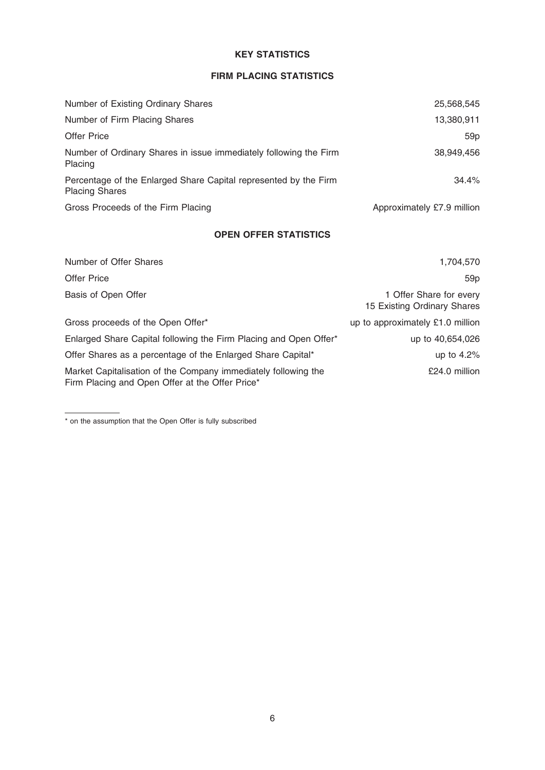# KEY STATISTICS

# FIRM PLACING STATISTICS

| Number of Existing Ordinary Shares                                                        | 25,568,545                 |
|-------------------------------------------------------------------------------------------|----------------------------|
| Number of Firm Placing Shares                                                             | 13,380,911                 |
| <b>Offer Price</b>                                                                        | 59p                        |
| Number of Ordinary Shares in issue immediately following the Firm<br>Placing              | 38,949,456                 |
| Percentage of the Enlarged Share Capital represented by the Firm<br><b>Placing Shares</b> | 34.4%                      |
| Gross Proceeds of the Firm Placing                                                        | Approximately £7.9 million |

# OPEN OFFER STATISTICS

| Number of Offer Shares                                                                                            | 1,704,570                                              |
|-------------------------------------------------------------------------------------------------------------------|--------------------------------------------------------|
| <b>Offer Price</b>                                                                                                | 59p                                                    |
| Basis of Open Offer                                                                                               | 1 Offer Share for every<br>15 Existing Ordinary Shares |
| Gross proceeds of the Open Offer*                                                                                 | up to approximately £1.0 million                       |
| Enlarged Share Capital following the Firm Placing and Open Offer*                                                 | up to 40,654,026                                       |
| Offer Shares as a percentage of the Enlarged Share Capital*                                                       | up to $4.2\%$                                          |
| Market Capitalisation of the Company immediately following the<br>Firm Placing and Open Offer at the Offer Price* | £24.0 million                                          |

<sup>\*</sup> on the assumption that the Open Offer is fully subscribed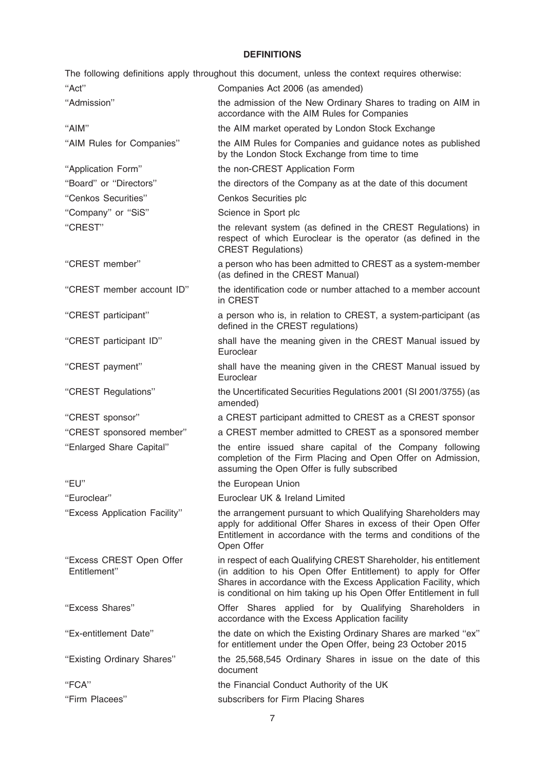## **DEFINITIONS**

The following definitions apply throughout this document, unless the context requires otherwise: ''Act'' Companies Act 2006 (as amended) ''Admission'' the admission of the New Ordinary Shares to trading on AIM in accordance with the AIM Rules for Companies ''AIM'' the AIM market operated by London Stock Exchange ''AIM Rules for Companies'' the AIM Rules for Companies and guidance notes as published by the London Stock Exchange from time to time ''Application Form'' the non-CREST Application Form ''Board'' or ''Directors'' the directors of the Company as at the date of this document ''Cenkos Securities'' Cenkos Securities plc "Company" or "SiS" Science in Sport plc ''CREST'' the relevant system (as defined in the CREST Regulations) in respect of which Euroclear is the operator (as defined in the CREST Regulations) ''CREST member'' a person who has been admitted to CREST as a system-member (as defined in the CREST Manual) ''CREST member account ID'' the identification code or number attached to a member account in CREST ''CREST participant'' a person who is, in relation to CREST, a system-participant (as defined in the CREST regulations) ''CREST participant ID'' shall have the meaning given in the CREST Manual issued by Euroclear ''CREST payment'' shall have the meaning given in the CREST Manual issued by Euroclear ''CREST Regulations'' the Uncertificated Securities Regulations 2001 (SI 2001/3755) (as amended) ''CREST sponsor'' a CREST participant admitted to CREST as a CREST sponsor ''CREST sponsored member'' a CREST member admitted to CREST as a sponsored member ''Enlarged Share Capital'' the entire issued share capital of the Company following completion of the Firm Placing and Open Offer on Admission, assuming the Open Offer is fully subscribed "EU" the European Union ''Euroclear'' Euroclear UK & Ireland Limited ''Excess Application Facility'' the arrangement pursuant to which Qualifying Shareholders may apply for additional Offer Shares in excess of their Open Offer Entitlement in accordance with the terms and conditions of the Open Offer ''Excess CREST Open Offer Entitlement'' in respect of each Qualifying CREST Shareholder, his entitlement (in addition to his Open Offer Entitlement) to apply for Offer Shares in accordance with the Excess Application Facility, which is conditional on him taking up his Open Offer Entitlement in full ''Excess Shares'' Offer Shares applied for by Qualifying Shareholders in accordance with the Excess Application facility ''Ex-entitlement Date'' the date on which the Existing Ordinary Shares are marked ''ex'' for entitlement under the Open Offer, being 23 October 2015 ''Existing Ordinary Shares'' the 25,568,545 Ordinary Shares in issue on the date of this document ''FCA'' the Financial Conduct Authority of the UK ''Firm Placees'' subscribers for Firm Placing Shares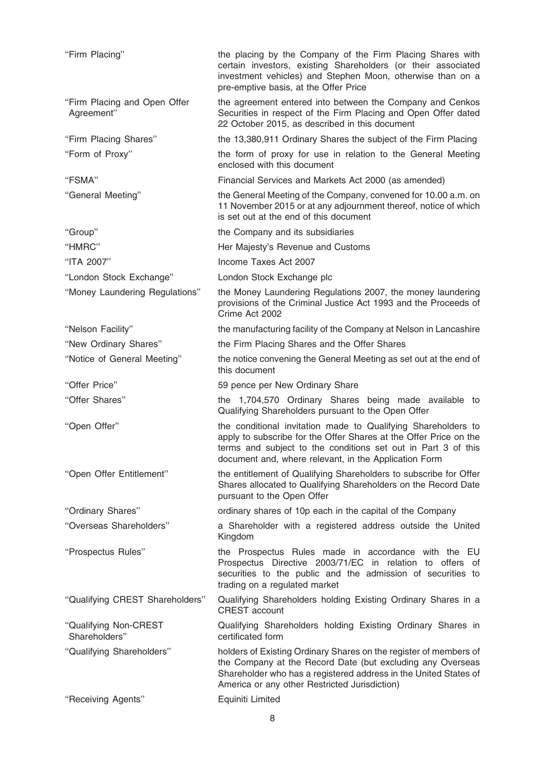| "Firm Placing"                             | the placing by the Company of the Firm Placing Shares with<br>certain investors, existing Shareholders (or their associated<br>investment vehicles) and Stephen Moon, otherwise than on a<br>pre-emptive basis, at the Offer Price                           |
|--------------------------------------------|--------------------------------------------------------------------------------------------------------------------------------------------------------------------------------------------------------------------------------------------------------------|
| "Firm Placing and Open Offer<br>Agreement" | the agreement entered into between the Company and Cenkos<br>Securities in respect of the Firm Placing and Open Offer dated<br>22 October 2015, as described in this document                                                                                |
| "Firm Placing Shares"                      | the 13,380,911 Ordinary Shares the subject of the Firm Placing                                                                                                                                                                                               |
| "Form of Proxy"                            | the form of proxy for use in relation to the General Meeting<br>enclosed with this document                                                                                                                                                                  |
| "FSMA"                                     | Financial Services and Markets Act 2000 (as amended)                                                                                                                                                                                                         |
| "General Meeting"                          | the General Meeting of the Company, convened for 10.00 a.m. on<br>11 November 2015 or at any adjournment thereof, notice of which<br>is set out at the end of this document                                                                                  |
| "Group"                                    | the Company and its subsidiaries                                                                                                                                                                                                                             |
| "HMRC"                                     | Her Majesty's Revenue and Customs                                                                                                                                                                                                                            |
| "ITA 2007"                                 | Income Taxes Act 2007                                                                                                                                                                                                                                        |
| "London Stock Exchange"                    | London Stock Exchange plc                                                                                                                                                                                                                                    |
| "Money Laundering Regulations"             | the Money Laundering Regulations 2007, the money laundering<br>provisions of the Criminal Justice Act 1993 and the Proceeds of<br>Crime Act 2002                                                                                                             |
| "Nelson Facility"                          | the manufacturing facility of the Company at Nelson in Lancashire                                                                                                                                                                                            |
| "New Ordinary Shares"                      | the Firm Placing Shares and the Offer Shares                                                                                                                                                                                                                 |
| "Notice of General Meeting"                | the notice convening the General Meeting as set out at the end of<br>this document                                                                                                                                                                           |
| "Offer Price"                              | 59 pence per New Ordinary Share                                                                                                                                                                                                                              |
| "Offer Shares"                             | the 1,704,570 Ordinary Shares being made available to<br>Qualifying Shareholders pursuant to the Open Offer                                                                                                                                                  |
| "Open Offer"                               | the conditional invitation made to Qualifying Shareholders to<br>apply to subscribe for the Offer Shares at the Offer Price on the<br>terms and subject to the conditions set out in Part 3 of this<br>document and, where relevant, in the Application Form |
| "Open Offer Entitlement"                   | the entitlement of Qualifying Shareholders to subscribe for Offer<br>Shares allocated to Qualifying Shareholders on the Record Date<br>pursuant to the Open Offer                                                                                            |
| "Ordinary Shares"                          | ordinary shares of 10p each in the capital of the Company                                                                                                                                                                                                    |
| "Overseas Shareholders"                    | a Shareholder with a registered address outside the United<br>Kingdom                                                                                                                                                                                        |
| "Prospectus Rules"                         | the Prospectus Rules made in accordance with the EU<br>Prospectus Directive 2003/71/EC in relation to offers of<br>securities to the public and the admission of securities to<br>trading on a regulated market                                              |
| "Qualifying CREST Shareholders"            | Qualifying Shareholders holding Existing Ordinary Shares in a<br><b>CREST</b> account                                                                                                                                                                        |
| "Qualifying Non-CREST<br>Shareholders"     | Qualifying Shareholders holding Existing Ordinary Shares in<br>certificated form                                                                                                                                                                             |
| "Qualifying Shareholders"                  | holders of Existing Ordinary Shares on the register of members of<br>the Company at the Record Date (but excluding any Overseas<br>Shareholder who has a registered address in the United States of<br>America or any other Restricted Jurisdiction)         |
| "Receiving Agents"                         | Equiniti Limited                                                                                                                                                                                                                                             |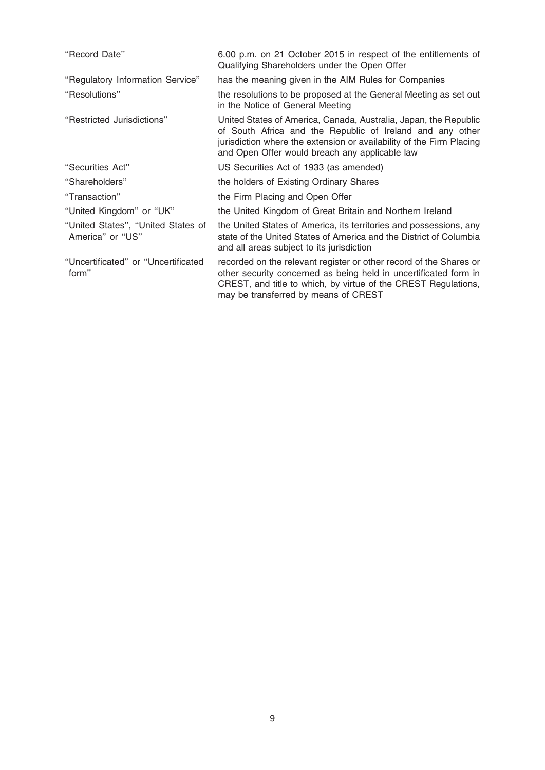| "Record Date"                                          | 6.00 p.m. on 21 October 2015 in respect of the entitlements of<br>Qualifying Shareholders under the Open Offer                                                                                                                                          |
|--------------------------------------------------------|---------------------------------------------------------------------------------------------------------------------------------------------------------------------------------------------------------------------------------------------------------|
| "Regulatory Information Service"                       | has the meaning given in the AIM Rules for Companies                                                                                                                                                                                                    |
| "Resolutions"                                          | the resolutions to be proposed at the General Meeting as set out<br>in the Notice of General Meeting                                                                                                                                                    |
| "Restricted Jurisdictions"                             | United States of America, Canada, Australia, Japan, the Republic<br>of South Africa and the Republic of Ireland and any other<br>jurisdiction where the extension or availability of the Firm Placing<br>and Open Offer would breach any applicable law |
| "Securities Act"                                       | US Securities Act of 1933 (as amended)                                                                                                                                                                                                                  |
| "Shareholders"                                         | the holders of Existing Ordinary Shares                                                                                                                                                                                                                 |
| "Transaction"                                          | the Firm Placing and Open Offer                                                                                                                                                                                                                         |
| "United Kingdom" or "UK"                               | the United Kingdom of Great Britain and Northern Ireland                                                                                                                                                                                                |
| "United States", "United States of<br>America" or "US" | the United States of America, its territories and possessions, any<br>state of the United States of America and the District of Columbia<br>and all areas subject to its jurisdiction                                                                   |
| "Uncertificated" or "Uncertificated<br>form"           | recorded on the relevant register or other record of the Shares or<br>other security concerned as being held in uncertificated form in<br>CREST, and title to which, by virtue of the CREST Regulations,<br>may be transferred by means of CREST        |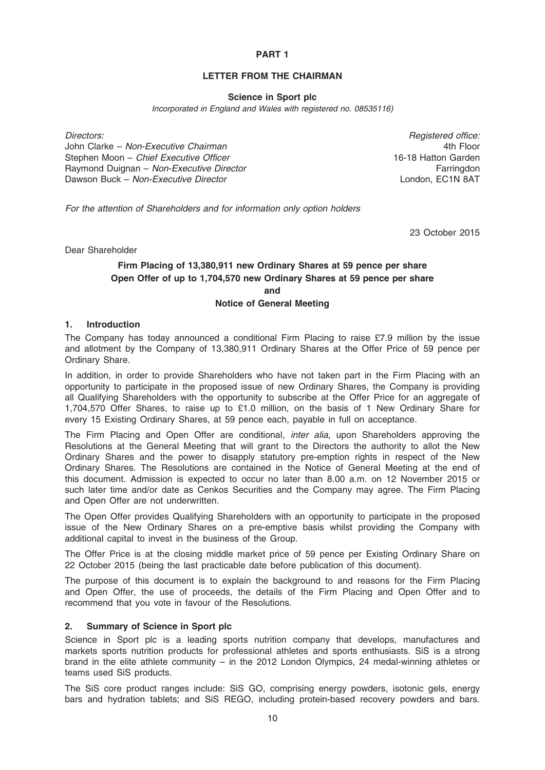## PART 1

# LETTER FROM THE CHAIRMAN

#### Science in Sport plc

Incorporated in England and Wales with registered no. 08535116)

Directors: Registered office: John Clarke – Non-Executive Chairman Stephen Moon – Chief Executive Officer Raymond Duignan – Non-Executive Director Dawson Buck – Non-Executive Director

4th Floor 16-18 Hatton Garden **Farringdon** London, EC1N 8AT

For the attention of Shareholders and for information only option holders

23 October 2015

Dear Shareholder

# Firm Placing of 13,380,911 new Ordinary Shares at 59 pence per share Open Offer of up to 1,704,570 new Ordinary Shares at 59 pence per share and

#### Notice of General Meeting

## 1. Introduction

The Company has today announced a conditional Firm Placing to raise £7.9 million by the issue and allotment by the Company of 13,380,911 Ordinary Shares at the Offer Price of 59 pence per Ordinary Share.

In addition, in order to provide Shareholders who have not taken part in the Firm Placing with an opportunity to participate in the proposed issue of new Ordinary Shares, the Company is providing all Qualifying Shareholders with the opportunity to subscribe at the Offer Price for an aggregate of 1,704,570 Offer Shares, to raise up to £1.0 million, on the basis of 1 New Ordinary Share for every 15 Existing Ordinary Shares, at 59 pence each, payable in full on acceptance.

The Firm Placing and Open Offer are conditional, *inter alia*, upon Shareholders approving the Resolutions at the General Meeting that will grant to the Directors the authority to allot the New Ordinary Shares and the power to disapply statutory pre-emption rights in respect of the New Ordinary Shares. The Resolutions are contained in the Notice of General Meeting at the end of this document. Admission is expected to occur no later than 8.00 a.m. on 12 November 2015 or such later time and/or date as Cenkos Securities and the Company may agree. The Firm Placing and Open Offer are not underwritten.

The Open Offer provides Qualifying Shareholders with an opportunity to participate in the proposed issue of the New Ordinary Shares on a pre-emptive basis whilst providing the Company with additional capital to invest in the business of the Group.

The Offer Price is at the closing middle market price of 59 pence per Existing Ordinary Share on 22 October 2015 (being the last practicable date before publication of this document).

The purpose of this document is to explain the background to and reasons for the Firm Placing and Open Offer, the use of proceeds, the details of the Firm Placing and Open Offer and to recommend that you vote in favour of the Resolutions.

## 2. Summary of Science in Sport plc

Science in Sport plc is a leading sports nutrition company that develops, manufactures and markets sports nutrition products for professional athletes and sports enthusiasts. SiS is a strong brand in the elite athlete community – in the 2012 London Olympics, 24 medal-winning athletes or teams used SiS products.

The SiS core product ranges include: SiS GO, comprising energy powders, isotonic gels, energy bars and hydration tablets; and SiS REGO, including protein-based recovery powders and bars.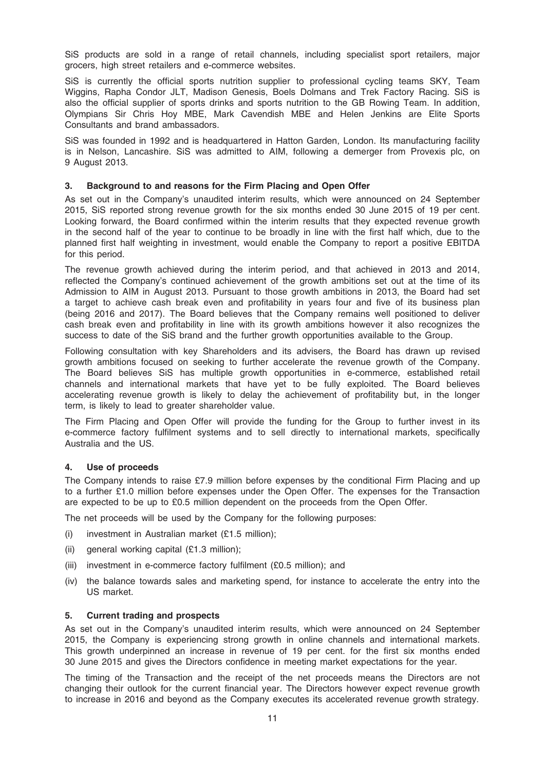SiS products are sold in a range of retail channels, including specialist sport retailers, major grocers, high street retailers and e-commerce websites.

SiS is currently the official sports nutrition supplier to professional cycling teams SKY, Team Wiggins, Rapha Condor JLT, Madison Genesis, Boels Dolmans and Trek Factory Racing. SiS is also the official supplier of sports drinks and sports nutrition to the GB Rowing Team. In addition, Olympians Sir Chris Hoy MBE, Mark Cavendish MBE and Helen Jenkins are Elite Sports Consultants and brand ambassadors.

SiS was founded in 1992 and is headquartered in Hatton Garden, London. Its manufacturing facility is in Nelson, Lancashire. SiS was admitted to AIM, following a demerger from Provexis plc, on 9 August 2013.

## 3. Background to and reasons for the Firm Placing and Open Offer

As set out in the Company's unaudited interim results, which were announced on 24 September 2015, SiS reported strong revenue growth for the six months ended 30 June 2015 of 19 per cent. Looking forward, the Board confirmed within the interim results that they expected revenue growth in the second half of the year to continue to be broadly in line with the first half which, due to the planned first half weighting in investment, would enable the Company to report a positive EBITDA for this period.

The revenue growth achieved during the interim period, and that achieved in 2013 and 2014, reflected the Company's continued achievement of the growth ambitions set out at the time of its Admission to AIM in August 2013. Pursuant to those growth ambitions in 2013, the Board had set a target to achieve cash break even and profitability in years four and five of its business plan (being 2016 and 2017). The Board believes that the Company remains well positioned to deliver cash break even and profitability in line with its growth ambitions however it also recognizes the success to date of the SiS brand and the further growth opportunities available to the Group.

Following consultation with key Shareholders and its advisers, the Board has drawn up revised growth ambitions focused on seeking to further accelerate the revenue growth of the Company. The Board believes SiS has multiple growth opportunities in e-commerce, established retail channels and international markets that have yet to be fully exploited. The Board believes accelerating revenue growth is likely to delay the achievement of profitability but, in the longer term, is likely to lead to greater shareholder value.

The Firm Placing and Open Offer will provide the funding for the Group to further invest in its e-commerce factory fulfilment systems and to sell directly to international markets, specifically Australia and the US.

## 4. Use of proceeds

The Company intends to raise £7.9 million before expenses by the conditional Firm Placing and up to a further £1.0 million before expenses under the Open Offer. The expenses for the Transaction are expected to be up to £0.5 million dependent on the proceeds from the Open Offer.

The net proceeds will be used by the Company for the following purposes:

- (i) investment in Australian market (£1.5 million);
- (ii) general working capital (£1.3 million);
- (iii) investment in e-commerce factory fulfilment (£0.5 million); and
- (iv) the balance towards sales and marketing spend, for instance to accelerate the entry into the US market.

#### 5. Current trading and prospects

As set out in the Company's unaudited interim results, which were announced on 24 September 2015, the Company is experiencing strong growth in online channels and international markets. This growth underpinned an increase in revenue of 19 per cent. for the first six months ended 30 June 2015 and gives the Directors confidence in meeting market expectations for the year.

The timing of the Transaction and the receipt of the net proceeds means the Directors are not changing their outlook for the current financial year. The Directors however expect revenue growth to increase in 2016 and beyond as the Company executes its accelerated revenue growth strategy.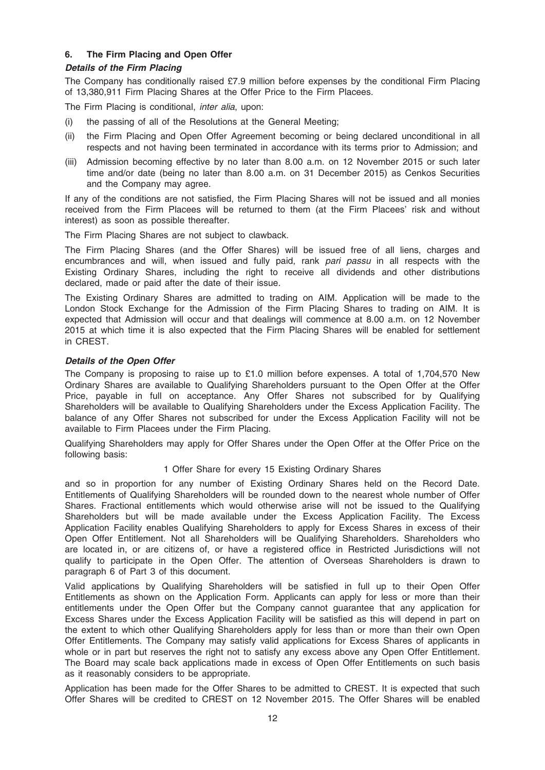# 6. The Firm Placing and Open Offer

## Details of the Firm Placing

The Company has conditionally raised £7.9 million before expenses by the conditional Firm Placing of 13,380,911 Firm Placing Shares at the Offer Price to the Firm Placees.

The Firm Placing is conditional, *inter alia*, upon:

- (i) the passing of all of the Resolutions at the General Meeting;
- (ii) the Firm Placing and Open Offer Agreement becoming or being declared unconditional in all respects and not having been terminated in accordance with its terms prior to Admission; and
- (iii) Admission becoming effective by no later than 8.00 a.m. on 12 November 2015 or such later time and/or date (being no later than 8.00 a.m. on 31 December 2015) as Cenkos Securities and the Company may agree.

If any of the conditions are not satisfied, the Firm Placing Shares will not be issued and all monies received from the Firm Placees will be returned to them (at the Firm Placees' risk and without interest) as soon as possible thereafter.

The Firm Placing Shares are not subject to clawback.

The Firm Placing Shares (and the Offer Shares) will be issued free of all liens, charges and encumbrances and will, when issued and fully paid, rank pari passu in all respects with the Existing Ordinary Shares, including the right to receive all dividends and other distributions declared, made or paid after the date of their issue.

The Existing Ordinary Shares are admitted to trading on AIM. Application will be made to the London Stock Exchange for the Admission of the Firm Placing Shares to trading on AIM. It is expected that Admission will occur and that dealings will commence at 8.00 a.m. on 12 November 2015 at which time it is also expected that the Firm Placing Shares will be enabled for settlement in CREST.

## Details of the Open Offer

The Company is proposing to raise up to £1.0 million before expenses. A total of 1,704,570 New Ordinary Shares are available to Qualifying Shareholders pursuant to the Open Offer at the Offer Price, payable in full on acceptance. Any Offer Shares not subscribed for by Qualifying Shareholders will be available to Qualifying Shareholders under the Excess Application Facility. The balance of any Offer Shares not subscribed for under the Excess Application Facility will not be available to Firm Placees under the Firm Placing.

Qualifying Shareholders may apply for Offer Shares under the Open Offer at the Offer Price on the following basis:

## 1 Offer Share for every 15 Existing Ordinary Shares

and so in proportion for any number of Existing Ordinary Shares held on the Record Date. Entitlements of Qualifying Shareholders will be rounded down to the nearest whole number of Offer Shares. Fractional entitlements which would otherwise arise will not be issued to the Qualifying Shareholders but will be made available under the Excess Application Facility. The Excess Application Facility enables Qualifying Shareholders to apply for Excess Shares in excess of their Open Offer Entitlement. Not all Shareholders will be Qualifying Shareholders. Shareholders who are located in, or are citizens of, or have a registered office in Restricted Jurisdictions will not qualify to participate in the Open Offer. The attention of Overseas Shareholders is drawn to paragraph 6 of Part 3 of this document.

Valid applications by Qualifying Shareholders will be satisfied in full up to their Open Offer Entitlements as shown on the Application Form. Applicants can apply for less or more than their entitlements under the Open Offer but the Company cannot guarantee that any application for Excess Shares under the Excess Application Facility will be satisfied as this will depend in part on the extent to which other Qualifying Shareholders apply for less than or more than their own Open Offer Entitlements. The Company may satisfy valid applications for Excess Shares of applicants in whole or in part but reserves the right not to satisfy any excess above any Open Offer Entitlement. The Board may scale back applications made in excess of Open Offer Entitlements on such basis as it reasonably considers to be appropriate.

Application has been made for the Offer Shares to be admitted to CREST. It is expected that such Offer Shares will be credited to CREST on 12 November 2015. The Offer Shares will be enabled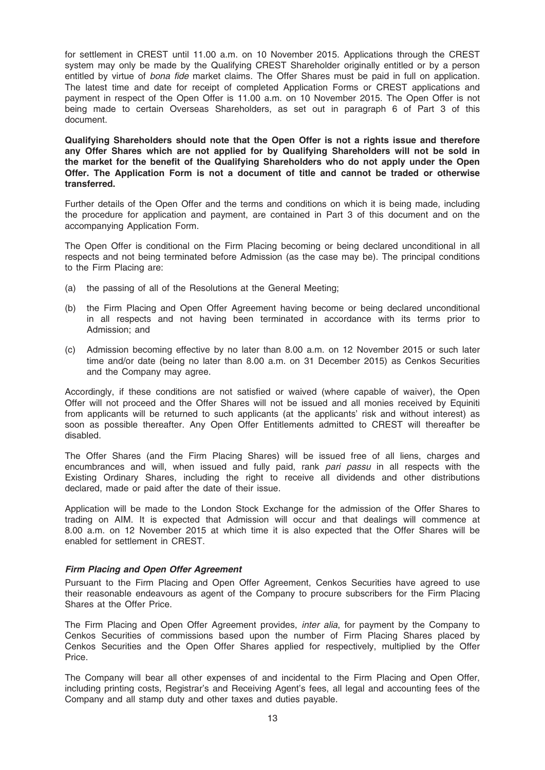for settlement in CREST until 11.00 a.m. on 10 November 2015. Applications through the CREST system may only be made by the Qualifying CREST Shareholder originally entitled or by a person entitled by virtue of bona fide market claims. The Offer Shares must be paid in full on application. The latest time and date for receipt of completed Application Forms or CREST applications and payment in respect of the Open Offer is 11.00 a.m. on 10 November 2015. The Open Offer is not being made to certain Overseas Shareholders, as set out in paragraph 6 of Part 3 of this document.

Qualifying Shareholders should note that the Open Offer is not a rights issue and therefore any Offer Shares which are not applied for by Qualifying Shareholders will not be sold in the market for the benefit of the Qualifying Shareholders who do not apply under the Open Offer. The Application Form is not a document of title and cannot be traded or otherwise transferred.

Further details of the Open Offer and the terms and conditions on which it is being made, including the procedure for application and payment, are contained in Part 3 of this document and on the accompanying Application Form.

The Open Offer is conditional on the Firm Placing becoming or being declared unconditional in all respects and not being terminated before Admission (as the case may be). The principal conditions to the Firm Placing are:

- (a) the passing of all of the Resolutions at the General Meeting;
- (b) the Firm Placing and Open Offer Agreement having become or being declared unconditional in all respects and not having been terminated in accordance with its terms prior to Admission; and
- (c) Admission becoming effective by no later than 8.00 a.m. on 12 November 2015 or such later time and/or date (being no later than 8.00 a.m. on 31 December 2015) as Cenkos Securities and the Company may agree.

Accordingly, if these conditions are not satisfied or waived (where capable of waiver), the Open Offer will not proceed and the Offer Shares will not be issued and all monies received by Equiniti from applicants will be returned to such applicants (at the applicants' risk and without interest) as soon as possible thereafter. Any Open Offer Entitlements admitted to CREST will thereafter be disabled.

The Offer Shares (and the Firm Placing Shares) will be issued free of all liens, charges and encumbrances and will, when issued and fully paid, rank pari passu in all respects with the Existing Ordinary Shares, including the right to receive all dividends and other distributions declared, made or paid after the date of their issue.

Application will be made to the London Stock Exchange for the admission of the Offer Shares to trading on AIM. It is expected that Admission will occur and that dealings will commence at 8.00 a.m. on 12 November 2015 at which time it is also expected that the Offer Shares will be enabled for settlement in CREST.

## Firm Placing and Open Offer Agreement

Pursuant to the Firm Placing and Open Offer Agreement, Cenkos Securities have agreed to use their reasonable endeavours as agent of the Company to procure subscribers for the Firm Placing Shares at the Offer Price.

The Firm Placing and Open Offer Agreement provides, inter alia, for payment by the Company to Cenkos Securities of commissions based upon the number of Firm Placing Shares placed by Cenkos Securities and the Open Offer Shares applied for respectively, multiplied by the Offer Price.

The Company will bear all other expenses of and incidental to the Firm Placing and Open Offer, including printing costs, Registrar's and Receiving Agent's fees, all legal and accounting fees of the Company and all stamp duty and other taxes and duties payable.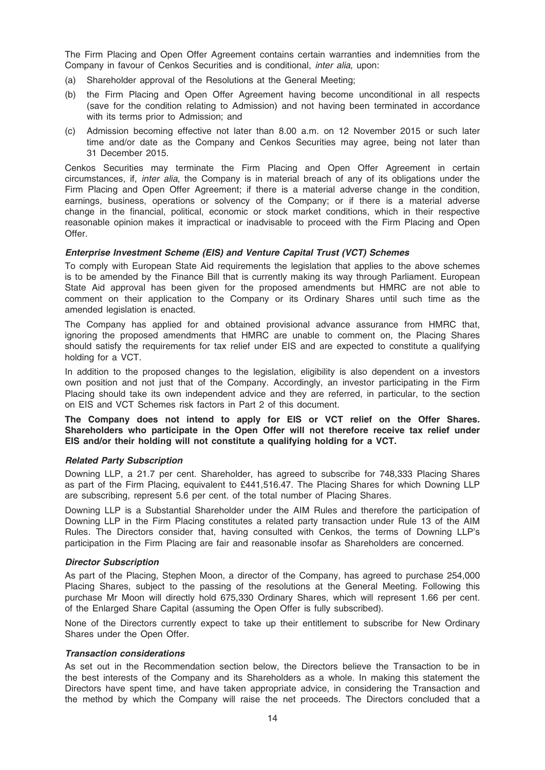The Firm Placing and Open Offer Agreement contains certain warranties and indemnities from the Company in favour of Cenkos Securities and is conditional, inter alia, upon:

- (a) Shareholder approval of the Resolutions at the General Meeting;
- (b) the Firm Placing and Open Offer Agreement having become unconditional in all respects (save for the condition relating to Admission) and not having been terminated in accordance with its terms prior to Admission; and
- (c) Admission becoming effective not later than 8.00 a.m. on 12 November 2015 or such later time and/or date as the Company and Cenkos Securities may agree, being not later than 31 December 2015.

Cenkos Securities may terminate the Firm Placing and Open Offer Agreement in certain circumstances, if, inter alia, the Company is in material breach of any of its obligations under the Firm Placing and Open Offer Agreement; if there is a material adverse change in the condition, earnings, business, operations or solvency of the Company; or if there is a material adverse change in the financial, political, economic or stock market conditions, which in their respective reasonable opinion makes it impractical or inadvisable to proceed with the Firm Placing and Open Offer.

#### Enterprise Investment Scheme (EIS) and Venture Capital Trust (VCT) Schemes

To comply with European State Aid requirements the legislation that applies to the above schemes is to be amended by the Finance Bill that is currently making its way through Parliament. European State Aid approval has been given for the proposed amendments but HMRC are not able to comment on their application to the Company or its Ordinary Shares until such time as the amended legislation is enacted.

The Company has applied for and obtained provisional advance assurance from HMRC that, ignoring the proposed amendments that HMRC are unable to comment on, the Placing Shares should satisfy the requirements for tax relief under EIS and are expected to constitute a qualifying holding for a VCT.

In addition to the proposed changes to the legislation, eligibility is also dependent on a investors own position and not just that of the Company. Accordingly, an investor participating in the Firm Placing should take its own independent advice and they are referred, in particular, to the section on EIS and VCT Schemes risk factors in Part 2 of this document.

The Company does not intend to apply for EIS or VCT relief on the Offer Shares. Shareholders who participate in the Open Offer will not therefore receive tax relief under EIS and/or their holding will not constitute a qualifying holding for a VCT.

#### Related Party Subscription

Downing LLP, a 21.7 per cent. Shareholder, has agreed to subscribe for 748,333 Placing Shares as part of the Firm Placing, equivalent to £441,516.47. The Placing Shares for which Downing LLP are subscribing, represent 5.6 per cent. of the total number of Placing Shares.

Downing LLP is a Substantial Shareholder under the AIM Rules and therefore the participation of Downing LLP in the Firm Placing constitutes a related party transaction under Rule 13 of the AIM Rules. The Directors consider that, having consulted with Cenkos, the terms of Downing LLP's participation in the Firm Placing are fair and reasonable insofar as Shareholders are concerned.

## Director Subscription

As part of the Placing, Stephen Moon, a director of the Company, has agreed to purchase 254,000 Placing Shares, subject to the passing of the resolutions at the General Meeting. Following this purchase Mr Moon will directly hold 675,330 Ordinary Shares, which will represent 1.66 per cent. of the Enlarged Share Capital (assuming the Open Offer is fully subscribed).

None of the Directors currently expect to take up their entitlement to subscribe for New Ordinary Shares under the Open Offer.

#### Transaction considerations

As set out in the Recommendation section below, the Directors believe the Transaction to be in the best interests of the Company and its Shareholders as a whole. In making this statement the Directors have spent time, and have taken appropriate advice, in considering the Transaction and the method by which the Company will raise the net proceeds. The Directors concluded that a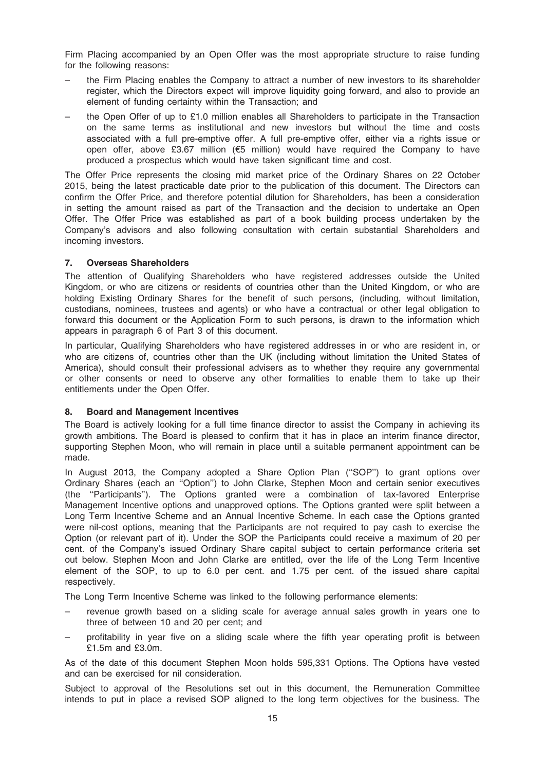Firm Placing accompanied by an Open Offer was the most appropriate structure to raise funding for the following reasons:

- the Firm Placing enables the Company to attract a number of new investors to its shareholder register, which the Directors expect will improve liquidity going forward, and also to provide an element of funding certainty within the Transaction; and
- the Open Offer of up to £1.0 million enables all Shareholders to participate in the Transaction on the same terms as institutional and new investors but without the time and costs associated with a full pre-emptive offer. A full pre-emptive offer, either via a rights issue or open offer, above £3.67 million ( $\epsilon$ 5 million) would have required the Company to have produced a prospectus which would have taken significant time and cost.

The Offer Price represents the closing mid market price of the Ordinary Shares on 22 October 2015, being the latest practicable date prior to the publication of this document. The Directors can confirm the Offer Price, and therefore potential dilution for Shareholders, has been a consideration in setting the amount raised as part of the Transaction and the decision to undertake an Open Offer. The Offer Price was established as part of a book building process undertaken by the Company's advisors and also following consultation with certain substantial Shareholders and incoming investors.

## 7. Overseas Shareholders

The attention of Qualifying Shareholders who have registered addresses outside the United Kingdom, or who are citizens or residents of countries other than the United Kingdom, or who are holding Existing Ordinary Shares for the benefit of such persons, (including, without limitation, custodians, nominees, trustees and agents) or who have a contractual or other legal obligation to forward this document or the Application Form to such persons, is drawn to the information which appears in paragraph 6 of Part 3 of this document.

In particular, Qualifying Shareholders who have registered addresses in or who are resident in, or who are citizens of, countries other than the UK (including without limitation the United States of America), should consult their professional advisers as to whether they require any governmental or other consents or need to observe any other formalities to enable them to take up their entitlements under the Open Offer.

## 8. Board and Management Incentives

The Board is actively looking for a full time finance director to assist the Company in achieving its growth ambitions. The Board is pleased to confirm that it has in place an interim finance director, supporting Stephen Moon, who will remain in place until a suitable permanent appointment can be made.

In August 2013, the Company adopted a Share Option Plan ("SOP") to grant options over Ordinary Shares (each an ''Option'') to John Clarke, Stephen Moon and certain senior executives (the ''Participants''). The Options granted were a combination of tax-favored Enterprise Management Incentive options and unapproved options. The Options granted were split between a Long Term Incentive Scheme and an Annual Incentive Scheme. In each case the Options granted were nil-cost options, meaning that the Participants are not required to pay cash to exercise the Option (or relevant part of it). Under the SOP the Participants could receive a maximum of 20 per cent. of the Company's issued Ordinary Share capital subject to certain performance criteria set out below. Stephen Moon and John Clarke are entitled, over the life of the Long Term Incentive element of the SOP, to up to 6.0 per cent. and 1.75 per cent. of the issued share capital respectively.

The Long Term Incentive Scheme was linked to the following performance elements:

- revenue growth based on a sliding scale for average annual sales growth in years one to three of between 10 and 20 per cent; and
- profitability in year five on a sliding scale where the fifth year operating profit is between £1.5m and £3.0m.

As of the date of this document Stephen Moon holds 595,331 Options. The Options have vested and can be exercised for nil consideration.

Subject to approval of the Resolutions set out in this document, the Remuneration Committee intends to put in place a revised SOP aligned to the long term objectives for the business. The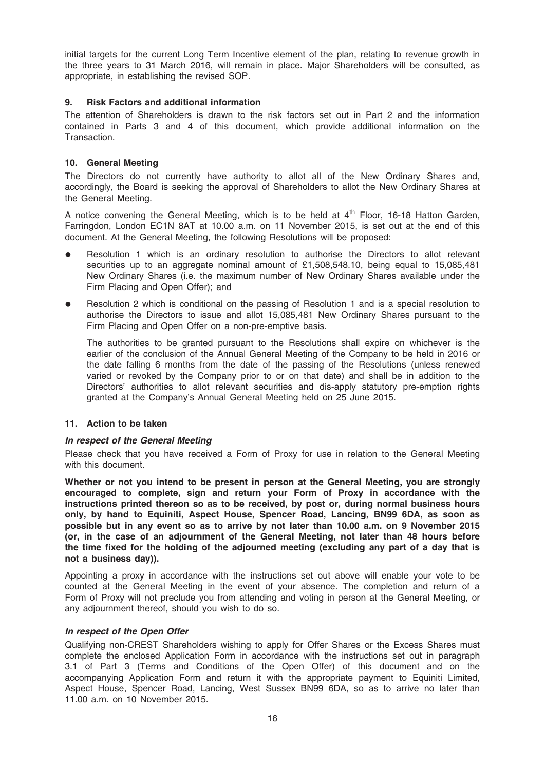initial targets for the current Long Term Incentive element of the plan, relating to revenue growth in the three years to 31 March 2016, will remain in place. Major Shareholders will be consulted, as appropriate, in establishing the revised SOP.

## 9. Risk Factors and additional information

The attention of Shareholders is drawn to the risk factors set out in Part 2 and the information contained in Parts 3 and 4 of this document, which provide additional information on the **Transaction** 

## 10. General Meeting

The Directors do not currently have authority to allot all of the New Ordinary Shares and, accordingly, the Board is seeking the approval of Shareholders to allot the New Ordinary Shares at the General Meeting.

A notice convening the General Meeting, which is to be held at  $4<sup>th</sup>$  Floor, 16-18 Hatton Garden, Farringdon, London EC1N 8AT at 10.00 a.m. on 11 November 2015, is set out at the end of this document. At the General Meeting, the following Resolutions will be proposed:

- Resolution 1 which is an ordinary resolution to authorise the Directors to allot relevant securities up to an aggregate nominal amount of £1,508,548.10, being equal to 15,085,481 New Ordinary Shares (i.e. the maximum number of New Ordinary Shares available under the Firm Placing and Open Offer); and
- Resolution 2 which is conditional on the passing of Resolution 1 and is a special resolution to authorise the Directors to issue and allot 15,085,481 New Ordinary Shares pursuant to the Firm Placing and Open Offer on a non-pre-emptive basis.

The authorities to be granted pursuant to the Resolutions shall expire on whichever is the earlier of the conclusion of the Annual General Meeting of the Company to be held in 2016 or the date falling 6 months from the date of the passing of the Resolutions (unless renewed varied or revoked by the Company prior to or on that date) and shall be in addition to the Directors' authorities to allot relevant securities and dis-apply statutory pre-emption rights granted at the Company's Annual General Meeting held on 25 June 2015.

#### 11. Action to be taken

#### In respect of the General Meeting

Please check that you have received a Form of Proxy for use in relation to the General Meeting with this document.

Whether or not you intend to be present in person at the General Meeting, you are strongly encouraged to complete, sign and return your Form of Proxy in accordance with the instructions printed thereon so as to be received, by post or, during normal business hours only, by hand to Equiniti, Aspect House, Spencer Road, Lancing, BN99 6DA, as soon as possible but in any event so as to arrive by not later than 10.00 a.m. on 9 November 2015 (or, in the case of an adjournment of the General Meeting, not later than 48 hours before the time fixed for the holding of the adjourned meeting (excluding any part of a day that is not a business day)).

Appointing a proxy in accordance with the instructions set out above will enable your vote to be counted at the General Meeting in the event of your absence. The completion and return of a Form of Proxy will not preclude you from attending and voting in person at the General Meeting, or any adjournment thereof, should you wish to do so.

#### In respect of the Open Offer

Qualifying non-CREST Shareholders wishing to apply for Offer Shares or the Excess Shares must complete the enclosed Application Form in accordance with the instructions set out in paragraph 3.1 of Part 3 (Terms and Conditions of the Open Offer) of this document and on the accompanying Application Form and return it with the appropriate payment to Equiniti Limited, Aspect House, Spencer Road, Lancing, West Sussex BN99 6DA, so as to arrive no later than 11.00 a.m. on 10 November 2015.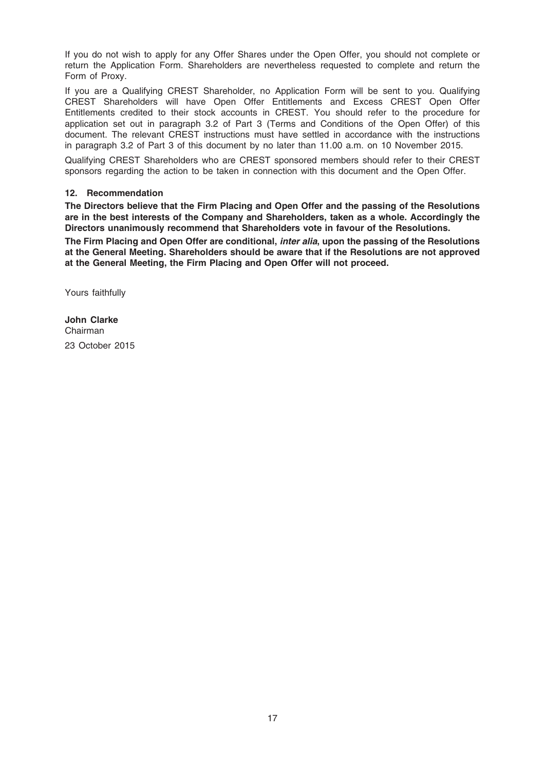If you do not wish to apply for any Offer Shares under the Open Offer, you should not complete or return the Application Form. Shareholders are nevertheless requested to complete and return the Form of Proxy.

If you are a Qualifying CREST Shareholder, no Application Form will be sent to you. Qualifying CREST Shareholders will have Open Offer Entitlements and Excess CREST Open Offer Entitlements credited to their stock accounts in CREST. You should refer to the procedure for application set out in paragraph 3.2 of Part 3 (Terms and Conditions of the Open Offer) of this document. The relevant CREST instructions must have settled in accordance with the instructions in paragraph 3.2 of Part 3 of this document by no later than 11.00 a.m. on 10 November 2015.

Qualifying CREST Shareholders who are CREST sponsored members should refer to their CREST sponsors regarding the action to be taken in connection with this document and the Open Offer.

## 12. Recommendation

The Directors believe that the Firm Placing and Open Offer and the passing of the Resolutions are in the best interests of the Company and Shareholders, taken as a whole. Accordingly the Directors unanimously recommend that Shareholders vote in favour of the Resolutions.

The Firm Placing and Open Offer are conditional, *inter alia*, upon the passing of the Resolutions at the General Meeting. Shareholders should be aware that if the Resolutions are not approved at the General Meeting, the Firm Placing and Open Offer will not proceed.

Yours faithfully

John Clarke Chairman 23 October 2015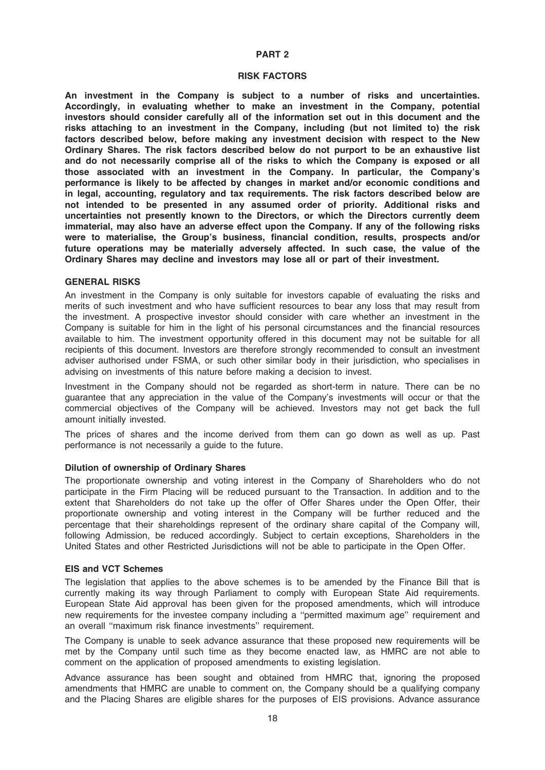#### PART 2

#### RISK FACTORS

An investment in the Company is subject to a number of risks and uncertainties. Accordingly, in evaluating whether to make an investment in the Company, potential investors should consider carefully all of the information set out in this document and the risks attaching to an investment in the Company, including (but not limited to) the risk factors described below, before making any investment decision with respect to the New Ordinary Shares. The risk factors described below do not purport to be an exhaustive list and do not necessarily comprise all of the risks to which the Company is exposed or all those associated with an investment in the Company. In particular, the Company's performance is likely to be affected by changes in market and/or economic conditions and in legal, accounting, regulatory and tax requirements. The risk factors described below are not intended to be presented in any assumed order of priority. Additional risks and uncertainties not presently known to the Directors, or which the Directors currently deem immaterial, may also have an adverse effect upon the Company. If any of the following risks were to materialise, the Group's business, financial condition, results, prospects and/or future operations may be materially adversely affected. In such case, the value of the Ordinary Shares may decline and investors may lose all or part of their investment.

#### GENERAL RISKS

An investment in the Company is only suitable for investors capable of evaluating the risks and merits of such investment and who have sufficient resources to bear any loss that may result from the investment. A prospective investor should consider with care whether an investment in the Company is suitable for him in the light of his personal circumstances and the financial resources available to him. The investment opportunity offered in this document may not be suitable for all recipients of this document. Investors are therefore strongly recommended to consult an investment adviser authorised under FSMA, or such other similar body in their jurisdiction, who specialises in advising on investments of this nature before making a decision to invest.

Investment in the Company should not be regarded as short-term in nature. There can be no guarantee that any appreciation in the value of the Company's investments will occur or that the commercial objectives of the Company will be achieved. Investors may not get back the full amount initially invested.

The prices of shares and the income derived from them can go down as well as up. Past performance is not necessarily a guide to the future.

## Dilution of ownership of Ordinary Shares

The proportionate ownership and voting interest in the Company of Shareholders who do not participate in the Firm Placing will be reduced pursuant to the Transaction. In addition and to the extent that Shareholders do not take up the offer of Offer Shares under the Open Offer, their proportionate ownership and voting interest in the Company will be further reduced and the percentage that their shareholdings represent of the ordinary share capital of the Company will, following Admission, be reduced accordingly. Subject to certain exceptions, Shareholders in the United States and other Restricted Jurisdictions will not be able to participate in the Open Offer.

## EIS and VCT Schemes

The legislation that applies to the above schemes is to be amended by the Finance Bill that is currently making its way through Parliament to comply with European State Aid requirements. European State Aid approval has been given for the proposed amendments, which will introduce new requirements for the investee company including a ''permitted maximum age'' requirement and an overall ''maximum risk finance investments'' requirement.

The Company is unable to seek advance assurance that these proposed new requirements will be met by the Company until such time as they become enacted law, as HMRC are not able to comment on the application of proposed amendments to existing legislation.

Advance assurance has been sought and obtained from HMRC that, ignoring the proposed amendments that HMRC are unable to comment on, the Company should be a qualifying company and the Placing Shares are eligible shares for the purposes of EIS provisions. Advance assurance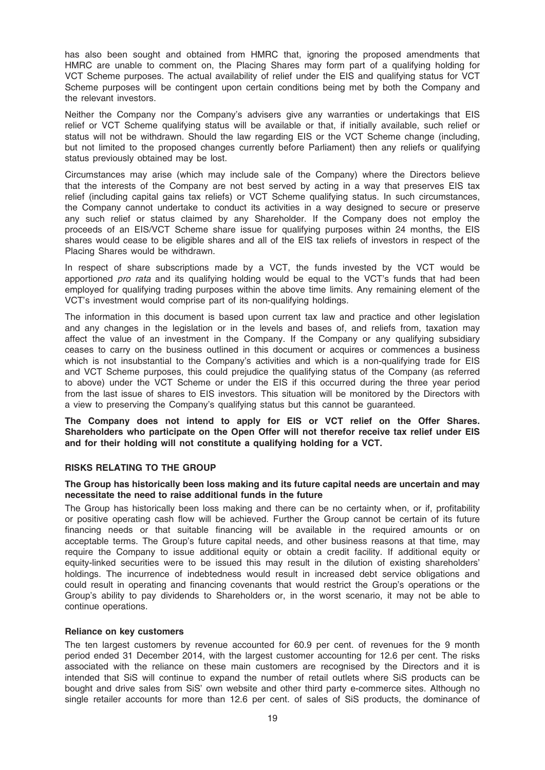has also been sought and obtained from HMRC that, ignoring the proposed amendments that HMRC are unable to comment on, the Placing Shares may form part of a qualifying holding for VCT Scheme purposes. The actual availability of relief under the EIS and qualifying status for VCT Scheme purposes will be contingent upon certain conditions being met by both the Company and the relevant investors.

Neither the Company nor the Company's advisers give any warranties or undertakings that EIS relief or VCT Scheme qualifying status will be available or that, if initially available, such relief or status will not be withdrawn. Should the law regarding EIS or the VCT Scheme change (including, but not limited to the proposed changes currently before Parliament) then any reliefs or qualifying status previously obtained may be lost.

Circumstances may arise (which may include sale of the Company) where the Directors believe that the interests of the Company are not best served by acting in a way that preserves EIS tax relief (including capital gains tax reliefs) or VCT Scheme qualifying status. In such circumstances, the Company cannot undertake to conduct its activities in a way designed to secure or preserve any such relief or status claimed by any Shareholder. If the Company does not employ the proceeds of an EIS/VCT Scheme share issue for qualifying purposes within 24 months, the EIS shares would cease to be eligible shares and all of the EIS tax reliefs of investors in respect of the Placing Shares would be withdrawn.

In respect of share subscriptions made by a VCT, the funds invested by the VCT would be apportioned pro rata and its qualifying holding would be equal to the VCT's funds that had been employed for qualifying trading purposes within the above time limits. Any remaining element of the VCT's investment would comprise part of its non-qualifying holdings.

The information in this document is based upon current tax law and practice and other legislation and any changes in the legislation or in the levels and bases of, and reliefs from, taxation may affect the value of an investment in the Company. If the Company or any qualifying subsidiary ceases to carry on the business outlined in this document or acquires or commences a business which is not insubstantial to the Company's activities and which is a non-qualifying trade for EIS and VCT Scheme purposes, this could prejudice the qualifying status of the Company (as referred to above) under the VCT Scheme or under the EIS if this occurred during the three year period from the last issue of shares to EIS investors. This situation will be monitored by the Directors with a view to preserving the Company's qualifying status but this cannot be guaranteed.

The Company does not intend to apply for EIS or VCT relief on the Offer Shares. Shareholders who participate on the Open Offer will not therefor receive tax relief under EIS and for their holding will not constitute a qualifying holding for a VCT.

## RISKS RELATING TO THE GROUP

## The Group has historically been loss making and its future capital needs are uncertain and may necessitate the need to raise additional funds in the future

The Group has historically been loss making and there can be no certainty when, or if, profitability or positive operating cash flow will be achieved. Further the Group cannot be certain of its future financing needs or that suitable financing will be available in the required amounts or on acceptable terms. The Group's future capital needs, and other business reasons at that time, may require the Company to issue additional equity or obtain a credit facility. If additional equity or equity-linked securities were to be issued this may result in the dilution of existing shareholders' holdings. The incurrence of indebtedness would result in increased debt service obligations and could result in operating and financing covenants that would restrict the Group's operations or the Group's ability to pay dividends to Shareholders or, in the worst scenario, it may not be able to continue operations.

#### Reliance on key customers

The ten largest customers by revenue accounted for 60.9 per cent. of revenues for the 9 month period ended 31 December 2014, with the largest customer accounting for 12.6 per cent. The risks associated with the reliance on these main customers are recognised by the Directors and it is intended that SiS will continue to expand the number of retail outlets where SiS products can be bought and drive sales from SiS' own website and other third party e-commerce sites. Although no single retailer accounts for more than 12.6 per cent. of sales of SiS products, the dominance of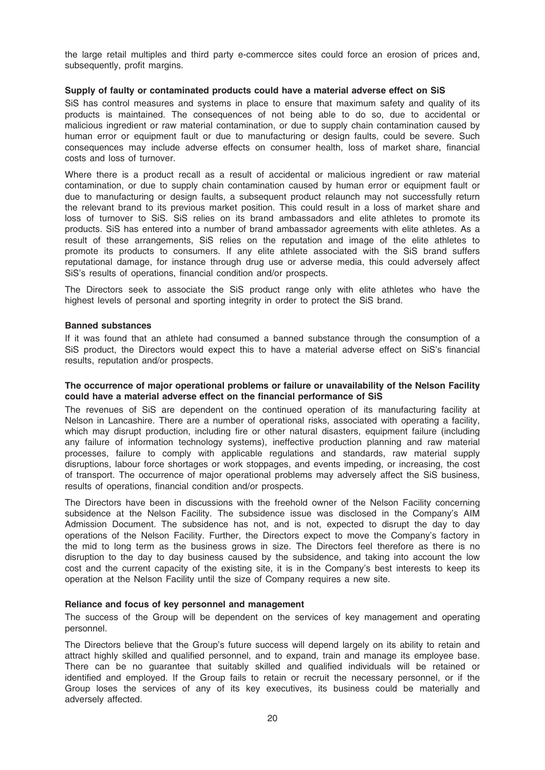the large retail multiples and third party e-commercce sites could force an erosion of prices and, subsequently, profit margins.

#### Supply of faulty or contaminated products could have a material adverse effect on SiS

SiS has control measures and systems in place to ensure that maximum safety and quality of its products is maintained. The consequences of not being able to do so, due to accidental or malicious ingredient or raw material contamination, or due to supply chain contamination caused by human error or equipment fault or due to manufacturing or design faults, could be severe. Such consequences may include adverse effects on consumer health, loss of market share, financial costs and loss of turnover.

Where there is a product recall as a result of accidental or malicious ingredient or raw material contamination, or due to supply chain contamination caused by human error or equipment fault or due to manufacturing or design faults, a subsequent product relaunch may not successfully return the relevant brand to its previous market position. This could result in a loss of market share and loss of turnover to SiS. SiS relies on its brand ambassadors and elite athletes to promote its products. SiS has entered into a number of brand ambassador agreements with elite athletes. As a result of these arrangements, SiS relies on the reputation and image of the elite athletes to promote its products to consumers. If any elite athlete associated with the SiS brand suffers reputational damage, for instance through drug use or adverse media, this could adversely affect SiS's results of operations, financial condition and/or prospects.

The Directors seek to associate the SiS product range only with elite athletes who have the highest levels of personal and sporting integrity in order to protect the SiS brand.

#### Banned substances

If it was found that an athlete had consumed a banned substance through the consumption of a SiS product, the Directors would expect this to have a material adverse effect on SiS's financial results, reputation and/or prospects.

## The occurrence of major operational problems or failure or unavailability of the Nelson Facility could have a material adverse effect on the financial performance of SiS

The revenues of SiS are dependent on the continued operation of its manufacturing facility at Nelson in Lancashire. There are a number of operational risks, associated with operating a facility, which may disrupt production, including fire or other natural disasters, equipment failure (including any failure of information technology systems), ineffective production planning and raw material processes, failure to comply with applicable regulations and standards, raw material supply disruptions, labour force shortages or work stoppages, and events impeding, or increasing, the cost of transport. The occurrence of major operational problems may adversely affect the SiS business, results of operations, financial condition and/or prospects.

The Directors have been in discussions with the freehold owner of the Nelson Facility concerning subsidence at the Nelson Facility. The subsidence issue was disclosed in the Company's AIM Admission Document. The subsidence has not, and is not, expected to disrupt the day to day operations of the Nelson Facility. Further, the Directors expect to move the Company's factory in the mid to long term as the business grows in size. The Directors feel therefore as there is no disruption to the day to day business caused by the subsidence, and taking into account the low cost and the current capacity of the existing site, it is in the Company's best interests to keep its operation at the Nelson Facility until the size of Company requires a new site.

#### Reliance and focus of key personnel and management

The success of the Group will be dependent on the services of key management and operating personnel.

The Directors believe that the Group's future success will depend largely on its ability to retain and attract highly skilled and qualified personnel, and to expand, train and manage its employee base. There can be no guarantee that suitably skilled and qualified individuals will be retained or identified and employed. If the Group fails to retain or recruit the necessary personnel, or if the Group loses the services of any of its key executives, its business could be materially and adversely affected.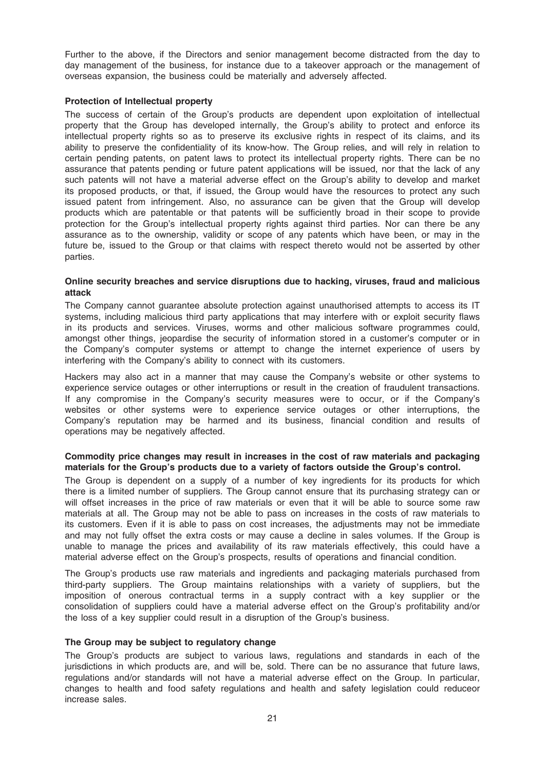Further to the above, if the Directors and senior management become distracted from the day to day management of the business, for instance due to a takeover approach or the management of overseas expansion, the business could be materially and adversely affected.

## Protection of Intellectual property

The success of certain of the Group's products are dependent upon exploitation of intellectual property that the Group has developed internally, the Group's ability to protect and enforce its intellectual property rights so as to preserve its exclusive rights in respect of its claims, and its ability to preserve the confidentiality of its know-how. The Group relies, and will rely in relation to certain pending patents, on patent laws to protect its intellectual property rights. There can be no assurance that patents pending or future patent applications will be issued, nor that the lack of any such patents will not have a material adverse effect on the Group's ability to develop and market its proposed products, or that, if issued, the Group would have the resources to protect any such issued patent from infringement. Also, no assurance can be given that the Group will develop products which are patentable or that patents will be sufficiently broad in their scope to provide protection for the Group's intellectual property rights against third parties. Nor can there be any assurance as to the ownership, validity or scope of any patents which have been, or may in the future be, issued to the Group or that claims with respect thereto would not be asserted by other parties.

#### Online security breaches and service disruptions due to hacking, viruses, fraud and malicious attack

The Company cannot guarantee absolute protection against unauthorised attempts to access its IT systems, including malicious third party applications that may interfere with or exploit security flaws in its products and services. Viruses, worms and other malicious software programmes could, amongst other things, jeopardise the security of information stored in a customer's computer or in the Company's computer systems or attempt to change the internet experience of users by interfering with the Company's ability to connect with its customers.

Hackers may also act in a manner that may cause the Company's website or other systems to experience service outages or other interruptions or result in the creation of fraudulent transactions. If any compromise in the Company's security measures were to occur, or if the Company's websites or other systems were to experience service outages or other interruptions, the Company's reputation may be harmed and its business, financial condition and results of operations may be negatively affected.

## Commodity price changes may result in increases in the cost of raw materials and packaging materials for the Group's products due to a variety of factors outside the Group's control.

The Group is dependent on a supply of a number of key ingredients for its products for which there is a limited number of suppliers. The Group cannot ensure that its purchasing strategy can or will offset increases in the price of raw materials or even that it will be able to source some raw materials at all. The Group may not be able to pass on increases in the costs of raw materials to its customers. Even if it is able to pass on cost increases, the adjustments may not be immediate and may not fully offset the extra costs or may cause a decline in sales volumes. If the Group is unable to manage the prices and availability of its raw materials effectively, this could have a material adverse effect on the Group's prospects, results of operations and financial condition.

The Group's products use raw materials and ingredients and packaging materials purchased from third-party suppliers. The Group maintains relationships with a variety of suppliers, but the imposition of onerous contractual terms in a supply contract with a key supplier or the consolidation of suppliers could have a material adverse effect on the Group's profitability and/or the loss of a key supplier could result in a disruption of the Group's business.

#### The Group may be subject to regulatory change

The Group's products are subject to various laws, regulations and standards in each of the jurisdictions in which products are, and will be, sold. There can be no assurance that future laws, regulations and/or standards will not have a material adverse effect on the Group. In particular, changes to health and food safety regulations and health and safety legislation could reduceor increase sales.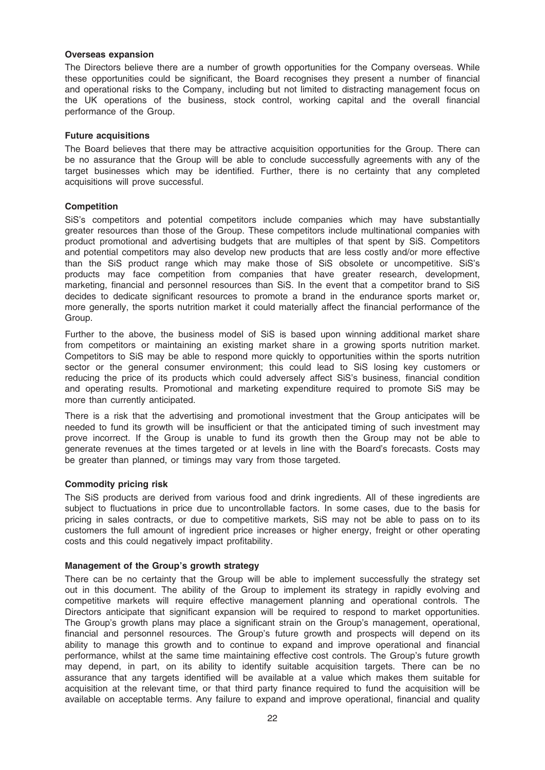## Overseas expansion

The Directors believe there are a number of growth opportunities for the Company overseas. While these opportunities could be significant, the Board recognises they present a number of financial and operational risks to the Company, including but not limited to distracting management focus on the UK operations of the business, stock control, working capital and the overall financial performance of the Group.

## Future acquisitions

The Board believes that there may be attractive acquisition opportunities for the Group. There can be no assurance that the Group will be able to conclude successfully agreements with any of the target businesses which may be identified. Further, there is no certainty that any completed acquisitions will prove successful.

## **Competition**

SiS's competitors and potential competitors include companies which may have substantially greater resources than those of the Group. These competitors include multinational companies with product promotional and advertising budgets that are multiples of that spent by SiS. Competitors and potential competitors may also develop new products that are less costly and/or more effective than the SiS product range which may make those of SiS obsolete or uncompetitive. SiS's products may face competition from companies that have greater research, development, marketing, financial and personnel resources than SiS. In the event that a competitor brand to SiS decides to dedicate significant resources to promote a brand in the endurance sports market or, more generally, the sports nutrition market it could materially affect the financial performance of the Group.

Further to the above, the business model of SiS is based upon winning additional market share from competitors or maintaining an existing market share in a growing sports nutrition market. Competitors to SiS may be able to respond more quickly to opportunities within the sports nutrition sector or the general consumer environment; this could lead to SiS losing key customers or reducing the price of its products which could adversely affect SiS's business, financial condition and operating results. Promotional and marketing expenditure required to promote SiS may be more than currently anticipated.

There is a risk that the advertising and promotional investment that the Group anticipates will be needed to fund its growth will be insufficient or that the anticipated timing of such investment may prove incorrect. If the Group is unable to fund its growth then the Group may not be able to generate revenues at the times targeted or at levels in line with the Board's forecasts. Costs may be greater than planned, or timings may vary from those targeted.

#### Commodity pricing risk

The SiS products are derived from various food and drink ingredients. All of these ingredients are subject to fluctuations in price due to uncontrollable factors. In some cases, due to the basis for pricing in sales contracts, or due to competitive markets, SiS may not be able to pass on to its customers the full amount of ingredient price increases or higher energy, freight or other operating costs and this could negatively impact profitability.

## Management of the Group's growth strategy

There can be no certainty that the Group will be able to implement successfully the strategy set out in this document. The ability of the Group to implement its strategy in rapidly evolving and competitive markets will require effective management planning and operational controls. The Directors anticipate that significant expansion will be required to respond to market opportunities. The Group's growth plans may place a significant strain on the Group's management, operational, financial and personnel resources. The Group's future growth and prospects will depend on its ability to manage this growth and to continue to expand and improve operational and financial performance, whilst at the same time maintaining effective cost controls. The Group's future growth may depend, in part, on its ability to identify suitable acquisition targets. There can be no assurance that any targets identified will be available at a value which makes them suitable for acquisition at the relevant time, or that third party finance required to fund the acquisition will be available on acceptable terms. Any failure to expand and improve operational, financial and quality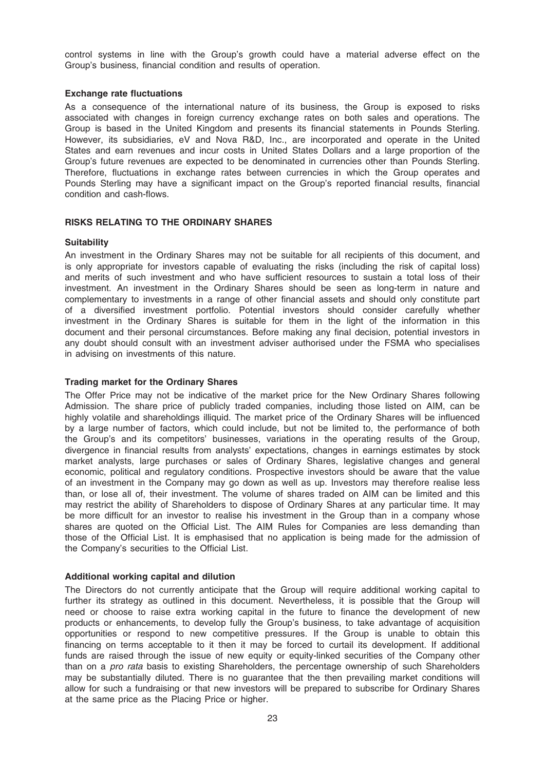control systems in line with the Group's growth could have a material adverse effect on the Group's business, financial condition and results of operation.

## Exchange rate fluctuations

As a consequence of the international nature of its business, the Group is exposed to risks associated with changes in foreign currency exchange rates on both sales and operations. The Group is based in the United Kingdom and presents its financial statements in Pounds Sterling. However, its subsidiaries, eV and Nova R&D, Inc., are incorporated and operate in the United States and earn revenues and incur costs in United States Dollars and a large proportion of the Group's future revenues are expected to be denominated in currencies other than Pounds Sterling. Therefore, fluctuations in exchange rates between currencies in which the Group operates and Pounds Sterling may have a significant impact on the Group's reported financial results, financial condition and cash-flows.

## RISKS RELATING TO THE ORDINARY SHARES

#### **Suitability**

An investment in the Ordinary Shares may not be suitable for all recipients of this document, and is only appropriate for investors capable of evaluating the risks (including the risk of capital loss) and merits of such investment and who have sufficient resources to sustain a total loss of their investment. An investment in the Ordinary Shares should be seen as long-term in nature and complementary to investments in a range of other financial assets and should only constitute part of a diversified investment portfolio. Potential investors should consider carefully whether investment in the Ordinary Shares is suitable for them in the light of the information in this document and their personal circumstances. Before making any final decision, potential investors in any doubt should consult with an investment adviser authorised under the FSMA who specialises in advising on investments of this nature.

## Trading market for the Ordinary Shares

The Offer Price may not be indicative of the market price for the New Ordinary Shares following Admission. The share price of publicly traded companies, including those listed on AIM, can be highly volatile and shareholdings illiquid. The market price of the Ordinary Shares will be influenced by a large number of factors, which could include, but not be limited to, the performance of both the Group's and its competitors' businesses, variations in the operating results of the Group, divergence in financial results from analysts' expectations, changes in earnings estimates by stock market analysts, large purchases or sales of Ordinary Shares, legislative changes and general economic, political and regulatory conditions. Prospective investors should be aware that the value of an investment in the Company may go down as well as up. Investors may therefore realise less than, or lose all of, their investment. The volume of shares traded on AIM can be limited and this may restrict the ability of Shareholders to dispose of Ordinary Shares at any particular time. It may be more difficult for an investor to realise his investment in the Group than in a company whose shares are quoted on the Official List. The AIM Rules for Companies are less demanding than those of the Official List. It is emphasised that no application is being made for the admission of the Company's securities to the Official List.

#### Additional working capital and dilution

The Directors do not currently anticipate that the Group will require additional working capital to further its strategy as outlined in this document. Nevertheless, it is possible that the Group will need or choose to raise extra working capital in the future to finance the development of new products or enhancements, to develop fully the Group's business, to take advantage of acquisition opportunities or respond to new competitive pressures. If the Group is unable to obtain this financing on terms acceptable to it then it may be forced to curtail its development. If additional funds are raised through the issue of new equity or equity-linked securities of the Company other than on a *pro rata* basis to existing Shareholders, the percentage ownership of such Shareholders may be substantially diluted. There is no guarantee that the then prevailing market conditions will allow for such a fundraising or that new investors will be prepared to subscribe for Ordinary Shares at the same price as the Placing Price or higher.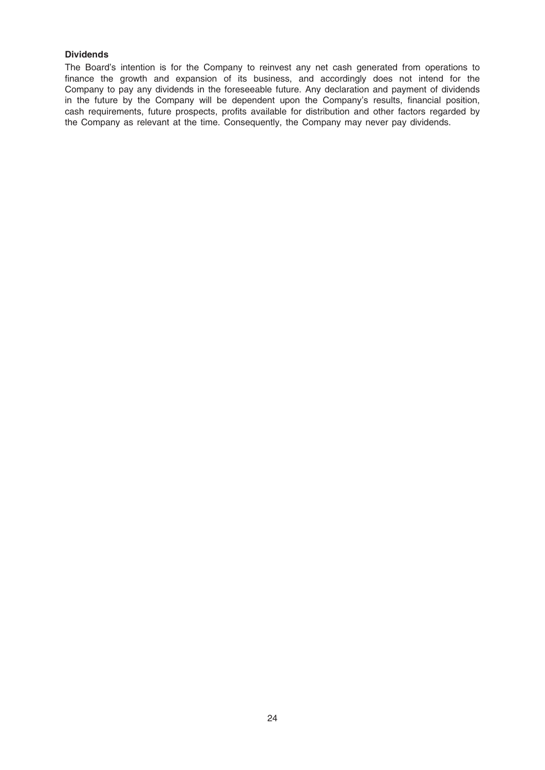## **Dividends**

The Board's intention is for the Company to reinvest any net cash generated from operations to finance the growth and expansion of its business, and accordingly does not intend for the Company to pay any dividends in the foreseeable future. Any declaration and payment of dividends in the future by the Company will be dependent upon the Company's results, financial position, cash requirements, future prospects, profits available for distribution and other factors regarded by the Company as relevant at the time. Consequently, the Company may never pay dividends.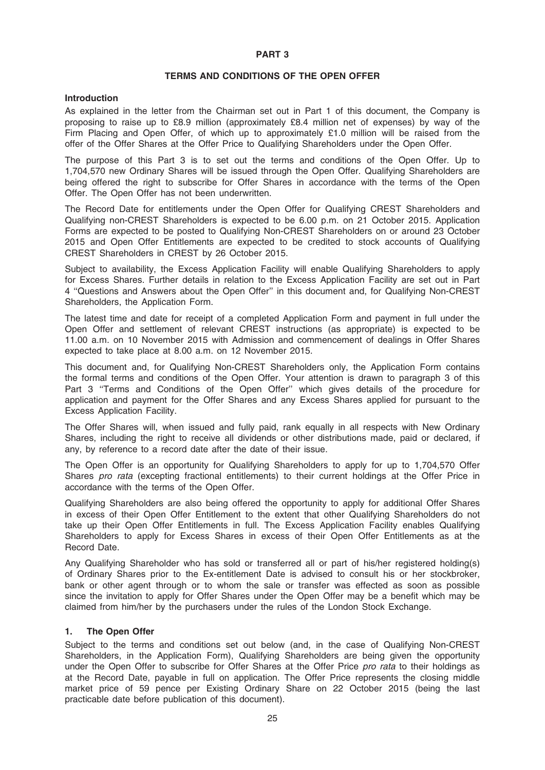#### PART 3

## TERMS AND CONDITIONS OF THE OPEN OFFER

#### Introduction

As explained in the letter from the Chairman set out in Part 1 of this document, the Company is proposing to raise up to £8.9 million (approximately £8.4 million net of expenses) by way of the Firm Placing and Open Offer, of which up to approximately £1.0 million will be raised from the offer of the Offer Shares at the Offer Price to Qualifying Shareholders under the Open Offer.

The purpose of this Part 3 is to set out the terms and conditions of the Open Offer. Up to 1,704,570 new Ordinary Shares will be issued through the Open Offer. Qualifying Shareholders are being offered the right to subscribe for Offer Shares in accordance with the terms of the Open Offer. The Open Offer has not been underwritten.

The Record Date for entitlements under the Open Offer for Qualifying CREST Shareholders and Qualifying non-CREST Shareholders is expected to be 6.00 p.m. on 21 October 2015. Application Forms are expected to be posted to Qualifying Non-CREST Shareholders on or around 23 October 2015 and Open Offer Entitlements are expected to be credited to stock accounts of Qualifying CREST Shareholders in CREST by 26 October 2015.

Subject to availability, the Excess Application Facility will enable Qualifying Shareholders to apply for Excess Shares. Further details in relation to the Excess Application Facility are set out in Part 4 ''Questions and Answers about the Open Offer'' in this document and, for Qualifying Non-CREST Shareholders, the Application Form.

The latest time and date for receipt of a completed Application Form and payment in full under the Open Offer and settlement of relevant CREST instructions (as appropriate) is expected to be 11.00 a.m. on 10 November 2015 with Admission and commencement of dealings in Offer Shares expected to take place at 8.00 a.m. on 12 November 2015.

This document and, for Qualifying Non-CREST Shareholders only, the Application Form contains the formal terms and conditions of the Open Offer. Your attention is drawn to paragraph 3 of this Part 3 ''Terms and Conditions of the Open Offer'' which gives details of the procedure for application and payment for the Offer Shares and any Excess Shares applied for pursuant to the Excess Application Facility.

The Offer Shares will, when issued and fully paid, rank equally in all respects with New Ordinary Shares, including the right to receive all dividends or other distributions made, paid or declared, if any, by reference to a record date after the date of their issue.

The Open Offer is an opportunity for Qualifying Shareholders to apply for up to 1,704,570 Offer Shares pro rata (excepting fractional entitlements) to their current holdings at the Offer Price in accordance with the terms of the Open Offer.

Qualifying Shareholders are also being offered the opportunity to apply for additional Offer Shares in excess of their Open Offer Entitlement to the extent that other Qualifying Shareholders do not take up their Open Offer Entitlements in full. The Excess Application Facility enables Qualifying Shareholders to apply for Excess Shares in excess of their Open Offer Entitlements as at the Record Date.

Any Qualifying Shareholder who has sold or transferred all or part of his/her registered holding(s) of Ordinary Shares prior to the Ex-entitlement Date is advised to consult his or her stockbroker, bank or other agent through or to whom the sale or transfer was effected as soon as possible since the invitation to apply for Offer Shares under the Open Offer may be a benefit which may be claimed from him/her by the purchasers under the rules of the London Stock Exchange.

#### 1. The Open Offer

Subject to the terms and conditions set out below (and, in the case of Qualifying Non-CREST Shareholders, in the Application Form), Qualifying Shareholders are being given the opportunity under the Open Offer to subscribe for Offer Shares at the Offer Price pro rata to their holdings as at the Record Date, payable in full on application. The Offer Price represents the closing middle market price of 59 pence per Existing Ordinary Share on 22 October 2015 (being the last practicable date before publication of this document).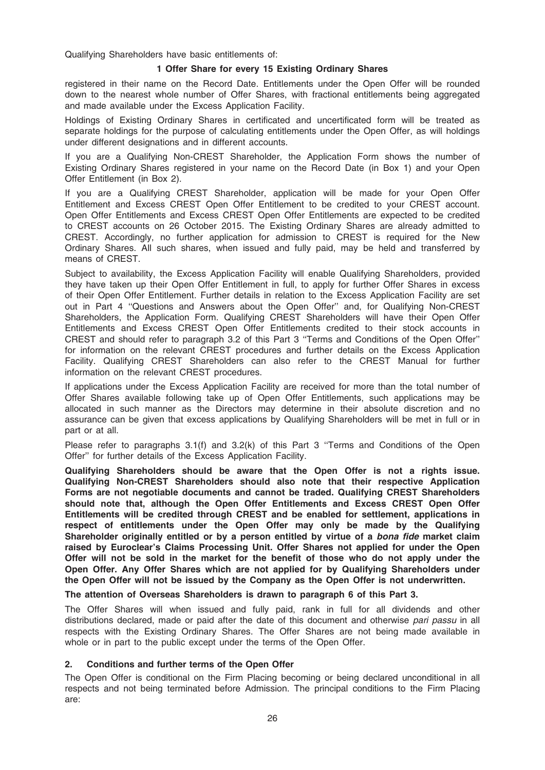Qualifying Shareholders have basic entitlements of:

## 1 Offer Share for every 15 Existing Ordinary Shares

registered in their name on the Record Date. Entitlements under the Open Offer will be rounded down to the nearest whole number of Offer Shares, with fractional entitlements being aggregated and made available under the Excess Application Facility.

Holdings of Existing Ordinary Shares in certificated and uncertificated form will be treated as separate holdings for the purpose of calculating entitlements under the Open Offer, as will holdings under different designations and in different accounts.

If you are a Qualifying Non-CREST Shareholder, the Application Form shows the number of Existing Ordinary Shares registered in your name on the Record Date (in Box 1) and your Open Offer Entitlement (in Box 2).

If you are a Qualifying CREST Shareholder, application will be made for your Open Offer Entitlement and Excess CREST Open Offer Entitlement to be credited to your CREST account. Open Offer Entitlements and Excess CREST Open Offer Entitlements are expected to be credited to CREST accounts on 26 October 2015. The Existing Ordinary Shares are already admitted to CREST. Accordingly, no further application for admission to CREST is required for the New Ordinary Shares. All such shares, when issued and fully paid, may be held and transferred by means of CREST.

Subject to availability, the Excess Application Facility will enable Qualifying Shareholders, provided they have taken up their Open Offer Entitlement in full, to apply for further Offer Shares in excess of their Open Offer Entitlement. Further details in relation to the Excess Application Facility are set out in Part 4 ''Questions and Answers about the Open Offer'' and, for Qualifying Non-CREST Shareholders, the Application Form. Qualifying CREST Shareholders will have their Open Offer Entitlements and Excess CREST Open Offer Entitlements credited to their stock accounts in CREST and should refer to paragraph 3.2 of this Part 3 ''Terms and Conditions of the Open Offer'' for information on the relevant CREST procedures and further details on the Excess Application Facility. Qualifying CREST Shareholders can also refer to the CREST Manual for further information on the relevant CREST procedures.

If applications under the Excess Application Facility are received for more than the total number of Offer Shares available following take up of Open Offer Entitlements, such applications may be allocated in such manner as the Directors may determine in their absolute discretion and no assurance can be given that excess applications by Qualifying Shareholders will be met in full or in part or at all.

Please refer to paragraphs 3.1(f) and 3.2(k) of this Part 3 "Terms and Conditions of the Open Offer'' for further details of the Excess Application Facility.

Qualifying Shareholders should be aware that the Open Offer is not a rights issue. Qualifying Non-CREST Shareholders should also note that their respective Application Forms are not negotiable documents and cannot be traded. Qualifying CREST Shareholders should note that, although the Open Offer Entitlements and Excess CREST Open Offer Entitlements will be credited through CREST and be enabled for settlement, applications in respect of entitlements under the Open Offer may only be made by the Qualifying Shareholder originally entitled or by a person entitled by virtue of a *bona fide* market claim raised by Euroclear's Claims Processing Unit. Offer Shares not applied for under the Open Offer will not be sold in the market for the benefit of those who do not apply under the Open Offer. Any Offer Shares which are not applied for by Qualifying Shareholders under the Open Offer will not be issued by the Company as the Open Offer is not underwritten.

The attention of Overseas Shareholders is drawn to paragraph 6 of this Part 3.

The Offer Shares will when issued and fully paid, rank in full for all dividends and other distributions declared, made or paid after the date of this document and otherwise pari passu in all respects with the Existing Ordinary Shares. The Offer Shares are not being made available in whole or in part to the public except under the terms of the Open Offer.

## 2. Conditions and further terms of the Open Offer

The Open Offer is conditional on the Firm Placing becoming or being declared unconditional in all respects and not being terminated before Admission. The principal conditions to the Firm Placing are: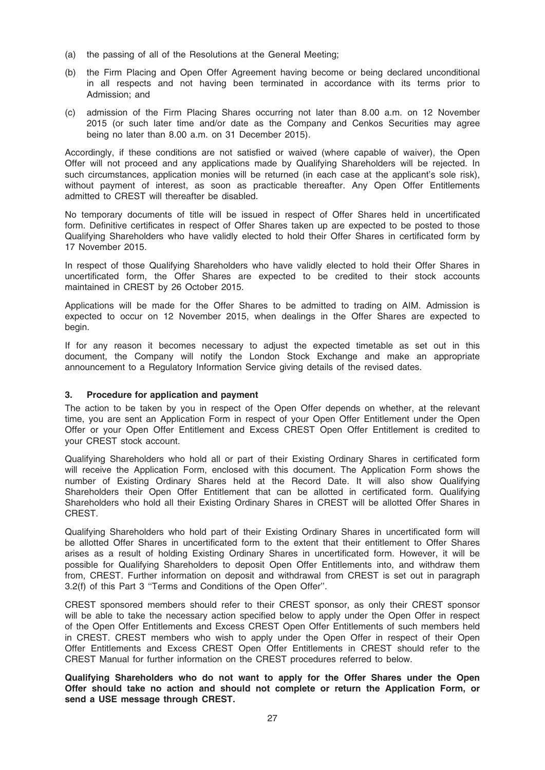- (a) the passing of all of the Resolutions at the General Meeting;
- (b) the Firm Placing and Open Offer Agreement having become or being declared unconditional in all respects and not having been terminated in accordance with its terms prior to Admission; and
- (c) admission of the Firm Placing Shares occurring not later than 8.00 a.m. on 12 November 2015 (or such later time and/or date as the Company and Cenkos Securities may agree being no later than 8.00 a.m. on 31 December 2015).

Accordingly, if these conditions are not satisfied or waived (where capable of waiver), the Open Offer will not proceed and any applications made by Qualifying Shareholders will be rejected. In such circumstances, application monies will be returned (in each case at the applicant's sole risk), without payment of interest, as soon as practicable thereafter. Any Open Offer Entitlements admitted to CREST will thereafter be disabled.

No temporary documents of title will be issued in respect of Offer Shares held in uncertificated form. Definitive certificates in respect of Offer Shares taken up are expected to be posted to those Qualifying Shareholders who have validly elected to hold their Offer Shares in certificated form by 17 November 2015.

In respect of those Qualifying Shareholders who have validly elected to hold their Offer Shares in uncertificated form, the Offer Shares are expected to be credited to their stock accounts maintained in CREST by 26 October 2015.

Applications will be made for the Offer Shares to be admitted to trading on AIM. Admission is expected to occur on 12 November 2015, when dealings in the Offer Shares are expected to begin.

If for any reason it becomes necessary to adjust the expected timetable as set out in this document, the Company will notify the London Stock Exchange and make an appropriate announcement to a Regulatory Information Service giving details of the revised dates.

## 3. Procedure for application and payment

The action to be taken by you in respect of the Open Offer depends on whether, at the relevant time, you are sent an Application Form in respect of your Open Offer Entitlement under the Open Offer or your Open Offer Entitlement and Excess CREST Open Offer Entitlement is credited to your CREST stock account.

Qualifying Shareholders who hold all or part of their Existing Ordinary Shares in certificated form will receive the Application Form, enclosed with this document. The Application Form shows the number of Existing Ordinary Shares held at the Record Date. It will also show Qualifying Shareholders their Open Offer Entitlement that can be allotted in certificated form. Qualifying Shareholders who hold all their Existing Ordinary Shares in CREST will be allotted Offer Shares in CREST.

Qualifying Shareholders who hold part of their Existing Ordinary Shares in uncertificated form will be allotted Offer Shares in uncertificated form to the extent that their entitlement to Offer Shares arises as a result of holding Existing Ordinary Shares in uncertificated form. However, it will be possible for Qualifying Shareholders to deposit Open Offer Entitlements into, and withdraw them from, CREST. Further information on deposit and withdrawal from CREST is set out in paragraph 3.2(f) of this Part 3 ''Terms and Conditions of the Open Offer''.

CREST sponsored members should refer to their CREST sponsor, as only their CREST sponsor will be able to take the necessary action specified below to apply under the Open Offer in respect of the Open Offer Entitlements and Excess CREST Open Offer Entitlements of such members held in CREST. CREST members who wish to apply under the Open Offer in respect of their Open Offer Entitlements and Excess CREST Open Offer Entitlements in CREST should refer to the CREST Manual for further information on the CREST procedures referred to below.

Qualifying Shareholders who do not want to apply for the Offer Shares under the Open Offer should take no action and should not complete or return the Application Form, or send a USE message through CREST.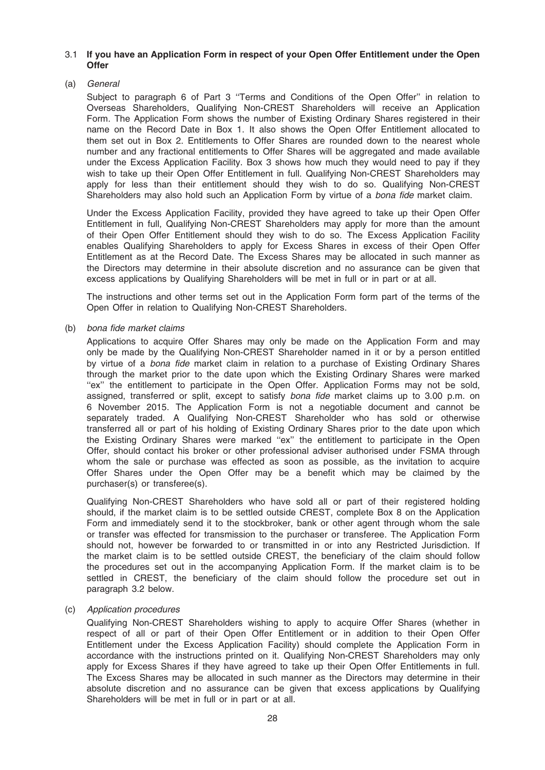## 3.1 If you have an Application Form in respect of your Open Offer Entitlement under the Open **Offer**

## (a) General

Subject to paragraph 6 of Part 3 ''Terms and Conditions of the Open Offer'' in relation to Overseas Shareholders, Qualifying Non-CREST Shareholders will receive an Application Form. The Application Form shows the number of Existing Ordinary Shares registered in their name on the Record Date in Box 1. It also shows the Open Offer Entitlement allocated to them set out in Box 2. Entitlements to Offer Shares are rounded down to the nearest whole number and any fractional entitlements to Offer Shares will be aggregated and made available under the Excess Application Facility. Box 3 shows how much they would need to pay if they wish to take up their Open Offer Entitlement in full. Qualifying Non-CREST Shareholders may apply for less than their entitlement should they wish to do so. Qualifying Non-CREST Shareholders may also hold such an Application Form by virtue of a bona fide market claim.

Under the Excess Application Facility, provided they have agreed to take up their Open Offer Entitlement in full, Qualifying Non-CREST Shareholders may apply for more than the amount of their Open Offer Entitlement should they wish to do so. The Excess Application Facility enables Qualifying Shareholders to apply for Excess Shares in excess of their Open Offer Entitlement as at the Record Date. The Excess Shares may be allocated in such manner as the Directors may determine in their absolute discretion and no assurance can be given that excess applications by Qualifying Shareholders will be met in full or in part or at all.

The instructions and other terms set out in the Application Form form part of the terms of the Open Offer in relation to Qualifying Non-CREST Shareholders.

#### (b) bona fide market claims

Applications to acquire Offer Shares may only be made on the Application Form and may only be made by the Qualifying Non-CREST Shareholder named in it or by a person entitled by virtue of a bona fide market claim in relation to a purchase of Existing Ordinary Shares through the market prior to the date upon which the Existing Ordinary Shares were marked "ex" the entitlement to participate in the Open Offer. Application Forms may not be sold, assigned, transferred or split, except to satisfy bona fide market claims up to 3.00 p.m. on 6 November 2015. The Application Form is not a negotiable document and cannot be separately traded. A Qualifying Non-CREST Shareholder who has sold or otherwise transferred all or part of his holding of Existing Ordinary Shares prior to the date upon which the Existing Ordinary Shares were marked ''ex'' the entitlement to participate in the Open Offer, should contact his broker or other professional adviser authorised under FSMA through whom the sale or purchase was effected as soon as possible, as the invitation to acquire Offer Shares under the Open Offer may be a benefit which may be claimed by the purchaser(s) or transferee(s).

Qualifying Non-CREST Shareholders who have sold all or part of their registered holding should, if the market claim is to be settled outside CREST, complete Box 8 on the Application Form and immediately send it to the stockbroker, bank or other agent through whom the sale or transfer was effected for transmission to the purchaser or transferee. The Application Form should not, however be forwarded to or transmitted in or into any Restricted Jurisdiction. If the market claim is to be settled outside CREST, the beneficiary of the claim should follow the procedures set out in the accompanying Application Form. If the market claim is to be settled in CREST, the beneficiary of the claim should follow the procedure set out in paragraph 3.2 below.

## (c) Application procedures

Qualifying Non-CREST Shareholders wishing to apply to acquire Offer Shares (whether in respect of all or part of their Open Offer Entitlement or in addition to their Open Offer Entitlement under the Excess Application Facility) should complete the Application Form in accordance with the instructions printed on it. Qualifying Non-CREST Shareholders may only apply for Excess Shares if they have agreed to take up their Open Offer Entitlements in full. The Excess Shares may be allocated in such manner as the Directors may determine in their absolute discretion and no assurance can be given that excess applications by Qualifying Shareholders will be met in full or in part or at all.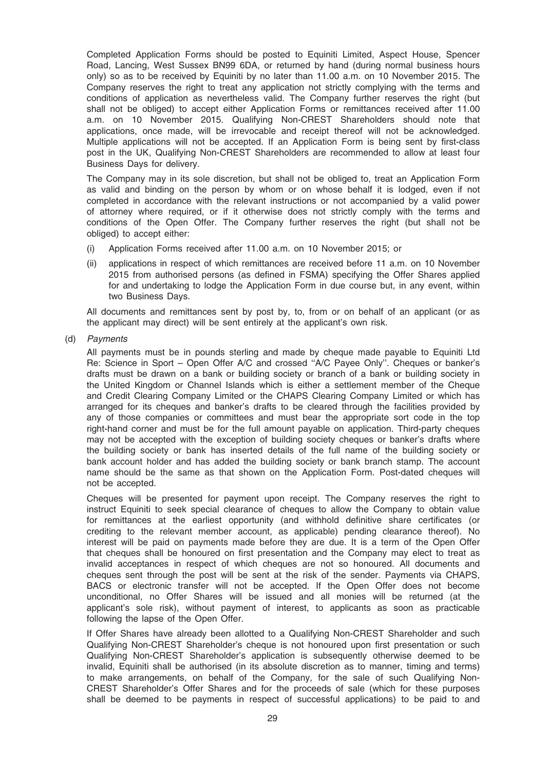Completed Application Forms should be posted to Equiniti Limited, Aspect House, Spencer Road, Lancing, West Sussex BN99 6DA, or returned by hand (during normal business hours only) so as to be received by Equiniti by no later than 11.00 a.m. on 10 November 2015. The Company reserves the right to treat any application not strictly complying with the terms and conditions of application as nevertheless valid. The Company further reserves the right (but shall not be obliged) to accept either Application Forms or remittances received after 11.00 a.m. on 10 November 2015. Qualifying Non-CREST Shareholders should note that applications, once made, will be irrevocable and receipt thereof will not be acknowledged. Multiple applications will not be accepted. If an Application Form is being sent by first-class post in the UK, Qualifying Non-CREST Shareholders are recommended to allow at least four Business Days for delivery.

The Company may in its sole discretion, but shall not be obliged to, treat an Application Form as valid and binding on the person by whom or on whose behalf it is lodged, even if not completed in accordance with the relevant instructions or not accompanied by a valid power of attorney where required, or if it otherwise does not strictly comply with the terms and conditions of the Open Offer. The Company further reserves the right (but shall not be obliged) to accept either:

- (i) Application Forms received after 11.00 a.m. on 10 November 2015; or
- (ii) applications in respect of which remittances are received before 11 a.m. on 10 November 2015 from authorised persons (as defined in FSMA) specifying the Offer Shares applied for and undertaking to lodge the Application Form in due course but, in any event, within two Business Days.

All documents and remittances sent by post by, to, from or on behalf of an applicant (or as the applicant may direct) will be sent entirely at the applicant's own risk.

(d) Payments

All payments must be in pounds sterling and made by cheque made payable to Equiniti Ltd Re: Science in Sport – Open Offer A/C and crossed ''A/C Payee Only''. Cheques or banker's drafts must be drawn on a bank or building society or branch of a bank or building society in the United Kingdom or Channel Islands which is either a settlement member of the Cheque and Credit Clearing Company Limited or the CHAPS Clearing Company Limited or which has arranged for its cheques and banker's drafts to be cleared through the facilities provided by any of those companies or committees and must bear the appropriate sort code in the top right-hand corner and must be for the full amount payable on application. Third-party cheques may not be accepted with the exception of building society cheques or banker's drafts where the building society or bank has inserted details of the full name of the building society or bank account holder and has added the building society or bank branch stamp. The account name should be the same as that shown on the Application Form. Post-dated cheques will not be accepted.

Cheques will be presented for payment upon receipt. The Company reserves the right to instruct Equiniti to seek special clearance of cheques to allow the Company to obtain value for remittances at the earliest opportunity (and withhold definitive share certificates (or crediting to the relevant member account, as applicable) pending clearance thereof). No interest will be paid on payments made before they are due. It is a term of the Open Offer that cheques shall be honoured on first presentation and the Company may elect to treat as invalid acceptances in respect of which cheques are not so honoured. All documents and cheques sent through the post will be sent at the risk of the sender. Payments via CHAPS, BACS or electronic transfer will not be accepted. If the Open Offer does not become unconditional, no Offer Shares will be issued and all monies will be returned (at the applicant's sole risk), without payment of interest, to applicants as soon as practicable following the lapse of the Open Offer.

If Offer Shares have already been allotted to a Qualifying Non-CREST Shareholder and such Qualifying Non-CREST Shareholder's cheque is not honoured upon first presentation or such Qualifying Non-CREST Shareholder's application is subsequently otherwise deemed to be invalid, Equiniti shall be authorised (in its absolute discretion as to manner, timing and terms) to make arrangements, on behalf of the Company, for the sale of such Qualifying Non-CREST Shareholder's Offer Shares and for the proceeds of sale (which for these purposes shall be deemed to be payments in respect of successful applications) to be paid to and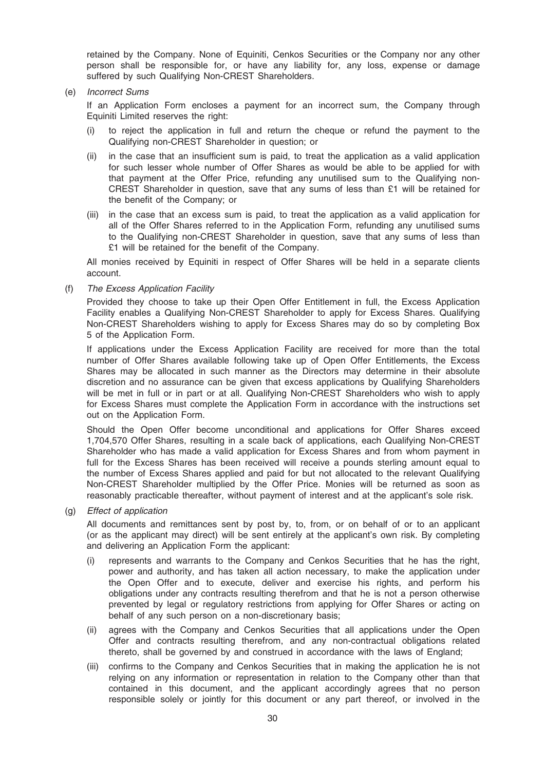retained by the Company. None of Equiniti, Cenkos Securities or the Company nor any other person shall be responsible for, or have any liability for, any loss, expense or damage suffered by such Qualifying Non-CREST Shareholders.

(e) Incorrect Sums

If an Application Form encloses a payment for an incorrect sum, the Company through Equiniti Limited reserves the right:

- (i) to reject the application in full and return the cheque or refund the payment to the Qualifying non-CREST Shareholder in question; or
- (ii) in the case that an insufficient sum is paid, to treat the application as a valid application for such lesser whole number of Offer Shares as would be able to be applied for with that payment at the Offer Price, refunding any unutilised sum to the Qualifying non-CREST Shareholder in question, save that any sums of less than £1 will be retained for the benefit of the Company; or
- (iii) in the case that an excess sum is paid, to treat the application as a valid application for all of the Offer Shares referred to in the Application Form, refunding any unutilised sums to the Qualifying non-CREST Shareholder in question, save that any sums of less than £1 will be retained for the benefit of the Company.

All monies received by Equiniti in respect of Offer Shares will be held in a separate clients account.

(f) The Excess Application Facility

Provided they choose to take up their Open Offer Entitlement in full, the Excess Application Facility enables a Qualifying Non-CREST Shareholder to apply for Excess Shares. Qualifying Non-CREST Shareholders wishing to apply for Excess Shares may do so by completing Box 5 of the Application Form.

If applications under the Excess Application Facility are received for more than the total number of Offer Shares available following take up of Open Offer Entitlements, the Excess Shares may be allocated in such manner as the Directors may determine in their absolute discretion and no assurance can be given that excess applications by Qualifying Shareholders will be met in full or in part or at all. Qualifying Non-CREST Shareholders who wish to apply for Excess Shares must complete the Application Form in accordance with the instructions set out on the Application Form.

Should the Open Offer become unconditional and applications for Offer Shares exceed 1,704,570 Offer Shares, resulting in a scale back of applications, each Qualifying Non-CREST Shareholder who has made a valid application for Excess Shares and from whom payment in full for the Excess Shares has been received will receive a pounds sterling amount equal to the number of Excess Shares applied and paid for but not allocated to the relevant Qualifying Non-CREST Shareholder multiplied by the Offer Price. Monies will be returned as soon as reasonably practicable thereafter, without payment of interest and at the applicant's sole risk.

#### (g) Effect of application

All documents and remittances sent by post by, to, from, or on behalf of or to an applicant (or as the applicant may direct) will be sent entirely at the applicant's own risk. By completing and delivering an Application Form the applicant:

- (i) represents and warrants to the Company and Cenkos Securities that he has the right, power and authority, and has taken all action necessary, to make the application under the Open Offer and to execute, deliver and exercise his rights, and perform his obligations under any contracts resulting therefrom and that he is not a person otherwise prevented by legal or regulatory restrictions from applying for Offer Shares or acting on behalf of any such person on a non-discretionary basis;
- (ii) agrees with the Company and Cenkos Securities that all applications under the Open Offer and contracts resulting therefrom, and any non-contractual obligations related thereto, shall be governed by and construed in accordance with the laws of England;
- (iii) confirms to the Company and Cenkos Securities that in making the application he is not relying on any information or representation in relation to the Company other than that contained in this document, and the applicant accordingly agrees that no person responsible solely or jointly for this document or any part thereof, or involved in the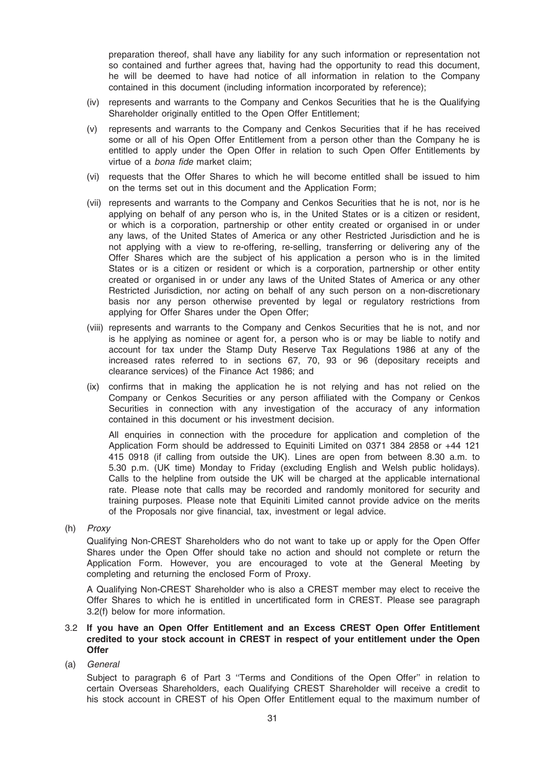preparation thereof, shall have any liability for any such information or representation not so contained and further agrees that, having had the opportunity to read this document, he will be deemed to have had notice of all information in relation to the Company contained in this document (including information incorporated by reference);

- (iv) represents and warrants to the Company and Cenkos Securities that he is the Qualifying Shareholder originally entitled to the Open Offer Entitlement;
- (v) represents and warrants to the Company and Cenkos Securities that if he has received some or all of his Open Offer Entitlement from a person other than the Company he is entitled to apply under the Open Offer in relation to such Open Offer Entitlements by virtue of a bona fide market claim;
- (vi) requests that the Offer Shares to which he will become entitled shall be issued to him on the terms set out in this document and the Application Form;
- (vii) represents and warrants to the Company and Cenkos Securities that he is not, nor is he applying on behalf of any person who is, in the United States or is a citizen or resident, or which is a corporation, partnership or other entity created or organised in or under any laws, of the United States of America or any other Restricted Jurisdiction and he is not applying with a view to re-offering, re-selling, transferring or delivering any of the Offer Shares which are the subject of his application a person who is in the limited States or is a citizen or resident or which is a corporation, partnership or other entity created or organised in or under any laws of the United States of America or any other Restricted Jurisdiction, nor acting on behalf of any such person on a non-discretionary basis nor any person otherwise prevented by legal or regulatory restrictions from applying for Offer Shares under the Open Offer;
- (viii) represents and warrants to the Company and Cenkos Securities that he is not, and nor is he applying as nominee or agent for, a person who is or may be liable to notify and account for tax under the Stamp Duty Reserve Tax Regulations 1986 at any of the increased rates referred to in sections 67, 70, 93 or 96 (depositary receipts and clearance services) of the Finance Act 1986; and
- (ix) confirms that in making the application he is not relying and has not relied on the Company or Cenkos Securities or any person affiliated with the Company or Cenkos Securities in connection with any investigation of the accuracy of any information contained in this document or his investment decision.

All enquiries in connection with the procedure for application and completion of the Application Form should be addressed to Equiniti Limited on 0371 384 2858 or +44 121 415 0918 (if calling from outside the UK). Lines are open from between 8.30 a.m. to 5.30 p.m. (UK time) Monday to Friday (excluding English and Welsh public holidays). Calls to the helpline from outside the UK will be charged at the applicable international rate. Please note that calls may be recorded and randomly monitored for security and training purposes. Please note that Equiniti Limited cannot provide advice on the merits of the Proposals nor give financial, tax, investment or legal advice.

(h) Proxy

Qualifying Non-CREST Shareholders who do not want to take up or apply for the Open Offer Shares under the Open Offer should take no action and should not complete or return the Application Form. However, you are encouraged to vote at the General Meeting by completing and returning the enclosed Form of Proxy.

A Qualifying Non-CREST Shareholder who is also a CREST member may elect to receive the Offer Shares to which he is entitled in uncertificated form in CREST. Please see paragraph 3.2(f) below for more information.

## 3.2 If you have an Open Offer Entitlement and an Excess CREST Open Offer Entitlement credited to your stock account in CREST in respect of your entitlement under the Open **Offer**

(a) General

Subject to paragraph 6 of Part 3 ''Terms and Conditions of the Open Offer'' in relation to certain Overseas Shareholders, each Qualifying CREST Shareholder will receive a credit to his stock account in CREST of his Open Offer Entitlement equal to the maximum number of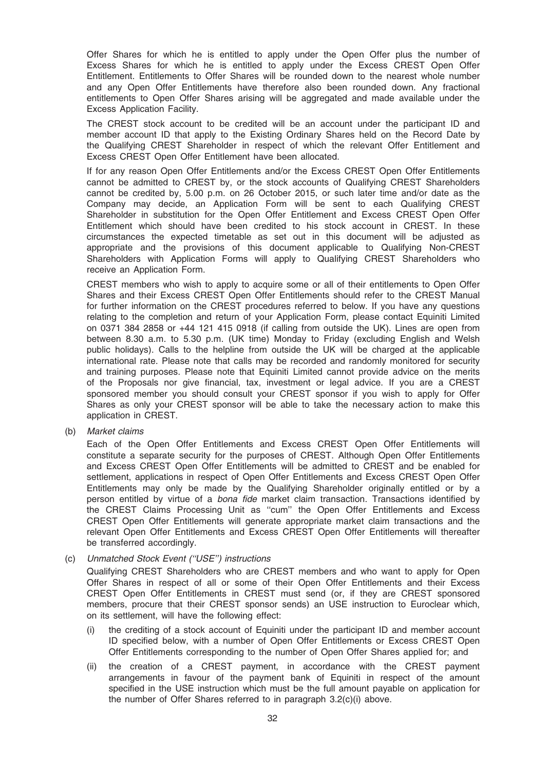Offer Shares for which he is entitled to apply under the Open Offer plus the number of Excess Shares for which he is entitled to apply under the Excess CREST Open Offer Entitlement. Entitlements to Offer Shares will be rounded down to the nearest whole number and any Open Offer Entitlements have therefore also been rounded down. Any fractional entitlements to Open Offer Shares arising will be aggregated and made available under the Excess Application Facility.

The CREST stock account to be credited will be an account under the participant ID and member account ID that apply to the Existing Ordinary Shares held on the Record Date by the Qualifying CREST Shareholder in respect of which the relevant Offer Entitlement and Excess CREST Open Offer Entitlement have been allocated.

If for any reason Open Offer Entitlements and/or the Excess CREST Open Offer Entitlements cannot be admitted to CREST by, or the stock accounts of Qualifying CREST Shareholders cannot be credited by, 5.00 p.m. on 26 October 2015, or such later time and/or date as the Company may decide, an Application Form will be sent to each Qualifying CREST Shareholder in substitution for the Open Offer Entitlement and Excess CREST Open Offer Entitlement which should have been credited to his stock account in CREST. In these circumstances the expected timetable as set out in this document will be adjusted as appropriate and the provisions of this document applicable to Qualifying Non-CREST Shareholders with Application Forms will apply to Qualifying CREST Shareholders who receive an Application Form.

CREST members who wish to apply to acquire some or all of their entitlements to Open Offer Shares and their Excess CREST Open Offer Entitlements should refer to the CREST Manual for further information on the CREST procedures referred to below. If you have any questions relating to the completion and return of your Application Form, please contact Equiniti Limited on 0371 384 2858 or +44 121 415 0918 (if calling from outside the UK). Lines are open from between 8.30 a.m. to 5.30 p.m. (UK time) Monday to Friday (excluding English and Welsh public holidays). Calls to the helpline from outside the UK will be charged at the applicable international rate. Please note that calls may be recorded and randomly monitored for security and training purposes. Please note that Equiniti Limited cannot provide advice on the merits of the Proposals nor give financial, tax, investment or legal advice. If you are a CREST sponsored member you should consult your CREST sponsor if you wish to apply for Offer Shares as only your CREST sponsor will be able to take the necessary action to make this application in CREST.

(b) Market claims

Each of the Open Offer Entitlements and Excess CREST Open Offer Entitlements will constitute a separate security for the purposes of CREST. Although Open Offer Entitlements and Excess CREST Open Offer Entitlements will be admitted to CREST and be enabled for settlement, applications in respect of Open Offer Entitlements and Excess CREST Open Offer Entitlements may only be made by the Qualifying Shareholder originally entitled or by a person entitled by virtue of a *bona fide* market claim transaction. Transactions identified by the CREST Claims Processing Unit as ''cum'' the Open Offer Entitlements and Excess CREST Open Offer Entitlements will generate appropriate market claim transactions and the relevant Open Offer Entitlements and Excess CREST Open Offer Entitlements will thereafter be transferred accordingly.

#### (c) Unmatched Stock Event (''USE'') instructions

Qualifying CREST Shareholders who are CREST members and who want to apply for Open Offer Shares in respect of all or some of their Open Offer Entitlements and their Excess CREST Open Offer Entitlements in CREST must send (or, if they are CREST sponsored members, procure that their CREST sponsor sends) an USE instruction to Euroclear which, on its settlement, will have the following effect:

- (i) the crediting of a stock account of Equiniti under the participant ID and member account ID specified below, with a number of Open Offer Entitlements or Excess CREST Open Offer Entitlements corresponding to the number of Open Offer Shares applied for; and
- (ii) the creation of a CREST payment, in accordance with the CREST payment arrangements in favour of the payment bank of Equiniti in respect of the amount specified in the USE instruction which must be the full amount payable on application for the number of Offer Shares referred to in paragraph 3.2(c)(i) above.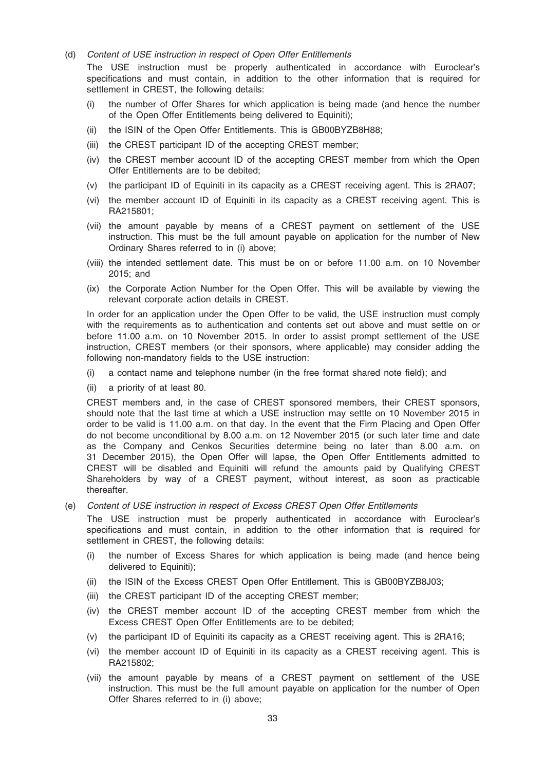(d) Content of USE instruction in respect of Open Offer Entitlements

The USE instruction must be properly authenticated in accordance with Euroclear's specifications and must contain, in addition to the other information that is required for settlement in CREST, the following details:

- (i) the number of Offer Shares for which application is being made (and hence the number of the Open Offer Entitlements being delivered to Equiniti);
- (ii) the ISIN of the Open Offer Entitlements. This is GB00BYZB8H88;
- (iii) the CREST participant ID of the accepting CREST member;
- (iv) the CREST member account ID of the accepting CREST member from which the Open Offer Entitlements are to be debited;
- (v) the participant ID of Equiniti in its capacity as a CREST receiving agent. This is 2RA07;
- (vi) the member account ID of Equiniti in its capacity as a CREST receiving agent. This is RA215801;
- (vii) the amount payable by means of a CREST payment on settlement of the USE instruction. This must be the full amount payable on application for the number of New Ordinary Shares referred to in (i) above;
- (viii) the intended settlement date. This must be on or before 11.00 a.m. on 10 November 2015; and
- (ix) the Corporate Action Number for the Open Offer. This will be available by viewing the relevant corporate action details in CREST.

In order for an application under the Open Offer to be valid, the USE instruction must comply with the requirements as to authentication and contents set out above and must settle on or before 11.00 a.m. on 10 November 2015. In order to assist prompt settlement of the USE instruction, CREST members (or their sponsors, where applicable) may consider adding the following non-mandatory fields to the USE instruction:

- (i) a contact name and telephone number (in the free format shared note field); and
- (ii) a priority of at least 80.

CREST members and, in the case of CREST sponsored members, their CREST sponsors, should note that the last time at which a USE instruction may settle on 10 November 2015 in order to be valid is 11.00 a.m. on that day. In the event that the Firm Placing and Open Offer do not become unconditional by 8.00 a.m. on 12 November 2015 (or such later time and date as the Company and Cenkos Securities determine being no later than 8.00 a.m. on 31 December 2015), the Open Offer will lapse, the Open Offer Entitlements admitted to CREST will be disabled and Equiniti will refund the amounts paid by Qualifying CREST Shareholders by way of a CREST payment, without interest, as soon as practicable thereafter.

(e) Content of USE instruction in respect of Excess CREST Open Offer Entitlements

The USE instruction must be properly authenticated in accordance with Euroclear's specifications and must contain, in addition to the other information that is required for settlement in CREST, the following details:

- (i) the number of Excess Shares for which application is being made (and hence being delivered to Equiniti);
- (ii) the ISIN of the Excess CREST Open Offer Entitlement. This is GB00BYZB8J03;
- (iii) the CREST participant ID of the accepting CREST member;
- (iv) the CREST member account ID of the accepting CREST member from which the Excess CREST Open Offer Entitlements are to be debited;
- (v) the participant ID of Equiniti its capacity as a CREST receiving agent. This is 2RA16;
- (vi) the member account ID of Equiniti in its capacity as a CREST receiving agent. This is RA215802;
- (vii) the amount payable by means of a CREST payment on settlement of the USE instruction. This must be the full amount payable on application for the number of Open Offer Shares referred to in (i) above;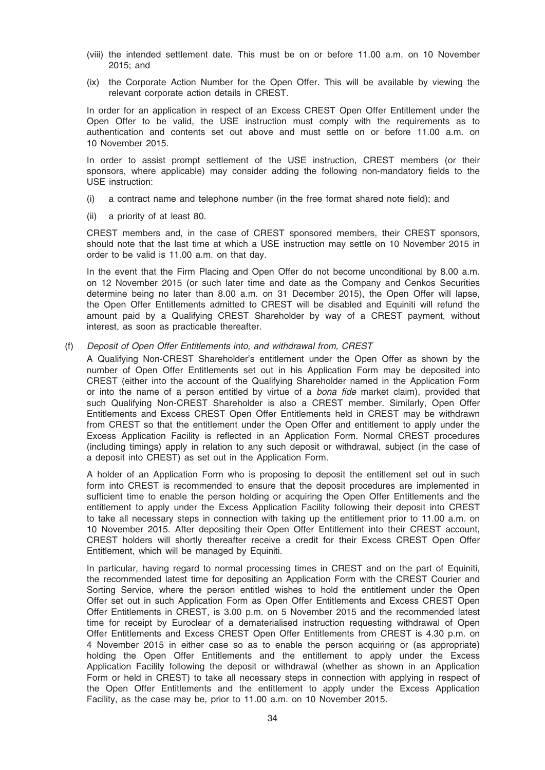- (viii) the intended settlement date. This must be on or before 11.00 a.m. on 10 November 2015; and
- (ix) the Corporate Action Number for the Open Offer. This will be available by viewing the relevant corporate action details in CREST.

In order for an application in respect of an Excess CREST Open Offer Entitlement under the Open Offer to be valid, the USE instruction must comply with the requirements as to authentication and contents set out above and must settle on or before 11.00 a.m. on 10 November 2015.

In order to assist prompt settlement of the USE instruction, CREST members (or their sponsors, where applicable) may consider adding the following non-mandatory fields to the USE instruction:

- (i) a contract name and telephone number (in the free format shared note field); and
- (ii) a priority of at least 80.

CREST members and, in the case of CREST sponsored members, their CREST sponsors, should note that the last time at which a USE instruction may settle on 10 November 2015 in order to be valid is 11.00 a.m. on that day.

In the event that the Firm Placing and Open Offer do not become unconditional by 8.00 a.m. on 12 November 2015 (or such later time and date as the Company and Cenkos Securities determine being no later than 8.00 a.m. on 31 December 2015), the Open Offer will lapse, the Open Offer Entitlements admitted to CREST will be disabled and Equiniti will refund the amount paid by a Qualifying CREST Shareholder by way of a CREST payment, without interest, as soon as practicable thereafter.

(f) Deposit of Open Offer Entitlements into, and withdrawal from, CREST

A Qualifying Non-CREST Shareholder's entitlement under the Open Offer as shown by the number of Open Offer Entitlements set out in his Application Form may be deposited into CREST (either into the account of the Qualifying Shareholder named in the Application Form or into the name of a person entitled by virtue of a bona fide market claim), provided that such Qualifying Non-CREST Shareholder is also a CREST member. Similarly, Open Offer Entitlements and Excess CREST Open Offer Entitlements held in CREST may be withdrawn from CREST so that the entitlement under the Open Offer and entitlement to apply under the Excess Application Facility is reflected in an Application Form. Normal CREST procedures (including timings) apply in relation to any such deposit or withdrawal, subject (in the case of a deposit into CREST) as set out in the Application Form.

A holder of an Application Form who is proposing to deposit the entitlement set out in such form into CREST is recommended to ensure that the deposit procedures are implemented in sufficient time to enable the person holding or acquiring the Open Offer Entitlements and the entitlement to apply under the Excess Application Facility following their deposit into CREST to take all necessary steps in connection with taking up the entitlement prior to 11.00 a.m. on 10 November 2015. After depositing their Open Offer Entitlement into their CREST account, CREST holders will shortly thereafter receive a credit for their Excess CREST Open Offer Entitlement, which will be managed by Equiniti.

In particular, having regard to normal processing times in CREST and on the part of Equiniti, the recommended latest time for depositing an Application Form with the CREST Courier and Sorting Service, where the person entitled wishes to hold the entitlement under the Open Offer set out in such Application Form as Open Offer Entitlements and Excess CREST Open Offer Entitlements in CREST, is 3.00 p.m. on 5 November 2015 and the recommended latest time for receipt by Euroclear of a dematerialised instruction requesting withdrawal of Open Offer Entitlements and Excess CREST Open Offer Entitlements from CREST is 4.30 p.m. on 4 November 2015 in either case so as to enable the person acquiring or (as appropriate) holding the Open Offer Entitlements and the entitlement to apply under the Excess Application Facility following the deposit or withdrawal (whether as shown in an Application Form or held in CREST) to take all necessary steps in connection with applying in respect of the Open Offer Entitlements and the entitlement to apply under the Excess Application Facility, as the case may be, prior to 11.00 a.m. on 10 November 2015.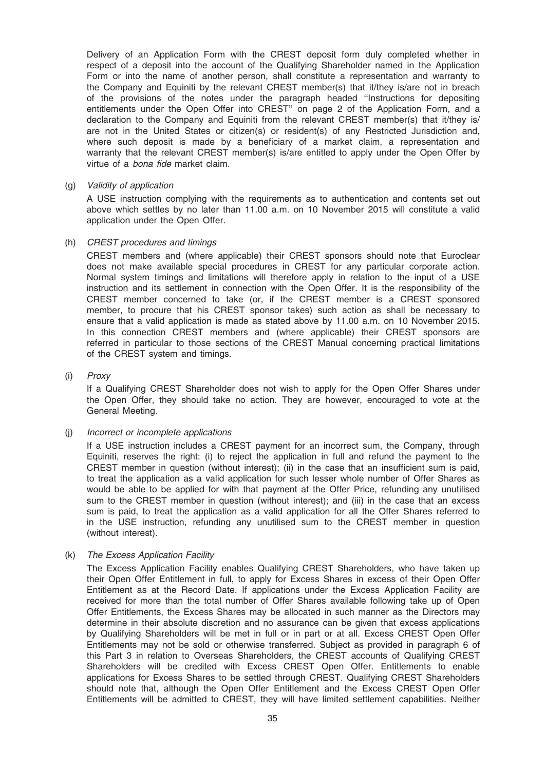Delivery of an Application Form with the CREST deposit form duly completed whether in respect of a deposit into the account of the Qualifying Shareholder named in the Application Form or into the name of another person, shall constitute a representation and warranty to the Company and Equiniti by the relevant CREST member(s) that it/they is/are not in breach of the provisions of the notes under the paragraph headed ''Instructions for depositing entitlements under the Open Offer into CREST'' on page 2 of the Application Form, and a declaration to the Company and Equiniti from the relevant CREST member(s) that it/they is/ are not in the United States or citizen(s) or resident(s) of any Restricted Jurisdiction and, where such deposit is made by a beneficiary of a market claim, a representation and warranty that the relevant CREST member(s) is/are entitled to apply under the Open Offer by virtue of a bona fide market claim.

#### (g) Validity of application

A USE instruction complying with the requirements as to authentication and contents set out above which settles by no later than 11.00 a.m. on 10 November 2015 will constitute a valid application under the Open Offer.

#### (h) CREST procedures and timings

CREST members and (where applicable) their CREST sponsors should note that Euroclear does not make available special procedures in CREST for any particular corporate action. Normal system timings and limitations will therefore apply in relation to the input of a USE instruction and its settlement in connection with the Open Offer. It is the responsibility of the CREST member concerned to take (or, if the CREST member is a CREST sponsored member, to procure that his CREST sponsor takes) such action as shall be necessary to ensure that a valid application is made as stated above by 11.00 a.m. on 10 November 2015. In this connection CREST members and (where applicable) their CREST sponsors are referred in particular to those sections of the CREST Manual concerning practical limitations of the CREST system and timings.

#### (i) Proxy

If a Qualifying CREST Shareholder does not wish to apply for the Open Offer Shares under the Open Offer, they should take no action. They are however, encouraged to vote at the General Meeting.

#### (j) Incorrect or incomplete applications

If a USE instruction includes a CREST payment for an incorrect sum, the Company, through Equiniti, reserves the right: (i) to reject the application in full and refund the payment to the CREST member in question (without interest); (ii) in the case that an insufficient sum is paid, to treat the application as a valid application for such lesser whole number of Offer Shares as would be able to be applied for with that payment at the Offer Price, refunding any unutilised sum to the CREST member in question (without interest); and (iii) in the case that an excess sum is paid, to treat the application as a valid application for all the Offer Shares referred to in the USE instruction, refunding any unutilised sum to the CREST member in question (without interest).

(k) The Excess Application Facility

The Excess Application Facility enables Qualifying CREST Shareholders, who have taken up their Open Offer Entitlement in full, to apply for Excess Shares in excess of their Open Offer Entitlement as at the Record Date. If applications under the Excess Application Facility are received for more than the total number of Offer Shares available following take up of Open Offer Entitlements, the Excess Shares may be allocated in such manner as the Directors may determine in their absolute discretion and no assurance can be given that excess applications by Qualifying Shareholders will be met in full or in part or at all. Excess CREST Open Offer Entitlements may not be sold or otherwise transferred. Subject as provided in paragraph 6 of this Part 3 in relation to Overseas Shareholders, the CREST accounts of Qualifying CREST Shareholders will be credited with Excess CREST Open Offer. Entitlements to enable applications for Excess Shares to be settled through CREST. Qualifying CREST Shareholders should note that, although the Open Offer Entitlement and the Excess CREST Open Offer Entitlements will be admitted to CREST, they will have limited settlement capabilities. Neither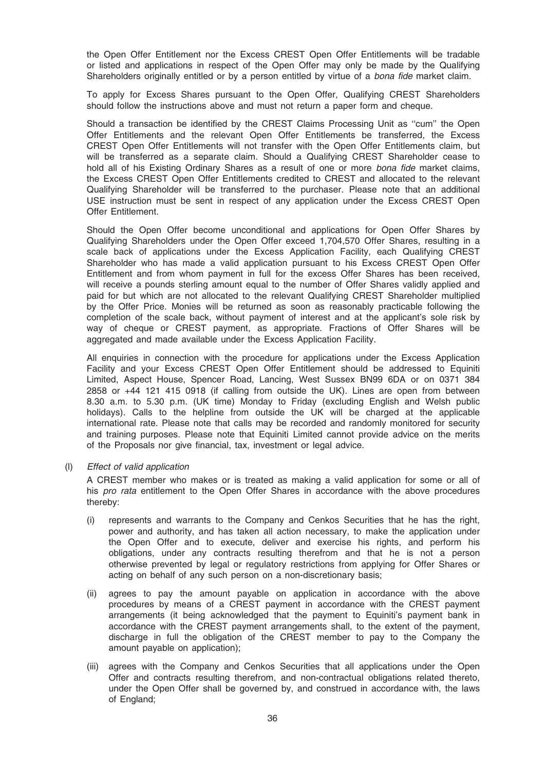the Open Offer Entitlement nor the Excess CREST Open Offer Entitlements will be tradable or listed and applications in respect of the Open Offer may only be made by the Qualifying Shareholders originally entitled or by a person entitled by virtue of a bona fide market claim.

To apply for Excess Shares pursuant to the Open Offer, Qualifying CREST Shareholders should follow the instructions above and must not return a paper form and cheque.

Should a transaction be identified by the CREST Claims Processing Unit as ''cum'' the Open Offer Entitlements and the relevant Open Offer Entitlements be transferred, the Excess CREST Open Offer Entitlements will not transfer with the Open Offer Entitlements claim, but will be transferred as a separate claim. Should a Qualifying CREST Shareholder cease to hold all of his Existing Ordinary Shares as a result of one or more bona fide market claims, the Excess CREST Open Offer Entitlements credited to CREST and allocated to the relevant Qualifying Shareholder will be transferred to the purchaser. Please note that an additional USE instruction must be sent in respect of any application under the Excess CREST Open Offer Entitlement.

Should the Open Offer become unconditional and applications for Open Offer Shares by Qualifying Shareholders under the Open Offer exceed 1,704,570 Offer Shares, resulting in a scale back of applications under the Excess Application Facility, each Qualifying CREST Shareholder who has made a valid application pursuant to his Excess CREST Open Offer Entitlement and from whom payment in full for the excess Offer Shares has been received, will receive a pounds sterling amount equal to the number of Offer Shares validly applied and paid for but which are not allocated to the relevant Qualifying CREST Shareholder multiplied by the Offer Price. Monies will be returned as soon as reasonably practicable following the completion of the scale back, without payment of interest and at the applicant's sole risk by way of cheque or CREST payment, as appropriate. Fractions of Offer Shares will be aggregated and made available under the Excess Application Facility.

All enquiries in connection with the procedure for applications under the Excess Application Facility and your Excess CREST Open Offer Entitlement should be addressed to Equiniti Limited, Aspect House, Spencer Road, Lancing, West Sussex BN99 6DA or on 0371 384 2858 or +44 121 415 0918 (if calling from outside the UK). Lines are open from between 8.30 a.m. to 5.30 p.m. (UK time) Monday to Friday (excluding English and Welsh public holidays). Calls to the helpline from outside the UK will be charged at the applicable international rate. Please note that calls may be recorded and randomly monitored for security and training purposes. Please note that Equiniti Limited cannot provide advice on the merits of the Proposals nor give financial, tax, investment or legal advice.

(l) Effect of valid application

A CREST member who makes or is treated as making a valid application for some or all of his pro rata entitlement to the Open Offer Shares in accordance with the above procedures thereby:

- (i) represents and warrants to the Company and Cenkos Securities that he has the right, power and authority, and has taken all action necessary, to make the application under the Open Offer and to execute, deliver and exercise his rights, and perform his obligations, under any contracts resulting therefrom and that he is not a person otherwise prevented by legal or regulatory restrictions from applying for Offer Shares or acting on behalf of any such person on a non-discretionary basis;
- (ii) agrees to pay the amount payable on application in accordance with the above procedures by means of a CREST payment in accordance with the CREST payment arrangements (it being acknowledged that the payment to Equiniti's payment bank in accordance with the CREST payment arrangements shall, to the extent of the payment, discharge in full the obligation of the CREST member to pay to the Company the amount payable on application);
- (iii) agrees with the Company and Cenkos Securities that all applications under the Open Offer and contracts resulting therefrom, and non-contractual obligations related thereto, under the Open Offer shall be governed by, and construed in accordance with, the laws of England;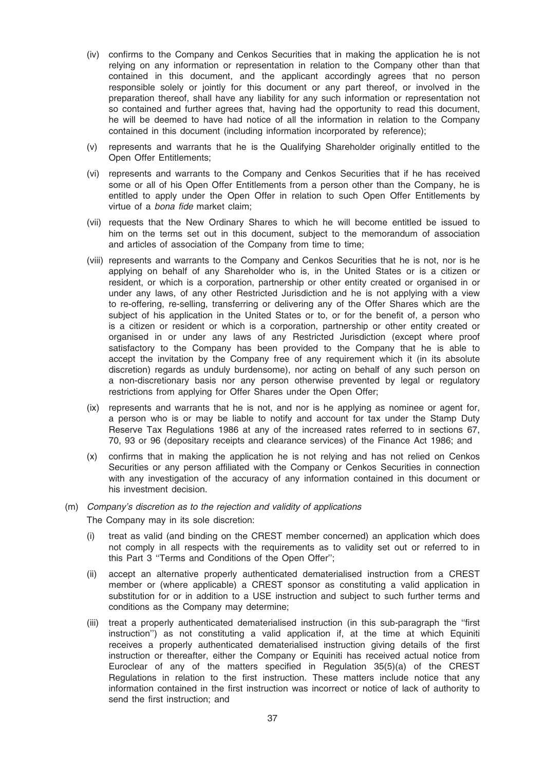- (iv) confirms to the Company and Cenkos Securities that in making the application he is not relying on any information or representation in relation to the Company other than that contained in this document, and the applicant accordingly agrees that no person responsible solely or jointly for this document or any part thereof, or involved in the preparation thereof, shall have any liability for any such information or representation not so contained and further agrees that, having had the opportunity to read this document, he will be deemed to have had notice of all the information in relation to the Company contained in this document (including information incorporated by reference);
- (v) represents and warrants that he is the Qualifying Shareholder originally entitled to the Open Offer Entitlements;
- (vi) represents and warrants to the Company and Cenkos Securities that if he has received some or all of his Open Offer Entitlements from a person other than the Company, he is entitled to apply under the Open Offer in relation to such Open Offer Entitlements by virtue of a bona fide market claim;
- (vii) requests that the New Ordinary Shares to which he will become entitled be issued to him on the terms set out in this document, subject to the memorandum of association and articles of association of the Company from time to time;
- (viii) represents and warrants to the Company and Cenkos Securities that he is not, nor is he applying on behalf of any Shareholder who is, in the United States or is a citizen or resident, or which is a corporation, partnership or other entity created or organised in or under any laws, of any other Restricted Jurisdiction and he is not applying with a view to re-offering, re-selling, transferring or delivering any of the Offer Shares which are the subject of his application in the United States or to, or for the benefit of, a person who is a citizen or resident or which is a corporation, partnership or other entity created or organised in or under any laws of any Restricted Jurisdiction (except where proof satisfactory to the Company has been provided to the Company that he is able to accept the invitation by the Company free of any requirement which it (in its absolute discretion) regards as unduly burdensome), nor acting on behalf of any such person on a non-discretionary basis nor any person otherwise prevented by legal or regulatory restrictions from applying for Offer Shares under the Open Offer;
- (ix) represents and warrants that he is not, and nor is he applying as nominee or agent for, a person who is or may be liable to notify and account for tax under the Stamp Duty Reserve Tax Regulations 1986 at any of the increased rates referred to in sections 67, 70, 93 or 96 (depositary receipts and clearance services) of the Finance Act 1986; and
- (x) confirms that in making the application he is not relying and has not relied on Cenkos Securities or any person affiliated with the Company or Cenkos Securities in connection with any investigation of the accuracy of any information contained in this document or his investment decision.

# (m) Company's discretion as to the rejection and validity of applications The Company may in its sole discretion:

- (i) treat as valid (and binding on the CREST member concerned) an application which does not comply in all respects with the requirements as to validity set out or referred to in this Part 3 ''Terms and Conditions of the Open Offer'';
- (ii) accept an alternative properly authenticated dematerialised instruction from a CREST member or (where applicable) a CREST sponsor as constituting a valid application in substitution for or in addition to a USE instruction and subject to such further terms and conditions as the Company may determine;
- (iii) treat a properly authenticated dematerialised instruction (in this sub-paragraph the ''first instruction'') as not constituting a valid application if, at the time at which Equiniti receives a properly authenticated dematerialised instruction giving details of the first instruction or thereafter, either the Company or Equiniti has received actual notice from Euroclear of any of the matters specified in Regulation 35(5)(a) of the CREST Regulations in relation to the first instruction. These matters include notice that any information contained in the first instruction was incorrect or notice of lack of authority to send the first instruction; and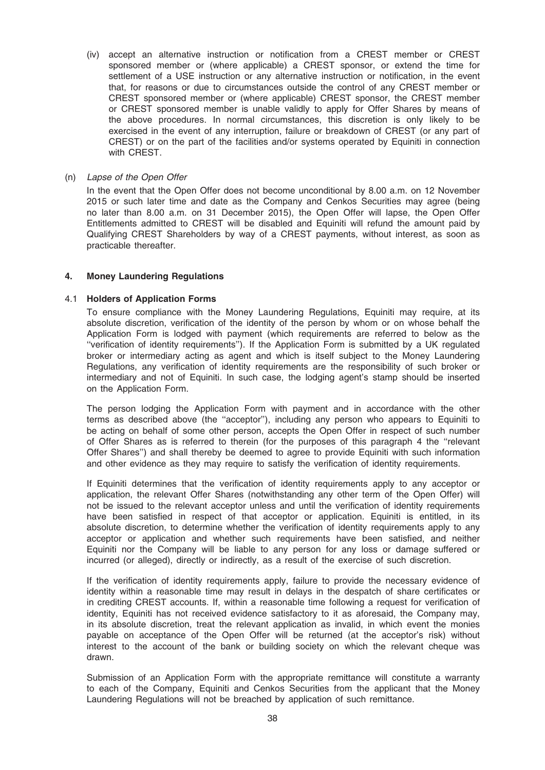(iv) accept an alternative instruction or notification from a CREST member or CREST sponsored member or (where applicable) a CREST sponsor, or extend the time for settlement of a USE instruction or any alternative instruction or notification, in the event that, for reasons or due to circumstances outside the control of any CREST member or CREST sponsored member or (where applicable) CREST sponsor, the CREST member or CREST sponsored member is unable validly to apply for Offer Shares by means of the above procedures. In normal circumstances, this discretion is only likely to be exercised in the event of any interruption, failure or breakdown of CREST (or any part of CREST) or on the part of the facilities and/or systems operated by Equiniti in connection with CREST.

#### (n) Lapse of the Open Offer

In the event that the Open Offer does not become unconditional by 8.00 a.m. on 12 November 2015 or such later time and date as the Company and Cenkos Securities may agree (being no later than 8.00 a.m. on 31 December 2015), the Open Offer will lapse, the Open Offer Entitlements admitted to CREST will be disabled and Equiniti will refund the amount paid by Qualifying CREST Shareholders by way of a CREST payments, without interest, as soon as practicable thereafter.

#### 4. Money Laundering Regulations

#### 4.1 Holders of Application Forms

To ensure compliance with the Money Laundering Regulations, Equiniti may require, at its absolute discretion, verification of the identity of the person by whom or on whose behalf the Application Form is lodged with payment (which requirements are referred to below as the ''verification of identity requirements''). If the Application Form is submitted by a UK regulated broker or intermediary acting as agent and which is itself subject to the Money Laundering Regulations, any verification of identity requirements are the responsibility of such broker or intermediary and not of Equiniti. In such case, the lodging agent's stamp should be inserted on the Application Form.

The person lodging the Application Form with payment and in accordance with the other terms as described above (the ''acceptor''), including any person who appears to Equiniti to be acting on behalf of some other person, accepts the Open Offer in respect of such number of Offer Shares as is referred to therein (for the purposes of this paragraph 4 the ''relevant Offer Shares'') and shall thereby be deemed to agree to provide Equiniti with such information and other evidence as they may require to satisfy the verification of identity requirements.

If Equiniti determines that the verification of identity requirements apply to any acceptor or application, the relevant Offer Shares (notwithstanding any other term of the Open Offer) will not be issued to the relevant acceptor unless and until the verification of identity requirements have been satisfied in respect of that acceptor or application. Equiniti is entitled, in its absolute discretion, to determine whether the verification of identity requirements apply to any acceptor or application and whether such requirements have been satisfied, and neither Equiniti nor the Company will be liable to any person for any loss or damage suffered or incurred (or alleged), directly or indirectly, as a result of the exercise of such discretion.

If the verification of identity requirements apply, failure to provide the necessary evidence of identity within a reasonable time may result in delays in the despatch of share certificates or in crediting CREST accounts. If, within a reasonable time following a request for verification of identity, Equiniti has not received evidence satisfactory to it as aforesaid, the Company may, in its absolute discretion, treat the relevant application as invalid, in which event the monies payable on acceptance of the Open Offer will be returned (at the acceptor's risk) without interest to the account of the bank or building society on which the relevant cheque was drawn.

Submission of an Application Form with the appropriate remittance will constitute a warranty to each of the Company, Equiniti and Cenkos Securities from the applicant that the Money Laundering Regulations will not be breached by application of such remittance.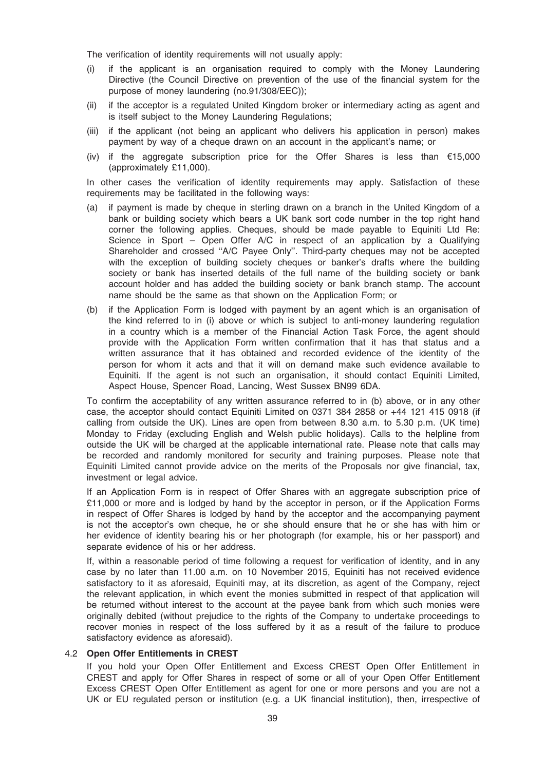The verification of identity requirements will not usually apply:

- (i) if the applicant is an organisation required to comply with the Money Laundering Directive (the Council Directive on prevention of the use of the financial system for the purpose of money laundering (no.91/308/EEC));
- (ii) if the acceptor is a regulated United Kingdom broker or intermediary acting as agent and is itself subject to the Money Laundering Regulations;
- (iii) if the applicant (not being an applicant who delivers his application in person) makes payment by way of a cheque drawn on an account in the applicant's name; or
- (iv) if the aggregate subscription price for the Offer Shares is less than  $\epsilon$ 15,000 (approximately £11,000).

In other cases the verification of identity requirements may apply. Satisfaction of these requirements may be facilitated in the following ways:

- (a) if payment is made by cheque in sterling drawn on a branch in the United Kingdom of a bank or building society which bears a UK bank sort code number in the top right hand corner the following applies. Cheques, should be made payable to Equiniti Ltd Re: Science in Sport – Open Offer A/C in respect of an application by a Qualifying Shareholder and crossed ''A/C Payee Only''. Third-party cheques may not be accepted with the exception of building society cheques or banker's drafts where the building society or bank has inserted details of the full name of the building society or bank account holder and has added the building society or bank branch stamp. The account name should be the same as that shown on the Application Form; or
- (b) if the Application Form is lodged with payment by an agent which is an organisation of the kind referred to in (i) above or which is subject to anti-money laundering regulation in a country which is a member of the Financial Action Task Force, the agent should provide with the Application Form written confirmation that it has that status and a written assurance that it has obtained and recorded evidence of the identity of the person for whom it acts and that it will on demand make such evidence available to Equiniti. If the agent is not such an organisation, it should contact Equiniti Limited, Aspect House, Spencer Road, Lancing, West Sussex BN99 6DA.

To confirm the acceptability of any written assurance referred to in (b) above, or in any other case, the acceptor should contact Equiniti Limited on 0371 384 2858 or +44 121 415 0918 (if calling from outside the UK). Lines are open from between 8.30 a.m. to 5.30 p.m. (UK time) Monday to Friday (excluding English and Welsh public holidays). Calls to the helpline from outside the UK will be charged at the applicable international rate. Please note that calls may be recorded and randomly monitored for security and training purposes. Please note that Equiniti Limited cannot provide advice on the merits of the Proposals nor give financial, tax, investment or legal advice.

If an Application Form is in respect of Offer Shares with an aggregate subscription price of £11,000 or more and is lodged by hand by the acceptor in person, or if the Application Forms in respect of Offer Shares is lodged by hand by the acceptor and the accompanying payment is not the acceptor's own cheque, he or she should ensure that he or she has with him or her evidence of identity bearing his or her photograph (for example, his or her passport) and separate evidence of his or her address.

If, within a reasonable period of time following a request for verification of identity, and in any case by no later than 11.00 a.m. on 10 November 2015, Equiniti has not received evidence satisfactory to it as aforesaid, Equiniti may, at its discretion, as agent of the Company, reject the relevant application, in which event the monies submitted in respect of that application will be returned without interest to the account at the payee bank from which such monies were originally debited (without prejudice to the rights of the Company to undertake proceedings to recover monies in respect of the loss suffered by it as a result of the failure to produce satisfactory evidence as aforesaid).

#### 4.2 Open Offer Entitlements in CREST

If you hold your Open Offer Entitlement and Excess CREST Open Offer Entitlement in CREST and apply for Offer Shares in respect of some or all of your Open Offer Entitlement Excess CREST Open Offer Entitlement as agent for one or more persons and you are not a UK or EU regulated person or institution (e.g. a UK financial institution), then, irrespective of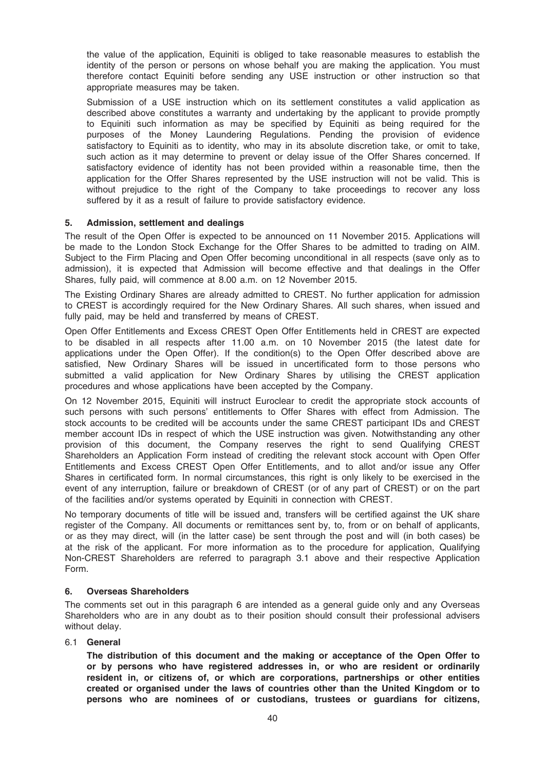the value of the application, Equiniti is obliged to take reasonable measures to establish the identity of the person or persons on whose behalf you are making the application. You must therefore contact Equiniti before sending any USE instruction or other instruction so that appropriate measures may be taken.

Submission of a USE instruction which on its settlement constitutes a valid application as described above constitutes a warranty and undertaking by the applicant to provide promptly to Equiniti such information as may be specified by Equiniti as being required for the purposes of the Money Laundering Regulations. Pending the provision of evidence satisfactory to Equiniti as to identity, who may in its absolute discretion take, or omit to take, such action as it may determine to prevent or delay issue of the Offer Shares concerned. If satisfactory evidence of identity has not been provided within a reasonable time, then the application for the Offer Shares represented by the USE instruction will not be valid. This is without prejudice to the right of the Company to take proceedings to recover any loss suffered by it as a result of failure to provide satisfactory evidence.

## 5. Admission, settlement and dealings

The result of the Open Offer is expected to be announced on 11 November 2015. Applications will be made to the London Stock Exchange for the Offer Shares to be admitted to trading on AIM. Subject to the Firm Placing and Open Offer becoming unconditional in all respects (save only as to admission), it is expected that Admission will become effective and that dealings in the Offer Shares, fully paid, will commence at 8.00 a.m. on 12 November 2015.

The Existing Ordinary Shares are already admitted to CREST. No further application for admission to CREST is accordingly required for the New Ordinary Shares. All such shares, when issued and fully paid, may be held and transferred by means of CREST.

Open Offer Entitlements and Excess CREST Open Offer Entitlements held in CREST are expected to be disabled in all respects after 11.00 a.m. on 10 November 2015 (the latest date for applications under the Open Offer). If the condition(s) to the Open Offer described above are satisfied, New Ordinary Shares will be issued in uncertificated form to those persons who submitted a valid application for New Ordinary Shares by utilising the CREST application procedures and whose applications have been accepted by the Company.

On 12 November 2015, Equiniti will instruct Euroclear to credit the appropriate stock accounts of such persons with such persons' entitlements to Offer Shares with effect from Admission. The stock accounts to be credited will be accounts under the same CREST participant IDs and CREST member account IDs in respect of which the USE instruction was given. Notwithstanding any other provision of this document, the Company reserves the right to send Qualifying CREST Shareholders an Application Form instead of crediting the relevant stock account with Open Offer Entitlements and Excess CREST Open Offer Entitlements, and to allot and/or issue any Offer Shares in certificated form. In normal circumstances, this right is only likely to be exercised in the event of any interruption, failure or breakdown of CREST (or of any part of CREST) or on the part of the facilities and/or systems operated by Equiniti in connection with CREST.

No temporary documents of title will be issued and, transfers will be certified against the UK share register of the Company. All documents or remittances sent by, to, from or on behalf of applicants, or as they may direct, will (in the latter case) be sent through the post and will (in both cases) be at the risk of the applicant. For more information as to the procedure for application, Qualifying Non-CREST Shareholders are referred to paragraph 3.1 above and their respective Application Form.

#### 6. Overseas Shareholders

The comments set out in this paragraph 6 are intended as a general guide only and any Overseas Shareholders who are in any doubt as to their position should consult their professional advisers without delay.

#### 6.1 General

The distribution of this document and the making or acceptance of the Open Offer to or by persons who have registered addresses in, or who are resident or ordinarily resident in, or citizens of, or which are corporations, partnerships or other entities created or organised under the laws of countries other than the United Kingdom or to persons who are nominees of or custodians, trustees or guardians for citizens,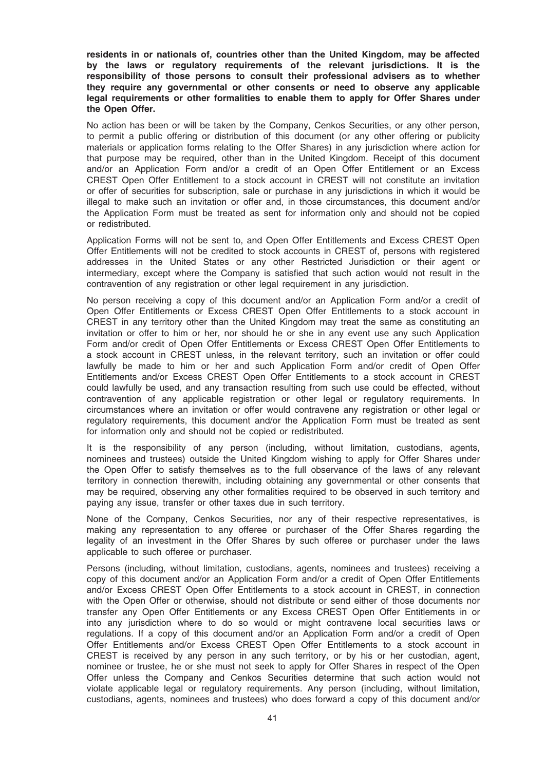residents in or nationals of, countries other than the United Kingdom, may be affected by the laws or regulatory requirements of the relevant jurisdictions. It is the responsibility of those persons to consult their professional advisers as to whether they require any governmental or other consents or need to observe any applicable legal requirements or other formalities to enable them to apply for Offer Shares under the Open Offer.

No action has been or will be taken by the Company, Cenkos Securities, or any other person, to permit a public offering or distribution of this document (or any other offering or publicity materials or application forms relating to the Offer Shares) in any jurisdiction where action for that purpose may be required, other than in the United Kingdom. Receipt of this document and/or an Application Form and/or a credit of an Open Offer Entitlement or an Excess CREST Open Offer Entitlement to a stock account in CREST will not constitute an invitation or offer of securities for subscription, sale or purchase in any jurisdictions in which it would be illegal to make such an invitation or offer and, in those circumstances, this document and/or the Application Form must be treated as sent for information only and should not be copied or redistributed.

Application Forms will not be sent to, and Open Offer Entitlements and Excess CREST Open Offer Entitlements will not be credited to stock accounts in CREST of, persons with registered addresses in the United States or any other Restricted Jurisdiction or their agent or intermediary, except where the Company is satisfied that such action would not result in the contravention of any registration or other legal requirement in any jurisdiction.

No person receiving a copy of this document and/or an Application Form and/or a credit of Open Offer Entitlements or Excess CREST Open Offer Entitlements to a stock account in CREST in any territory other than the United Kingdom may treat the same as constituting an invitation or offer to him or her, nor should he or she in any event use any such Application Form and/or credit of Open Offer Entitlements or Excess CREST Open Offer Entitlements to a stock account in CREST unless, in the relevant territory, such an invitation or offer could lawfully be made to him or her and such Application Form and/or credit of Open Offer Entitlements and/or Excess CREST Open Offer Entitlements to a stock account in CREST could lawfully be used, and any transaction resulting from such use could be effected, without contravention of any applicable registration or other legal or regulatory requirements. In circumstances where an invitation or offer would contravene any registration or other legal or regulatory requirements, this document and/or the Application Form must be treated as sent for information only and should not be copied or redistributed.

It is the responsibility of any person (including, without limitation, custodians, agents, nominees and trustees) outside the United Kingdom wishing to apply for Offer Shares under the Open Offer to satisfy themselves as to the full observance of the laws of any relevant territory in connection therewith, including obtaining any governmental or other consents that may be required, observing any other formalities required to be observed in such territory and paying any issue, transfer or other taxes due in such territory.

None of the Company, Cenkos Securities, nor any of their respective representatives, is making any representation to any offeree or purchaser of the Offer Shares regarding the legality of an investment in the Offer Shares by such offeree or purchaser under the laws applicable to such offeree or purchaser.

Persons (including, without limitation, custodians, agents, nominees and trustees) receiving a copy of this document and/or an Application Form and/or a credit of Open Offer Entitlements and/or Excess CREST Open Offer Entitlements to a stock account in CREST, in connection with the Open Offer or otherwise, should not distribute or send either of those documents nor transfer any Open Offer Entitlements or any Excess CREST Open Offer Entitlements in or into any jurisdiction where to do so would or might contravene local securities laws or regulations. If a copy of this document and/or an Application Form and/or a credit of Open Offer Entitlements and/or Excess CREST Open Offer Entitlements to a stock account in CREST is received by any person in any such territory, or by his or her custodian, agent, nominee or trustee, he or she must not seek to apply for Offer Shares in respect of the Open Offer unless the Company and Cenkos Securities determine that such action would not violate applicable legal or regulatory requirements. Any person (including, without limitation, custodians, agents, nominees and trustees) who does forward a copy of this document and/or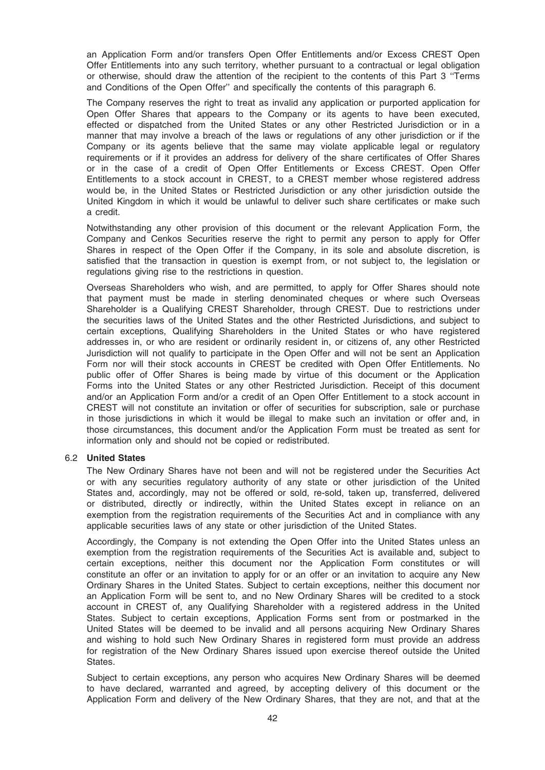an Application Form and/or transfers Open Offer Entitlements and/or Excess CREST Open Offer Entitlements into any such territory, whether pursuant to a contractual or legal obligation or otherwise, should draw the attention of the recipient to the contents of this Part 3 ''Terms and Conditions of the Open Offer'' and specifically the contents of this paragraph 6.

The Company reserves the right to treat as invalid any application or purported application for Open Offer Shares that appears to the Company or its agents to have been executed, effected or dispatched from the United States or any other Restricted Jurisdiction or in a manner that may involve a breach of the laws or regulations of any other jurisdiction or if the Company or its agents believe that the same may violate applicable legal or regulatory requirements or if it provides an address for delivery of the share certificates of Offer Shares or in the case of a credit of Open Offer Entitlements or Excess CREST. Open Offer Entitlements to a stock account in CREST, to a CREST member whose registered address would be, in the United States or Restricted Jurisdiction or any other jurisdiction outside the United Kingdom in which it would be unlawful to deliver such share certificates or make such a credit.

Notwithstanding any other provision of this document or the relevant Application Form, the Company and Cenkos Securities reserve the right to permit any person to apply for Offer Shares in respect of the Open Offer if the Company, in its sole and absolute discretion, is satisfied that the transaction in question is exempt from, or not subject to, the legislation or regulations giving rise to the restrictions in question.

Overseas Shareholders who wish, and are permitted, to apply for Offer Shares should note that payment must be made in sterling denominated cheques or where such Overseas Shareholder is a Qualifying CREST Shareholder, through CREST. Due to restrictions under the securities laws of the United States and the other Restricted Jurisdictions, and subject to certain exceptions, Qualifying Shareholders in the United States or who have registered addresses in, or who are resident or ordinarily resident in, or citizens of, any other Restricted Jurisdiction will not qualify to participate in the Open Offer and will not be sent an Application Form nor will their stock accounts in CREST be credited with Open Offer Entitlements. No public offer of Offer Shares is being made by virtue of this document or the Application Forms into the United States or any other Restricted Jurisdiction. Receipt of this document and/or an Application Form and/or a credit of an Open Offer Entitlement to a stock account in CREST will not constitute an invitation or offer of securities for subscription, sale or purchase in those jurisdictions in which it would be illegal to make such an invitation or offer and, in those circumstances, this document and/or the Application Form must be treated as sent for information only and should not be copied or redistributed.

## 6.2 United States

The New Ordinary Shares have not been and will not be registered under the Securities Act or with any securities regulatory authority of any state or other jurisdiction of the United States and, accordingly, may not be offered or sold, re-sold, taken up, transferred, delivered or distributed, directly or indirectly, within the United States except in reliance on an exemption from the registration requirements of the Securities Act and in compliance with any applicable securities laws of any state or other jurisdiction of the United States.

Accordingly, the Company is not extending the Open Offer into the United States unless an exemption from the registration requirements of the Securities Act is available and, subject to certain exceptions, neither this document nor the Application Form constitutes or will constitute an offer or an invitation to apply for or an offer or an invitation to acquire any New Ordinary Shares in the United States. Subject to certain exceptions, neither this document nor an Application Form will be sent to, and no New Ordinary Shares will be credited to a stock account in CREST of, any Qualifying Shareholder with a registered address in the United States. Subject to certain exceptions, Application Forms sent from or postmarked in the United States will be deemed to be invalid and all persons acquiring New Ordinary Shares and wishing to hold such New Ordinary Shares in registered form must provide an address for registration of the New Ordinary Shares issued upon exercise thereof outside the United States.

Subject to certain exceptions, any person who acquires New Ordinary Shares will be deemed to have declared, warranted and agreed, by accepting delivery of this document or the Application Form and delivery of the New Ordinary Shares, that they are not, and that at the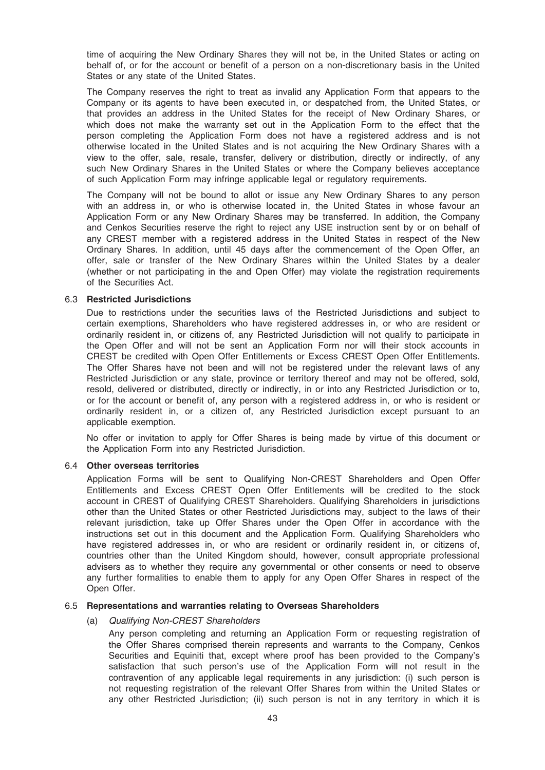time of acquiring the New Ordinary Shares they will not be, in the United States or acting on behalf of, or for the account or benefit of a person on a non-discretionary basis in the United States or any state of the United States.

The Company reserves the right to treat as invalid any Application Form that appears to the Company or its agents to have been executed in, or despatched from, the United States, or that provides an address in the United States for the receipt of New Ordinary Shares, or which does not make the warranty set out in the Application Form to the effect that the person completing the Application Form does not have a registered address and is not otherwise located in the United States and is not acquiring the New Ordinary Shares with a view to the offer, sale, resale, transfer, delivery or distribution, directly or indirectly, of any such New Ordinary Shares in the United States or where the Company believes acceptance of such Application Form may infringe applicable legal or regulatory requirements.

The Company will not be bound to allot or issue any New Ordinary Shares to any person with an address in, or who is otherwise located in, the United States in whose favour an Application Form or any New Ordinary Shares may be transferred. In addition, the Company and Cenkos Securities reserve the right to reject any USE instruction sent by or on behalf of any CREST member with a registered address in the United States in respect of the New Ordinary Shares. In addition, until 45 days after the commencement of the Open Offer, an offer, sale or transfer of the New Ordinary Shares within the United States by a dealer (whether or not participating in the and Open Offer) may violate the registration requirements of the Securities Act.

#### 6.3 Restricted Jurisdictions

Due to restrictions under the securities laws of the Restricted Jurisdictions and subject to certain exemptions, Shareholders who have registered addresses in, or who are resident or ordinarily resident in, or citizens of, any Restricted Jurisdiction will not qualify to participate in the Open Offer and will not be sent an Application Form nor will their stock accounts in CREST be credited with Open Offer Entitlements or Excess CREST Open Offer Entitlements. The Offer Shares have not been and will not be registered under the relevant laws of any Restricted Jurisdiction or any state, province or territory thereof and may not be offered, sold, resold, delivered or distributed, directly or indirectly, in or into any Restricted Jurisdiction or to, or for the account or benefit of, any person with a registered address in, or who is resident or ordinarily resident in, or a citizen of, any Restricted Jurisdiction except pursuant to an applicable exemption.

No offer or invitation to apply for Offer Shares is being made by virtue of this document or the Application Form into any Restricted Jurisdiction.

#### 6.4 Other overseas territories

Application Forms will be sent to Qualifying Non-CREST Shareholders and Open Offer Entitlements and Excess CREST Open Offer Entitlements will be credited to the stock account in CREST of Qualifying CREST Shareholders. Qualifying Shareholders in jurisdictions other than the United States or other Restricted Jurisdictions may, subject to the laws of their relevant jurisdiction, take up Offer Shares under the Open Offer in accordance with the instructions set out in this document and the Application Form. Qualifying Shareholders who have registered addresses in, or who are resident or ordinarily resident in, or citizens of, countries other than the United Kingdom should, however, consult appropriate professional advisers as to whether they require any governmental or other consents or need to observe any further formalities to enable them to apply for any Open Offer Shares in respect of the Open Offer.

#### 6.5 Representations and warranties relating to Overseas Shareholders

#### (a) Qualifying Non-CREST Shareholders

Any person completing and returning an Application Form or requesting registration of the Offer Shares comprised therein represents and warrants to the Company, Cenkos Securities and Equiniti that, except where proof has been provided to the Company's satisfaction that such person's use of the Application Form will not result in the contravention of any applicable legal requirements in any jurisdiction: (i) such person is not requesting registration of the relevant Offer Shares from within the United States or any other Restricted Jurisdiction; (ii) such person is not in any territory in which it is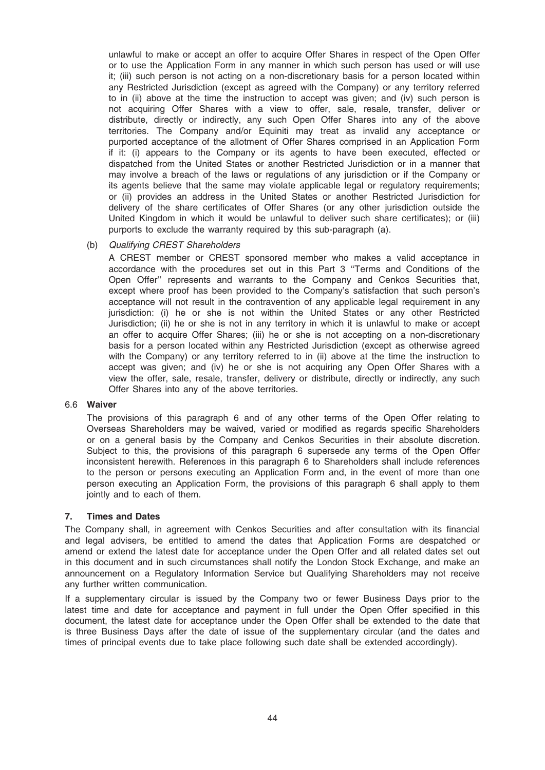unlawful to make or accept an offer to acquire Offer Shares in respect of the Open Offer or to use the Application Form in any manner in which such person has used or will use it; (iii) such person is not acting on a non-discretionary basis for a person located within any Restricted Jurisdiction (except as agreed with the Company) or any territory referred to in (ii) above at the time the instruction to accept was given; and (iv) such person is not acquiring Offer Shares with a view to offer, sale, resale, transfer, deliver or distribute, directly or indirectly, any such Open Offer Shares into any of the above territories. The Company and/or Equiniti may treat as invalid any acceptance or purported acceptance of the allotment of Offer Shares comprised in an Application Form if it: (i) appears to the Company or its agents to have been executed, effected or dispatched from the United States or another Restricted Jurisdiction or in a manner that may involve a breach of the laws or regulations of any jurisdiction or if the Company or its agents believe that the same may violate applicable legal or regulatory requirements; or (ii) provides an address in the United States or another Restricted Jurisdiction for delivery of the share certificates of Offer Shares (or any other jurisdiction outside the United Kingdom in which it would be unlawful to deliver such share certificates); or (iii) purports to exclude the warranty required by this sub-paragraph (a).

## (b) Qualifying CREST Shareholders

A CREST member or CREST sponsored member who makes a valid acceptance in accordance with the procedures set out in this Part 3 ''Terms and Conditions of the Open Offer'' represents and warrants to the Company and Cenkos Securities that, except where proof has been provided to the Company's satisfaction that such person's acceptance will not result in the contravention of any applicable legal requirement in any jurisdiction: (i) he or she is not within the United States or any other Restricted Jurisdiction; (ii) he or she is not in any territory in which it is unlawful to make or accept an offer to acquire Offer Shares; (iii) he or she is not accepting on a non-discretionary basis for a person located within any Restricted Jurisdiction (except as otherwise agreed with the Company) or any territory referred to in (ii) above at the time the instruction to accept was given; and (iv) he or she is not acquiring any Open Offer Shares with a view the offer, sale, resale, transfer, delivery or distribute, directly or indirectly, any such Offer Shares into any of the above territories.

#### 6.6 Waiver

The provisions of this paragraph 6 and of any other terms of the Open Offer relating to Overseas Shareholders may be waived, varied or modified as regards specific Shareholders or on a general basis by the Company and Cenkos Securities in their absolute discretion. Subject to this, the provisions of this paragraph 6 supersede any terms of the Open Offer inconsistent herewith. References in this paragraph 6 to Shareholders shall include references to the person or persons executing an Application Form and, in the event of more than one person executing an Application Form, the provisions of this paragraph 6 shall apply to them jointly and to each of them.

## 7. Times and Dates

The Company shall, in agreement with Cenkos Securities and after consultation with its financial and legal advisers, be entitled to amend the dates that Application Forms are despatched or amend or extend the latest date for acceptance under the Open Offer and all related dates set out in this document and in such circumstances shall notify the London Stock Exchange, and make an announcement on a Regulatory Information Service but Qualifying Shareholders may not receive any further written communication.

If a supplementary circular is issued by the Company two or fewer Business Days prior to the latest time and date for acceptance and payment in full under the Open Offer specified in this document, the latest date for acceptance under the Open Offer shall be extended to the date that is three Business Days after the date of issue of the supplementary circular (and the dates and times of principal events due to take place following such date shall be extended accordingly).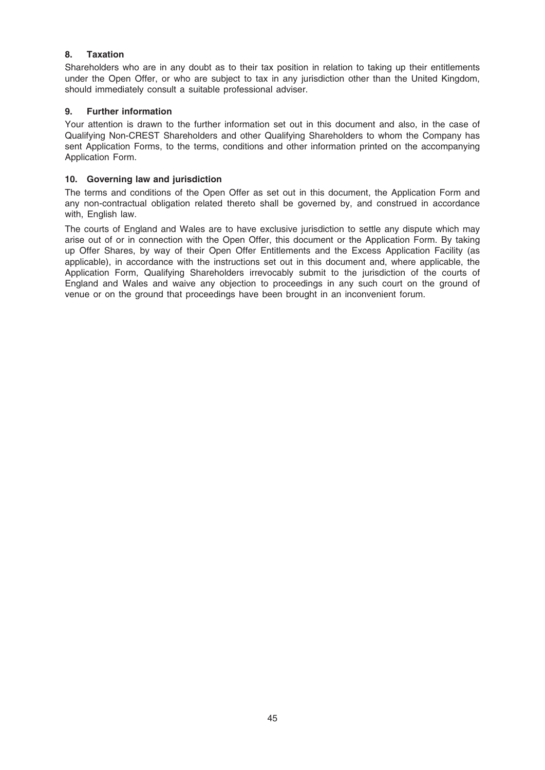# 8. Taxation

Shareholders who are in any doubt as to their tax position in relation to taking up their entitlements under the Open Offer, or who are subject to tax in any jurisdiction other than the United Kingdom, should immediately consult a suitable professional adviser.

# 9. Further information

Your attention is drawn to the further information set out in this document and also, in the case of Qualifying Non-CREST Shareholders and other Qualifying Shareholders to whom the Company has sent Application Forms, to the terms, conditions and other information printed on the accompanying Application Form.

# 10. Governing law and jurisdiction

The terms and conditions of the Open Offer as set out in this document, the Application Form and any non-contractual obligation related thereto shall be governed by, and construed in accordance with, English law.

The courts of England and Wales are to have exclusive jurisdiction to settle any dispute which may arise out of or in connection with the Open Offer, this document or the Application Form. By taking up Offer Shares, by way of their Open Offer Entitlements and the Excess Application Facility (as applicable), in accordance with the instructions set out in this document and, where applicable, the Application Form, Qualifying Shareholders irrevocably submit to the jurisdiction of the courts of England and Wales and waive any objection to proceedings in any such court on the ground of venue or on the ground that proceedings have been brought in an inconvenient forum.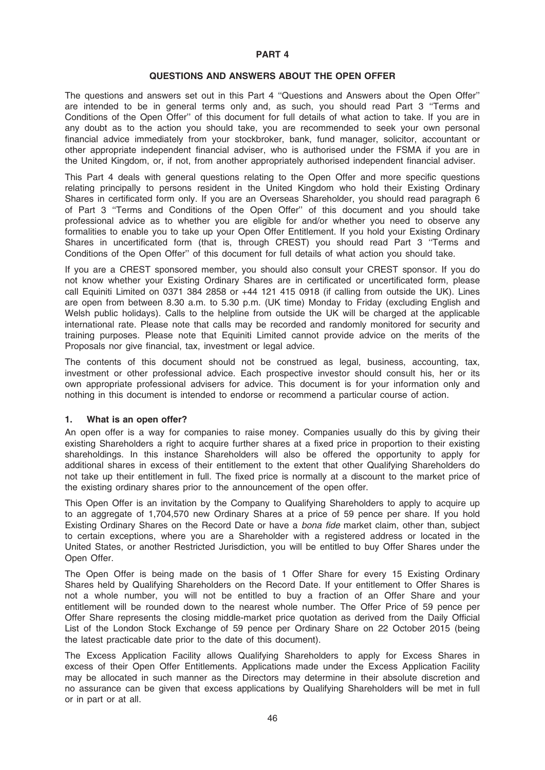#### PART 4

## QUESTIONS AND ANSWERS ABOUT THE OPEN OFFER

The questions and answers set out in this Part 4 ''Questions and Answers about the Open Offer'' are intended to be in general terms only and, as such, you should read Part 3 ''Terms and Conditions of the Open Offer'' of this document for full details of what action to take. If you are in any doubt as to the action you should take, you are recommended to seek your own personal financial advice immediately from your stockbroker, bank, fund manager, solicitor, accountant or other appropriate independent financial adviser, who is authorised under the FSMA if you are in the United Kingdom, or, if not, from another appropriately authorised independent financial adviser.

This Part 4 deals with general questions relating to the Open Offer and more specific questions relating principally to persons resident in the United Kingdom who hold their Existing Ordinary Shares in certificated form only. If you are an Overseas Shareholder, you should read paragraph 6 of Part 3 ''Terms and Conditions of the Open Offer'' of this document and you should take professional advice as to whether you are eligible for and/or whether you need to observe any formalities to enable you to take up your Open Offer Entitlement. If you hold your Existing Ordinary Shares in uncertificated form (that is, through CREST) you should read Part 3 ''Terms and Conditions of the Open Offer'' of this document for full details of what action you should take.

If you are a CREST sponsored member, you should also consult your CREST sponsor. If you do not know whether your Existing Ordinary Shares are in certificated or uncertificated form, please call Equiniti Limited on 0371 384 2858 or +44 121 415 0918 (if calling from outside the UK). Lines are open from between 8.30 a.m. to 5.30 p.m. (UK time) Monday to Friday (excluding English and Welsh public holidays). Calls to the helpline from outside the UK will be charged at the applicable international rate. Please note that calls may be recorded and randomly monitored for security and training purposes. Please note that Equiniti Limited cannot provide advice on the merits of the Proposals nor give financial, tax, investment or legal advice.

The contents of this document should not be construed as legal, business, accounting, tax, investment or other professional advice. Each prospective investor should consult his, her or its own appropriate professional advisers for advice. This document is for your information only and nothing in this document is intended to endorse or recommend a particular course of action.

#### 1. What is an open offer?

An open offer is a way for companies to raise money. Companies usually do this by giving their existing Shareholders a right to acquire further shares at a fixed price in proportion to their existing shareholdings. In this instance Shareholders will also be offered the opportunity to apply for additional shares in excess of their entitlement to the extent that other Qualifying Shareholders do not take up their entitlement in full. The fixed price is normally at a discount to the market price of the existing ordinary shares prior to the announcement of the open offer.

This Open Offer is an invitation by the Company to Qualifying Shareholders to apply to acquire up to an aggregate of 1,704,570 new Ordinary Shares at a price of 59 pence per share. If you hold Existing Ordinary Shares on the Record Date or have a bona fide market claim, other than, subject to certain exceptions, where you are a Shareholder with a registered address or located in the United States, or another Restricted Jurisdiction, you will be entitled to buy Offer Shares under the Open Offer.

The Open Offer is being made on the basis of 1 Offer Share for every 15 Existing Ordinary Shares held by Qualifying Shareholders on the Record Date. If your entitlement to Offer Shares is not a whole number, you will not be entitled to buy a fraction of an Offer Share and your entitlement will be rounded down to the nearest whole number. The Offer Price of 59 pence per Offer Share represents the closing middle-market price quotation as derived from the Daily Official List of the London Stock Exchange of 59 pence per Ordinary Share on 22 October 2015 (being the latest practicable date prior to the date of this document).

The Excess Application Facility allows Qualifying Shareholders to apply for Excess Shares in excess of their Open Offer Entitlements. Applications made under the Excess Application Facility may be allocated in such manner as the Directors may determine in their absolute discretion and no assurance can be given that excess applications by Qualifying Shareholders will be met in full or in part or at all.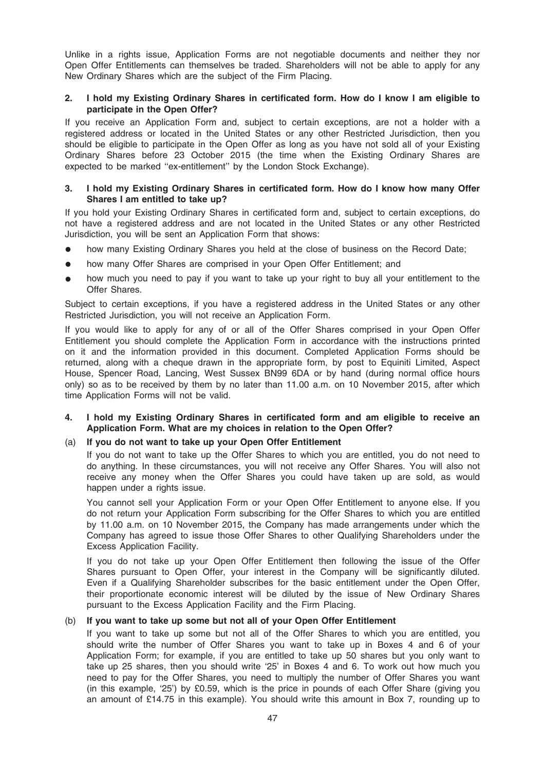Unlike in a rights issue, Application Forms are not negotiable documents and neither they nor Open Offer Entitlements can themselves be traded. Shareholders will not be able to apply for any New Ordinary Shares which are the subject of the Firm Placing.

## 2. I hold my Existing Ordinary Shares in certificated form. How do I know I am eligible to participate in the Open Offer?

If you receive an Application Form and, subject to certain exceptions, are not a holder with a registered address or located in the United States or any other Restricted Jurisdiction, then you should be eligible to participate in the Open Offer as long as you have not sold all of your Existing Ordinary Shares before 23 October 2015 (the time when the Existing Ordinary Shares are expected to be marked ''ex-entitlement'' by the London Stock Exchange).

## 3. I hold my Existing Ordinary Shares in certificated form. How do I know how many Offer Shares I am entitled to take up?

If you hold your Existing Ordinary Shares in certificated form and, subject to certain exceptions, do not have a registered address and are not located in the United States or any other Restricted Jurisdiction, you will be sent an Application Form that shows:

- how many Existing Ordinary Shares you held at the close of business on the Record Date;
- how many Offer Shares are comprised in your Open Offer Entitlement; and
- how much you need to pay if you want to take up your right to buy all your entitlement to the Offer Shares.

Subject to certain exceptions, if you have a registered address in the United States or any other Restricted Jurisdiction, you will not receive an Application Form.

If you would like to apply for any of or all of the Offer Shares comprised in your Open Offer Entitlement you should complete the Application Form in accordance with the instructions printed on it and the information provided in this document. Completed Application Forms should be returned, along with a cheque drawn in the appropriate form, by post to Equiniti Limited, Aspect House, Spencer Road, Lancing, West Sussex BN99 6DA or by hand (during normal office hours only) so as to be received by them by no later than 11.00 a.m. on 10 November 2015, after which time Application Forms will not be valid.

## 4. I hold my Existing Ordinary Shares in certificated form and am eligible to receive an Application Form. What are my choices in relation to the Open Offer?

## (a) If you do not want to take up your Open Offer Entitlement

If you do not want to take up the Offer Shares to which you are entitled, you do not need to do anything. In these circumstances, you will not receive any Offer Shares. You will also not receive any money when the Offer Shares you could have taken up are sold, as would happen under a rights issue.

You cannot sell your Application Form or your Open Offer Entitlement to anyone else. If you do not return your Application Form subscribing for the Offer Shares to which you are entitled by 11.00 a.m. on 10 November 2015, the Company has made arrangements under which the Company has agreed to issue those Offer Shares to other Qualifying Shareholders under the Excess Application Facility.

If you do not take up your Open Offer Entitlement then following the issue of the Offer Shares pursuant to Open Offer, your interest in the Company will be significantly diluted. Even if a Qualifying Shareholder subscribes for the basic entitlement under the Open Offer, their proportionate economic interest will be diluted by the issue of New Ordinary Shares pursuant to the Excess Application Facility and the Firm Placing.

#### (b) If you want to take up some but not all of your Open Offer Entitlement

If you want to take up some but not all of the Offer Shares to which you are entitled, you should write the number of Offer Shares you want to take up in Boxes 4 and 6 of your Application Form; for example, if you are entitled to take up 50 shares but you only want to take up 25 shares, then you should write '25' in Boxes 4 and 6. To work out how much you need to pay for the Offer Shares, you need to multiply the number of Offer Shares you want (in this example, '25') by £0.59, which is the price in pounds of each Offer Share (giving you an amount of £14.75 in this example). You should write this amount in Box 7, rounding up to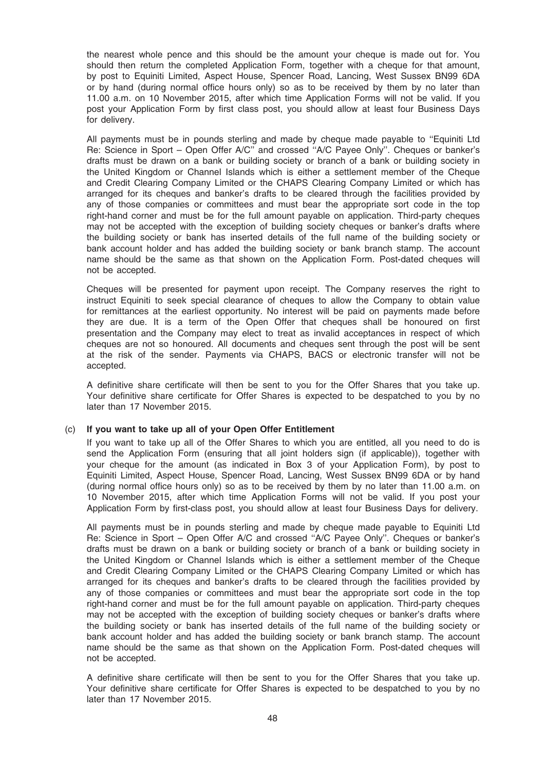the nearest whole pence and this should be the amount your cheque is made out for. You should then return the completed Application Form, together with a cheque for that amount, by post to Equiniti Limited, Aspect House, Spencer Road, Lancing, West Sussex BN99 6DA or by hand (during normal office hours only) so as to be received by them by no later than 11.00 a.m. on 10 November 2015, after which time Application Forms will not be valid. If you post your Application Form by first class post, you should allow at least four Business Days for delivery.

All payments must be in pounds sterling and made by cheque made payable to ''Equiniti Ltd Re: Science in Sport – Open Offer A/C'' and crossed ''A/C Payee Only''. Cheques or banker's drafts must be drawn on a bank or building society or branch of a bank or building society in the United Kingdom or Channel Islands which is either a settlement member of the Cheque and Credit Clearing Company Limited or the CHAPS Clearing Company Limited or which has arranged for its cheques and banker's drafts to be cleared through the facilities provided by any of those companies or committees and must bear the appropriate sort code in the top right-hand corner and must be for the full amount payable on application. Third-party cheques may not be accepted with the exception of building society cheques or banker's drafts where the building society or bank has inserted details of the full name of the building society or bank account holder and has added the building society or bank branch stamp. The account name should be the same as that shown on the Application Form. Post-dated cheques will not be accepted.

Cheques will be presented for payment upon receipt. The Company reserves the right to instruct Equiniti to seek special clearance of cheques to allow the Company to obtain value for remittances at the earliest opportunity. No interest will be paid on payments made before they are due. It is a term of the Open Offer that cheques shall be honoured on first presentation and the Company may elect to treat as invalid acceptances in respect of which cheques are not so honoured. All documents and cheques sent through the post will be sent at the risk of the sender. Payments via CHAPS, BACS or electronic transfer will not be accepted.

A definitive share certificate will then be sent to you for the Offer Shares that you take up. Your definitive share certificate for Offer Shares is expected to be despatched to you by no later than 17 November 2015.

#### (c) If you want to take up all of your Open Offer Entitlement

If you want to take up all of the Offer Shares to which you are entitled, all you need to do is send the Application Form (ensuring that all joint holders sign (if applicable)), together with your cheque for the amount (as indicated in Box 3 of your Application Form), by post to Equiniti Limited, Aspect House, Spencer Road, Lancing, West Sussex BN99 6DA or by hand (during normal office hours only) so as to be received by them by no later than 11.00 a.m. on 10 November 2015, after which time Application Forms will not be valid. If you post your Application Form by first-class post, you should allow at least four Business Days for delivery.

All payments must be in pounds sterling and made by cheque made payable to Equiniti Ltd Re: Science in Sport – Open Offer A/C and crossed ''A/C Payee Only''. Cheques or banker's drafts must be drawn on a bank or building society or branch of a bank or building society in the United Kingdom or Channel Islands which is either a settlement member of the Cheque and Credit Clearing Company Limited or the CHAPS Clearing Company Limited or which has arranged for its cheques and banker's drafts to be cleared through the facilities provided by any of those companies or committees and must bear the appropriate sort code in the top right-hand corner and must be for the full amount payable on application. Third-party cheques may not be accepted with the exception of building society cheques or banker's drafts where the building society or bank has inserted details of the full name of the building society or bank account holder and has added the building society or bank branch stamp. The account name should be the same as that shown on the Application Form. Post-dated cheques will not be accepted.

A definitive share certificate will then be sent to you for the Offer Shares that you take up. Your definitive share certificate for Offer Shares is expected to be despatched to you by no later than 17 November 2015.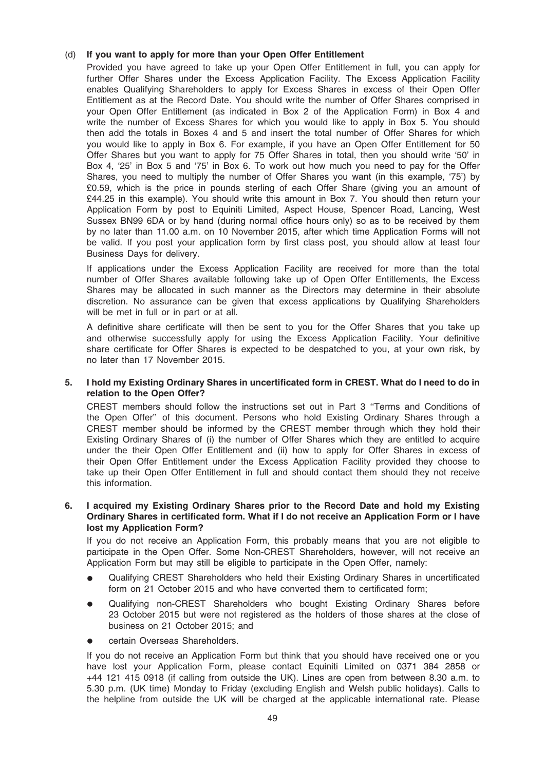## (d) If you want to apply for more than your Open Offer Entitlement

Provided you have agreed to take up your Open Offer Entitlement in full, you can apply for further Offer Shares under the Excess Application Facility. The Excess Application Facility enables Qualifying Shareholders to apply for Excess Shares in excess of their Open Offer Entitlement as at the Record Date. You should write the number of Offer Shares comprised in your Open Offer Entitlement (as indicated in Box 2 of the Application Form) in Box 4 and write the number of Excess Shares for which you would like to apply in Box 5. You should then add the totals in Boxes 4 and 5 and insert the total number of Offer Shares for which you would like to apply in Box 6. For example, if you have an Open Offer Entitlement for 50 Offer Shares but you want to apply for 75 Offer Shares in total, then you should write '50' in Box 4, '25' in Box 5 and '75' in Box 6. To work out how much you need to pay for the Offer Shares, you need to multiply the number of Offer Shares you want (in this example, '75') by £0.59, which is the price in pounds sterling of each Offer Share (giving you an amount of £44.25 in this example). You should write this amount in Box 7. You should then return your Application Form by post to Equiniti Limited, Aspect House, Spencer Road, Lancing, West Sussex BN99 6DA or by hand (during normal office hours only) so as to be received by them by no later than 11.00 a.m. on 10 November 2015, after which time Application Forms will not be valid. If you post your application form by first class post, you should allow at least four Business Days for delivery.

If applications under the Excess Application Facility are received for more than the total number of Offer Shares available following take up of Open Offer Entitlements, the Excess Shares may be allocated in such manner as the Directors may determine in their absolute discretion. No assurance can be given that excess applications by Qualifying Shareholders will be met in full or in part or at all.

A definitive share certificate will then be sent to you for the Offer Shares that you take up and otherwise successfully apply for using the Excess Application Facility. Your definitive share certificate for Offer Shares is expected to be despatched to you, at your own risk, by no later than 17 November 2015.

## 5. I hold my Existing Ordinary Shares in uncertificated form in CREST. What do I need to do in relation to the Open Offer?

CREST members should follow the instructions set out in Part 3 ''Terms and Conditions of the Open Offer'' of this document. Persons who hold Existing Ordinary Shares through a CREST member should be informed by the CREST member through which they hold their Existing Ordinary Shares of (i) the number of Offer Shares which they are entitled to acquire under the their Open Offer Entitlement and (ii) how to apply for Offer Shares in excess of their Open Offer Entitlement under the Excess Application Facility provided they choose to take up their Open Offer Entitlement in full and should contact them should they not receive this information.

## 6. I acquired my Existing Ordinary Shares prior to the Record Date and hold my Existing Ordinary Shares in certificated form. What if I do not receive an Application Form or I have lost my Application Form?

If you do not receive an Application Form, this probably means that you are not eligible to participate in the Open Offer. Some Non-CREST Shareholders, however, will not receive an Application Form but may still be eligible to participate in the Open Offer, namely:

- Qualifying CREST Shareholders who held their Existing Ordinary Shares in uncertificated form on 21 October 2015 and who have converted them to certificated form;
- Qualifying non-CREST Shareholders who bought Existing Ordinary Shares before 23 October 2015 but were not registered as the holders of those shares at the close of business on 21 October 2015; and
- certain Overseas Shareholders.

If you do not receive an Application Form but think that you should have received one or you have lost your Application Form, please contact Equiniti Limited on 0371 384 2858 or +44 121 415 0918 (if calling from outside the UK). Lines are open from between 8.30 a.m. to 5.30 p.m. (UK time) Monday to Friday (excluding English and Welsh public holidays). Calls to the helpline from outside the UK will be charged at the applicable international rate. Please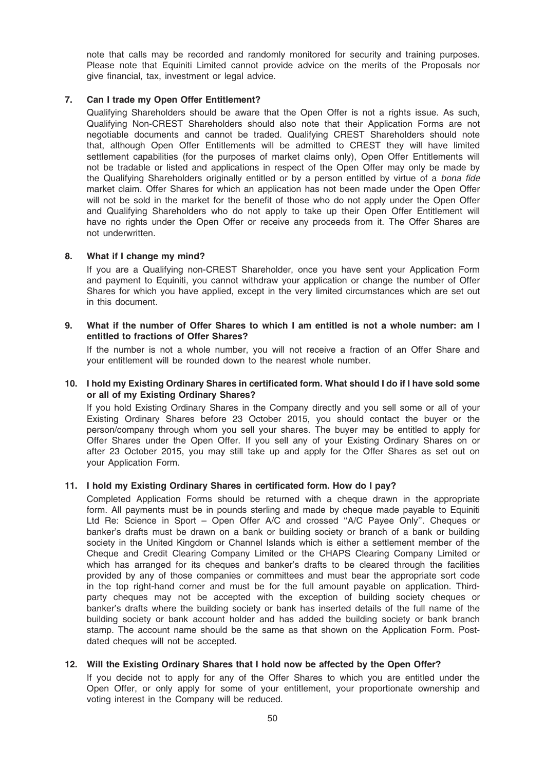note that calls may be recorded and randomly monitored for security and training purposes. Please note that Equiniti Limited cannot provide advice on the merits of the Proposals nor give financial, tax, investment or legal advice.

## 7. Can I trade my Open Offer Entitlement?

Qualifying Shareholders should be aware that the Open Offer is not a rights issue. As such, Qualifying Non-CREST Shareholders should also note that their Application Forms are not negotiable documents and cannot be traded. Qualifying CREST Shareholders should note that, although Open Offer Entitlements will be admitted to CREST they will have limited settlement capabilities (for the purposes of market claims only), Open Offer Entitlements will not be tradable or listed and applications in respect of the Open Offer may only be made by the Qualifying Shareholders originally entitled or by a person entitled by virtue of a bona fide market claim. Offer Shares for which an application has not been made under the Open Offer will not be sold in the market for the benefit of those who do not apply under the Open Offer and Qualifying Shareholders who do not apply to take up their Open Offer Entitlement will have no rights under the Open Offer or receive any proceeds from it. The Offer Shares are not underwritten.

#### 8. What if I change my mind?

If you are a Qualifying non-CREST Shareholder, once you have sent your Application Form and payment to Equiniti, you cannot withdraw your application or change the number of Offer Shares for which you have applied, except in the very limited circumstances which are set out in this document.

## 9. What if the number of Offer Shares to which I am entitled is not a whole number: am I entitled to fractions of Offer Shares?

If the number is not a whole number, you will not receive a fraction of an Offer Share and your entitlement will be rounded down to the nearest whole number.

## 10. I hold my Existing Ordinary Shares in certificated form. What should I do if I have sold some or all of my Existing Ordinary Shares?

If you hold Existing Ordinary Shares in the Company directly and you sell some or all of your Existing Ordinary Shares before 23 October 2015, you should contact the buyer or the person/company through whom you sell your shares. The buyer may be entitled to apply for Offer Shares under the Open Offer. If you sell any of your Existing Ordinary Shares on or after 23 October 2015, you may still take up and apply for the Offer Shares as set out on your Application Form.

## 11. I hold my Existing Ordinary Shares in certificated form. How do I pay?

Completed Application Forms should be returned with a cheque drawn in the appropriate form. All payments must be in pounds sterling and made by cheque made payable to Equiniti Ltd Re: Science in Sport – Open Offer A/C and crossed ''A/C Payee Only''. Cheques or banker's drafts must be drawn on a bank or building society or branch of a bank or building society in the United Kingdom or Channel Islands which is either a settlement member of the Cheque and Credit Clearing Company Limited or the CHAPS Clearing Company Limited or which has arranged for its cheques and banker's drafts to be cleared through the facilities provided by any of those companies or committees and must bear the appropriate sort code in the top right-hand corner and must be for the full amount payable on application. Thirdparty cheques may not be accepted with the exception of building society cheques or banker's drafts where the building society or bank has inserted details of the full name of the building society or bank account holder and has added the building society or bank branch stamp. The account name should be the same as that shown on the Application Form. Postdated cheques will not be accepted.

#### 12. Will the Existing Ordinary Shares that I hold now be affected by the Open Offer?

If you decide not to apply for any of the Offer Shares to which you are entitled under the Open Offer, or only apply for some of your entitlement, your proportionate ownership and voting interest in the Company will be reduced.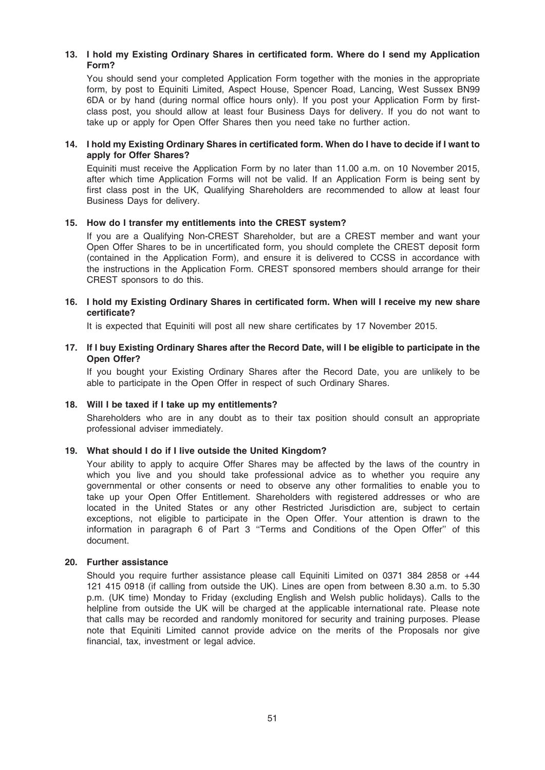# 13. I hold my Existing Ordinary Shares in certificated form. Where do I send my Application Form?

You should send your completed Application Form together with the monies in the appropriate form, by post to Equiniti Limited, Aspect House, Spencer Road, Lancing, West Sussex BN99 6DA or by hand (during normal office hours only). If you post your Application Form by firstclass post, you should allow at least four Business Days for delivery. If you do not want to take up or apply for Open Offer Shares then you need take no further action.

## 14. I hold my Existing Ordinary Shares in certificated form. When do I have to decide if I want to apply for Offer Shares?

Equiniti must receive the Application Form by no later than 11.00 a.m. on 10 November 2015, after which time Application Forms will not be valid. If an Application Form is being sent by first class post in the UK, Qualifying Shareholders are recommended to allow at least four Business Days for delivery.

## 15. How do I transfer my entitlements into the CREST system?

If you are a Qualifying Non-CREST Shareholder, but are a CREST member and want your Open Offer Shares to be in uncertificated form, you should complete the CREST deposit form (contained in the Application Form), and ensure it is delivered to CCSS in accordance with the instructions in the Application Form. CREST sponsored members should arrange for their CREST sponsors to do this.

## 16. I hold my Existing Ordinary Shares in certificated form. When will I receive my new share certificate?

It is expected that Equiniti will post all new share certificates by 17 November 2015.

## 17. If I buy Existing Ordinary Shares after the Record Date, will I be eligible to participate in the Open Offer?

If you bought your Existing Ordinary Shares after the Record Date, you are unlikely to be able to participate in the Open Offer in respect of such Ordinary Shares.

#### 18. Will I be taxed if I take up my entitlements?

Shareholders who are in any doubt as to their tax position should consult an appropriate professional adviser immediately.

#### 19. What should I do if I live outside the United Kingdom?

Your ability to apply to acquire Offer Shares may be affected by the laws of the country in which you live and you should take professional advice as to whether you require any governmental or other consents or need to observe any other formalities to enable you to take up your Open Offer Entitlement. Shareholders with registered addresses or who are located in the United States or any other Restricted Jurisdiction are, subject to certain exceptions, not eligible to participate in the Open Offer. Your attention is drawn to the information in paragraph 6 of Part 3 ''Terms and Conditions of the Open Offer'' of this document.

#### 20. Further assistance

Should you require further assistance please call Equiniti Limited on 0371 384 2858 or +44 121 415 0918 (if calling from outside the UK). Lines are open from between 8.30 a.m. to 5.30 p.m. (UK time) Monday to Friday (excluding English and Welsh public holidays). Calls to the helpline from outside the UK will be charged at the applicable international rate. Please note that calls may be recorded and randomly monitored for security and training purposes. Please note that Equiniti Limited cannot provide advice on the merits of the Proposals nor give financial, tax, investment or legal advice.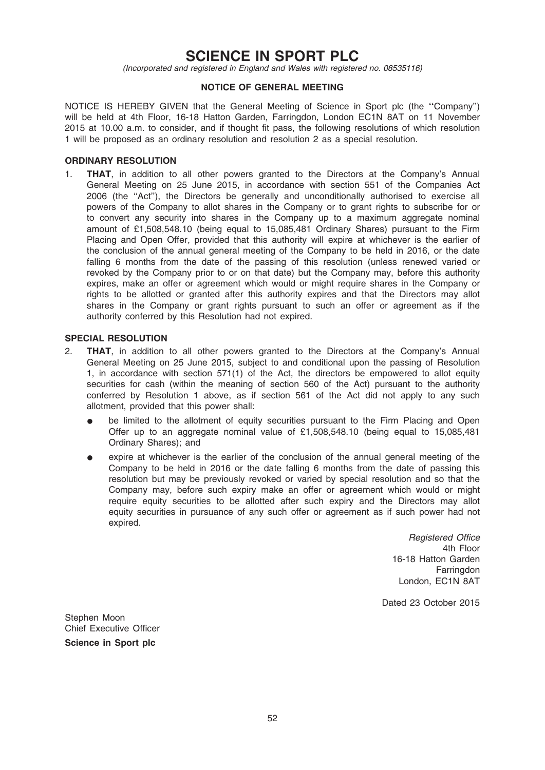# SCIENCE IN SPORT PLC

(Incorporated and registered in England and Wales with registered no. 08535116)

## NOTICE OF GENERAL MEETING

NOTICE IS HEREBY GIVEN that the General Meeting of Science in Sport plc (the ''Company'') will be held at 4th Floor, 16-18 Hatton Garden, Farringdon, London EC1N 8AT on 11 November 2015 at 10.00 a.m. to consider, and if thought fit pass, the following resolutions of which resolution 1 will be proposed as an ordinary resolution and resolution 2 as a special resolution.

## ORDINARY RESOLUTION

1. **THAT**, in addition to all other powers granted to the Directors at the Company's Annual General Meeting on 25 June 2015, in accordance with section 551 of the Companies Act 2006 (the ''Act''), the Directors be generally and unconditionally authorised to exercise all powers of the Company to allot shares in the Company or to grant rights to subscribe for or to convert any security into shares in the Company up to a maximum aggregate nominal amount of £1,508,548.10 (being equal to 15,085,481 Ordinary Shares) pursuant to the Firm Placing and Open Offer, provided that this authority will expire at whichever is the earlier of the conclusion of the annual general meeting of the Company to be held in 2016, or the date falling 6 months from the date of the passing of this resolution (unless renewed varied or revoked by the Company prior to or on that date) but the Company may, before this authority expires, make an offer or agreement which would or might require shares in the Company or rights to be allotted or granted after this authority expires and that the Directors may allot shares in the Company or grant rights pursuant to such an offer or agreement as if the authority conferred by this Resolution had not expired.

## SPECIAL RESOLUTION

- 2. THAT, in addition to all other powers granted to the Directors at the Company's Annual General Meeting on 25 June 2015, subject to and conditional upon the passing of Resolution 1, in accordance with section 571(1) of the Act, the directors be empowered to allot equity securities for cash (within the meaning of section 560 of the Act) pursuant to the authority conferred by Resolution 1 above, as if section 561 of the Act did not apply to any such allotment, provided that this power shall:
	- be limited to the allotment of equity securities pursuant to the Firm Placing and Open Offer up to an aggregate nominal value of £1,508,548.10 (being equal to 15,085,481) Ordinary Shares); and
	- expire at whichever is the earlier of the conclusion of the annual general meeting of the Company to be held in 2016 or the date falling 6 months from the date of passing this resolution but may be previously revoked or varied by special resolution and so that the Company may, before such expiry make an offer or agreement which would or might require equity securities to be allotted after such expiry and the Directors may allot equity securities in pursuance of any such offer or agreement as if such power had not expired.

Registered Office 4th Floor 16-18 Hatton Garden **Farringdon** London, EC1N 8AT

Dated 23 October 2015

Stephen Moon Chief Executive Officer Science in Sport plc